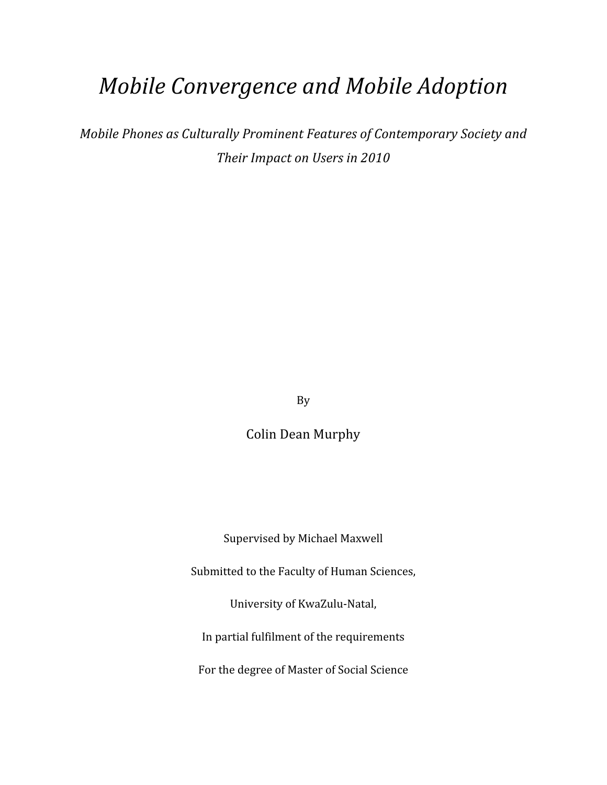# *Mobile
Convergence
and
Mobile
Adoption*

*Mobile
Phones
as
Culturally
Prominent
Features
of
Contemporary
Society
and Their
Impact
on
Users
in
2010*

By

Colin
Dean
Murphy

Supervised
by
Michael
Maxwell

Submitted to the Faculty of Human Sciences,

University
of
KwaZulu‐Natal,

In
partial
fulfilment
of
the
requirements

For
the
degree
of
Master
of
Social
Science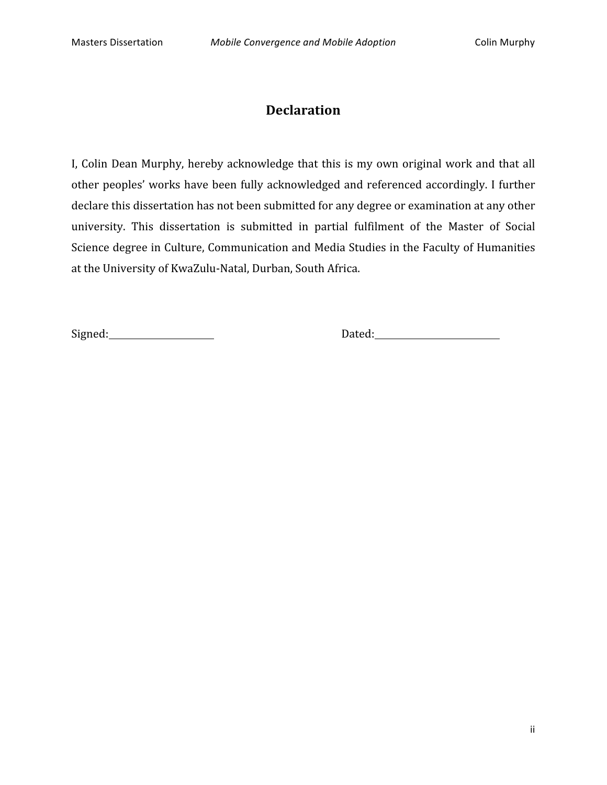# **Declaration**

I, Colin Dean Murphy, hereby acknowledge that this is my own original work and that all other
peoples'
works
have
been
 fully
acknowledged
and
referenced
accordingly.
 I
 further declare this dissertation has not been submitted for any degree or examination at any other university. This dissertation is submitted in partial fulfilment of the Master of Social Science degree in Culture, Communication and Media Studies in the Faculty of Humanities at
the
University
of
KwaZulu‐Natal,
Durban,
South
Africa.

Signed: Dated: Dated: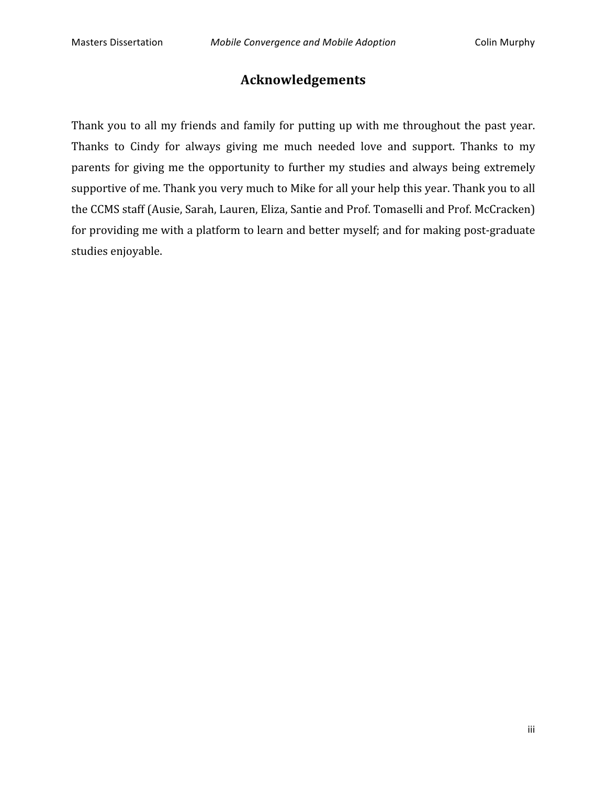# **Acknowledgements**

Thank you to all my friends and family for putting up with me throughout the past year. Thanks to Cindy for always giving me much needed love and support. Thanks to my parents for giving me the opportunity to further my studies and always being extremely supportive of me. Thank you very much to Mike for all your help this year. Thank you to all the
CCMS
staff
(Ausie,
Sarah,
Lauren,
Eliza,
Santie
and
Prof.
Tomaselli
and
Prof.
McCracken) for providing me with a platform to learn and better myself; and for making post-graduate studies
enjoyable.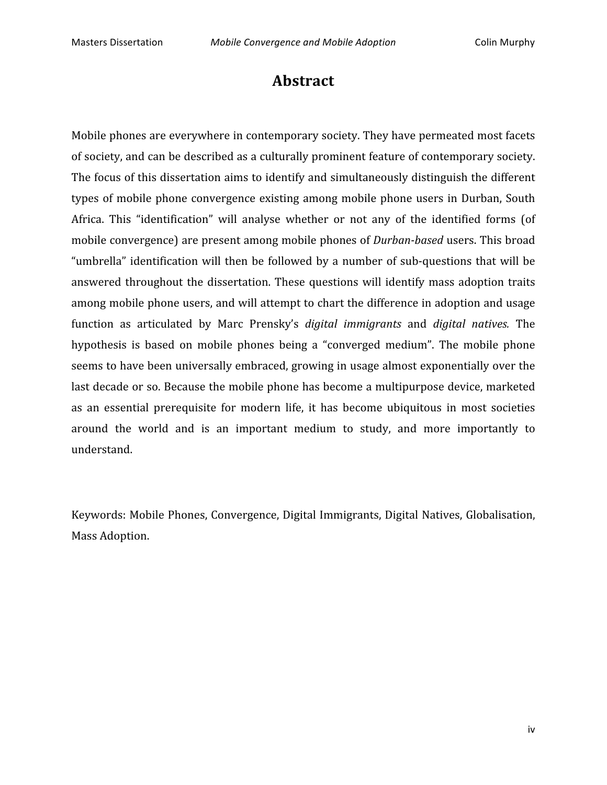# **Abstract**

Mobile
phones
are
everywhere
in
contemporary
society.
They
have
permeated
most
facets of
society,
and
can
be
described
as
a
culturally
prominent
feature
of
contemporary
society. The
focus
of
this
dissertation
aims
to
identify
and
simultaneously
distinguish
the
different types
of
mobile
phone
convergence
existing
among
mobile
phone
users
in
Durban,
South Africa. This "identification" will analyse whether or not any of the identified forms (of mobile convergence) are present among mobile phones of *Durban-based* users. This broad "umbrella"
identification
will
 then
be
 followed
by
a
number
 of
 sub‐questions
 that
will
be answered
 throughout
 the
 dissertation.
These
 questions
will
identify
mass
adoption
 traits among
mobile
phone
users,
and
will
attempt
to
chart
the
difference
in
adoption
and
usage function as articulated by Marc Prensky's *digital immigrants* and *digital natives*. The hypothesis is based on mobile phones being a "converged medium". The mobile phone seems
to
have
been
universally
embraced,
growing
in
usage
almost
exponentially
over
the last
decade
or
so.
Because
the
mobile
phone
has
become
a
multipurpose
device,
marketed as an
 essential
 prerequisite
 for
 modern
 life, it
 has
 become
 ubiquitous
 in
 most
 societies around
 the
 world
 and
 is
 an
 important
 medium
 to
 study,
 and
 more
 importantly
 to understand.

Keywords:
Mobile
Phones,
Convergence,
Digital
Immigrants,
Digital
Natives,
Globalisation, Mass
Adoption.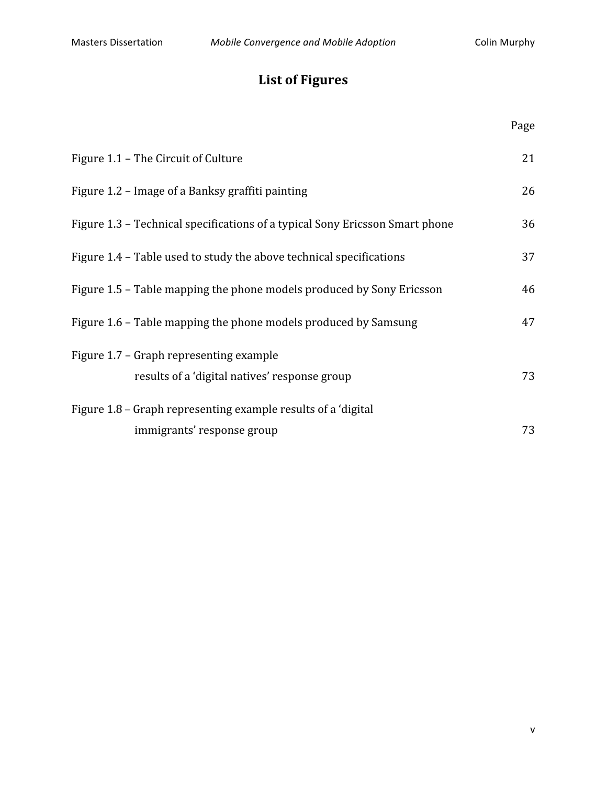# **List
of
Figures**

|                                                                                          | Page |
|------------------------------------------------------------------------------------------|------|
| Figure 1.1 – The Circuit of Culture                                                      | 21   |
| Figure 1.2 – Image of a Banksy graffiti painting                                         | 26   |
| Figure 1.3 – Technical specifications of a typical Sony Ericsson Smart phone             | 36   |
| Figure 1.4 – Table used to study the above technical specifications                      | 37   |
| Figure 1.5 – Table mapping the phone models produced by Sony Ericsson                    | 46   |
| Figure 1.6 – Table mapping the phone models produced by Samsung                          | 47   |
| Figure 1.7 – Graph representing example<br>results of a 'digital natives' response group | 73   |
| Figure 1.8 – Graph representing example results of a 'digital                            |      |
| immigrants' response group                                                               | 73   |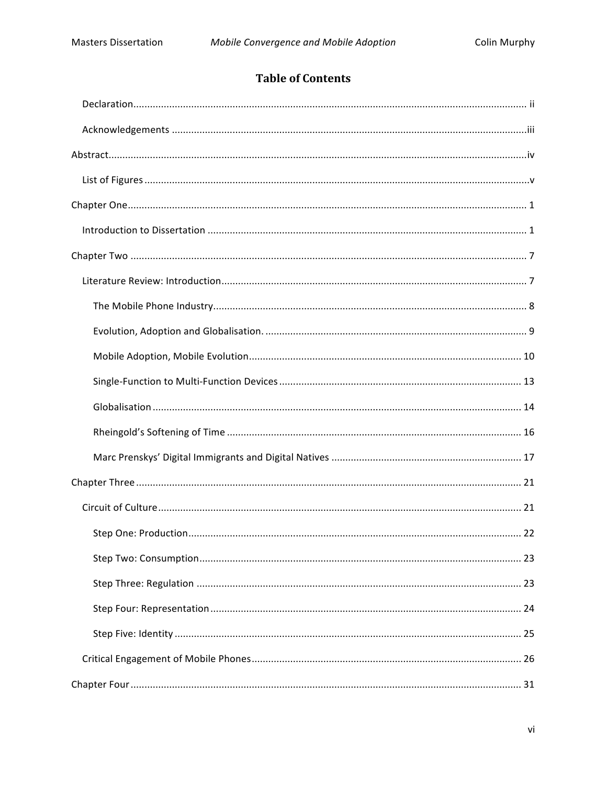# **Table of Contents**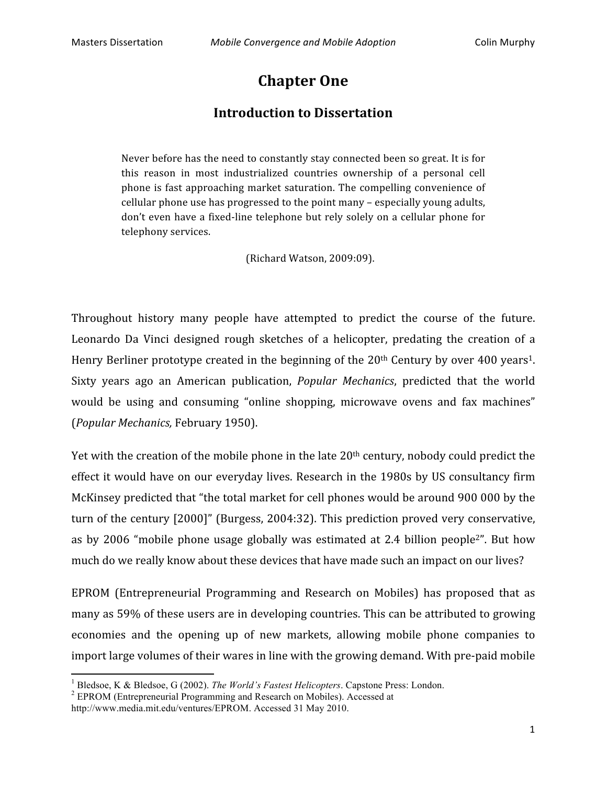# **Chapter
One**

## **Introduction
to
Dissertation**

Never before has the need to constantly stay connected been so great. It is for this reason in most industrialized countries ownership of a personal cell phone
is
 fast
approaching
market
saturation.
The
compelling
convenience
of cellular
phone
use
has
progressed
to
the
point
many
–
especially
young
adults, don't even have a fixed-line telephone but rely solely on a cellular phone for telephony
services.

(Richard
Watson,
2009:09).

Throughout history many people have attempted to predict the course of the future. Leonardo Da Vinci designed rough sketches of a helicopter, predating the creation of a Henry Berliner prototype created in the beginning of the 20<sup>th</sup> Century by over 400 years<sup>1</sup>. Sixty years ago an American publication, *Popular Mechanics*, predicted that the world would be using and consuming "online shopping, microwave ovens and fax machines" (*Popular
Mechanics,* February
1950).

Yet with the creation of the mobile phone in the late 20<sup>th</sup> century, nobody could predict the effect it would have on our everyday lives. Research in the 1980s by US consultancy firm McKinsey predicted that "the total market for cell phones would be around 900 000 by the turn of the century [2000]" (Burgess, 2004:32). This prediction proved very conservative, as by 2006 "mobile phone usage globally was estimated at 2.4 billion people<sup>2</sup>". But how much do we really know about these devices that have made such an impact on our lives?

EPROM (Entrepreneurial Programming and Research on Mobiles) has proposed that as many
as
59%
of
these
users
are
in
developing
countries.
This
can
be
attributed
to
growing economies and the opening up of new markets, allowing mobile phone companies to import large volumes of their wares in line with the growing demand. With pre-paid mobile

<sup>&</sup>lt;sup>1</sup> Bledsoe, K & Bledsoe, G (2002). The World's Fastest Helicopters. Capstone Press: London.

<sup>&</sup>lt;sup>2</sup> EPROM (Entrepreneurial Programming and Research on Mobiles). Accessed at

http://www.media.mit.edu/ventures/EPROM. Accessed 31 May 2010.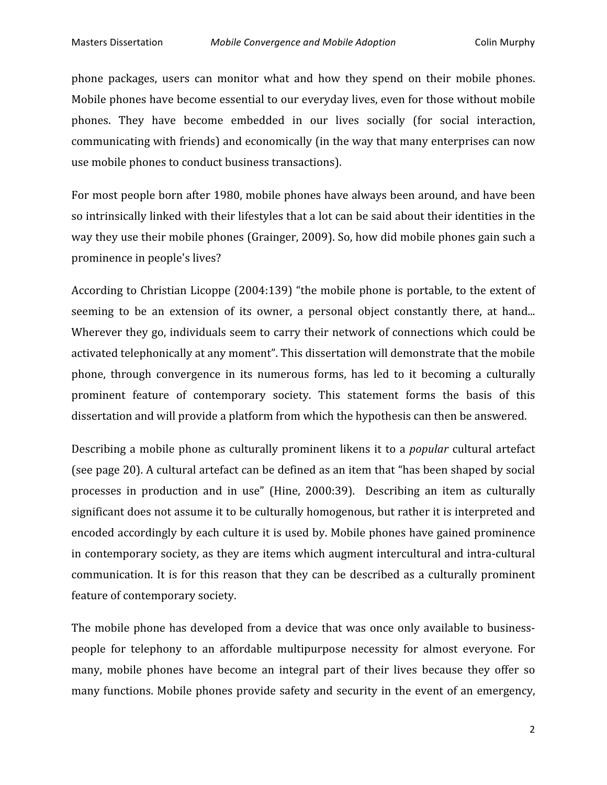phone packages, users can monitor what and how they spend on their mobile phones. Mobile
phones
have
become
essential
to
our
everyday
lives,
even
for
those
without
mobile phones. They have become embedded in our lives socially (for social interaction, communicating
with
friends)
and
economically
(in
the
way
that
many
enterprises
can
now use
mobile
phones
to
conduct
business
transactions).

For
most
people
born
after
1980,
mobile
phones
have
always
been
around,
and
have
been so intrinsically linked with their lifestyles that a lot can be said about their identities in the way they use their mobile phones (Grainger, 2009). So, how did mobile phones gain such a prominence
in
people's
lives?

According to Christian Licoppe (2004:139) "the mobile phone is portable, to the extent of seeming to be an extension of its owner, a personal object constantly there, at hand... Wherever they go, individuals seem to carry their network of connections which could be activated telephonically at any moment". This dissertation will demonstrate that the mobile phone,
 through
 convergence
 in
 its
 numerous
 forms,
 has
 led
 to
 it
 becoming
 a
 culturally prominent feature of contemporary society. This statement forms the basis of this dissertation
and
will
provide
a
platform
from
which
the
hypothesis
can
then
be
answered.

Describing a mobile phone as culturally prominent likens it to a *popular* cultural artefact (see
page
20).
A
cultural
artefact
can
be
defined
as
an
item
that
"has
been
shaped
by
social processes in production and in use" (Hine, 2000:39). Describing an item as culturally significant
does
not
assume
it
to
be
culturally
homogenous,
but
rather
it
is
interpreted
and encoded
accordingly
by
each
culture
it
is
used
by.
Mobile
phones
have
gained
prominence in contemporary society, as they are items which augment intercultural and intra-cultural communication. It is for this reason that they can be described as a culturally prominent feature
of
contemporary
society.

The mobile phone has developed from a device that was once only available to businesspeople
 for
 telephony
 to
 an
 affordable multipurpose necessity
 for
 almost
 everyone.
 For many, mobile phones have become an integral part of their lives because they offer so many
 functions.
Mobile
phones
provide
safety
and
security
in
 the
event
of
an
emergency,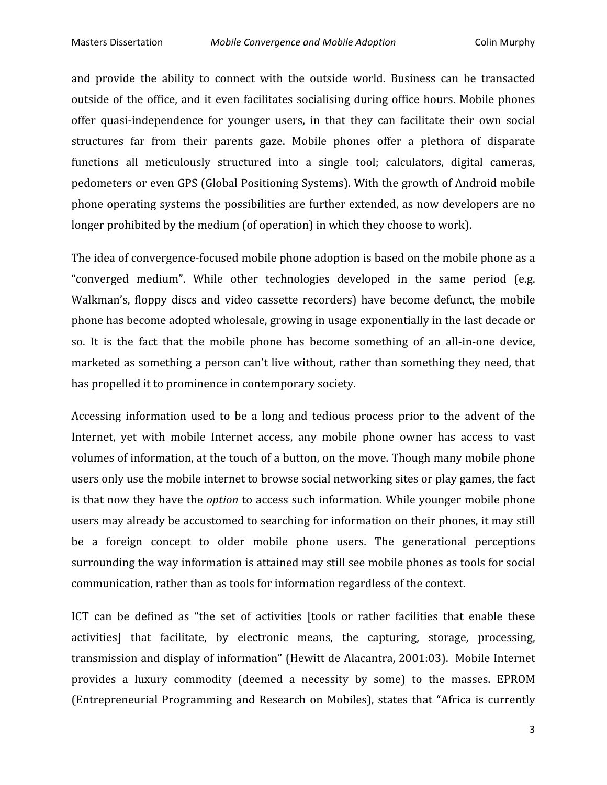and
 provide
 the
 ability
 to
 connect
 with
 the
 outside
 world. Business
 can
 be transacted outside of the office, and it even facilitates socialising during office hours. Mobile phones offer quasi-independence for younger users, in that they can facilitate their own social structures far from their parents gaze. Mobile phones offer a plethora of disparate functions all meticulously structured into a single tool; calculators, digital cameras, pedometers
or
even
GPS
(Global
Positioning
Systems).
With
the
growth
of
Android
mobile phone
operating
systems
the
possibilities
are
 further
extended,
as
now
developers
are
no longer prohibited by the medium (of operation) in which they choose to work).

The idea of convergence-focused mobile phone adoption is based on the mobile phone as a "converged medium". While other technologies developed in the same period (e.g. Walkman's, floppy discs and video cassette recorders) have become defunct, the mobile phone
has
become
adopted
wholesale,
growing
in
usage
exponentially
in
the
last
decade
or so. It is the fact that the mobile phone has become something of an all-in-one device, marketed as something a person can't live without, rather than something they need, that has propelled it to prominence in contemporary society.

Accessing information used to be a long and tedious process prior to the advent of the Internet, yet with mobile Internet access, any mobile phone owner has access to vast volumes of information, at the touch of a button, on the move. Though many mobile phone users
only
use
the
mobile
internet
to
browse
social
networking
sites
or
play
games,
the
fact is that now they have the *option* to access such information. While younger mobile phone users
may
already
be
accustomed
to
searching
for
information
on
their
phones,
it
may
still be
 a
 foreign
 concept
 to
 older
 mobile
 phone
 users.
 The
 generational
 perceptions surrounding the way information is attained may still see mobile phones as tools for social communication,
rather
than
as
tools
for
information
regardless
of
the
context.

ICT can be defined as "the set of activities [tools or rather facilities that enable these activities] that facilitate, by electronic means, the capturing, storage, processing, transmission
and
display
of
information"
(Hewitt
de
Alacantra,
2001:03).

Mobile
Internet provides a luxury commodity (deemed a necessity by some) to the masses. EPROM (Entrepreneurial Programming and Research on Mobiles), states that "Africa is currently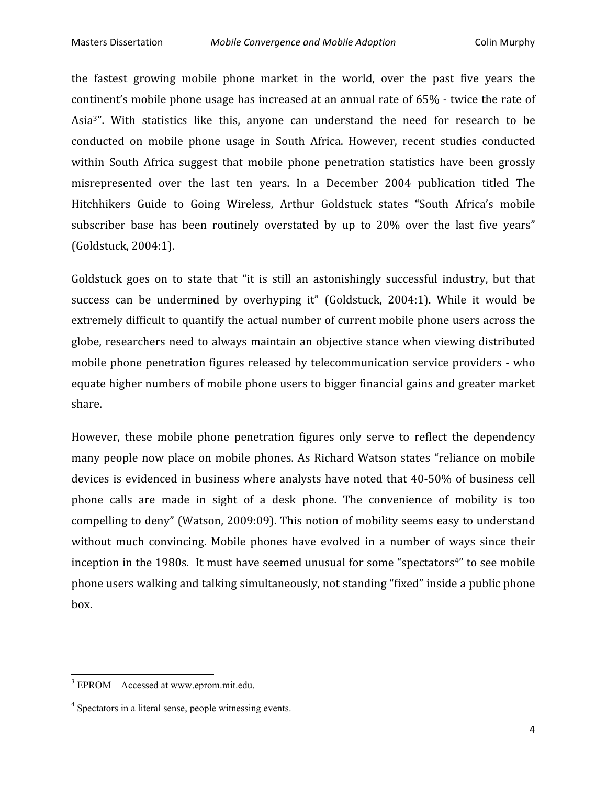the fastest growing mobile phone market in the world, over the past five years the continent's
mobile
phone
usage
has
increased
at
an
annual
rate
of
65%
‐
twice
the
rate
of Asia<sup>3</sup>". With statistics like this, anyone can understand the need for research to be conducted
 on
 mobile
 phone
 usage
 in
 South
 Africa.
 However,
 recent
 studies
 conducted within South Africa suggest that mobile phone penetration statistics have been grossly misrepresented over the last ten years. In a December 2004 publication titled The Hitchhikers Guide to Going Wireless, Arthur Goldstuck states "South Africa's mobile subscriber base has been routinely overstated by up to 20% over the last five years" (Goldstuck,
2004:1).

Goldstuck goes on to state that "it is still an astonishingly successful industry, but that success can be undermined by overhyping it" (Goldstuck, 2004:1). While it would be extremely difficult to quantify the actual number of current mobile phone users across the globe,
researchers
need
 to
always
maintain
an
objective
stance
when
viewing
distributed mobile phone penetration figures released by telecommunication service providers - who equate
higher
numbers
of
mobile
phone
users
to
bigger
financial
gains
and
greater
market share.

However, these mobile phone penetration figures only serve to reflect the dependency many
people
now
place
 on
mobile
phones.
As
Richard
Watson
states
 "reliance
 on
mobile devices is evidenced in business where analysts have noted that 40-50% of business cell phone calls are made in sight of a desk phone. The convenience of mobility is too compelling
to
deny"
(Watson,
2009:09).
This
notion
of
mobility
seems
easy
to
understand without much convincing. Mobile phones have evolved in a number of ways since their inception in the 1980s. It must have seemed unusual for some "spectators<sup>4"</sup> to see mobile phone
users
walking
and
talking
simultaneously,
not
standing
"fixed"
inside
a
public
phone box.

<sup>3</sup> EPROM – Accessed at www.eprom.mit.edu.

<sup>&</sup>lt;sup>4</sup> Spectators in a literal sense, people witnessing events.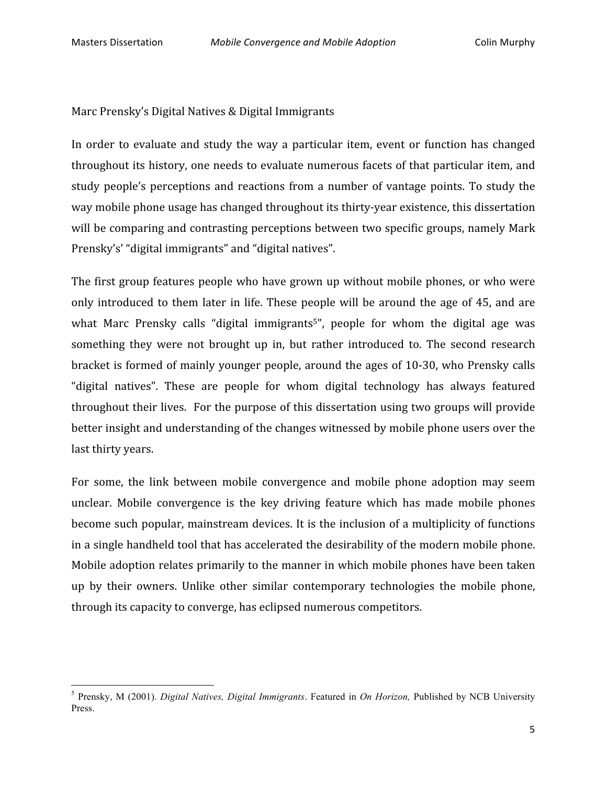<u> 1989 - Johann Stein, fransk politik (d. 1989)</u>

Marc
Prensky's
Digital
Natives
&
Digital
Immigrants

In order to evaluate and study the way a particular item, event or function has changed throughout its history, one needs to evaluate numerous facets of that particular item, and study people's perceptions and reactions from a number of vantage points. To study the way mobile phone usage has changed throughout its thirty-year existence, this dissertation will be comparing and contrasting perceptions between two specific groups, namely Mark Prensky's' "digital immigrants" and "digital natives".

The
 first
group
 features
people
who
have
grown
up
without
mobile
phones,
or
who
were only introduced to them later in life. These people will be around the age of 45, and are what Marc Prensky calls "digital immigrants<sup>5</sup>", people for whom the digital age was something they were not brought up in, but rather introduced to. The second research bracket
is
 formed
of
mainly
younger
people,
around
 the
ages
of
10‐30,
who
Prensky
calls "digital
 natives".
 These
 are
 people
 for
 whom
 digital
 technology
 has
 always
 featured throughout their lives. For the purpose of this dissertation using two groups will provide better
insight
and
understanding
of
the
changes
witnessed
by
mobile
phone
users
over
the last
thirty
years.

For some, the link between mobile convergence and mobile phone adoption may seem unclear. Mobile convergence is the key driving feature which has made mobile phones become such popular, mainstream devices. It is the inclusion of a multiplicity of functions in
a
single
handheld
tool
that
has
accelerated
the
desirability
of
the
modern
mobile
phone. Mobile adoption relates primarily to the manner in which mobile phones have been taken up
 by
 their
 owners.
 Unlike
 other
 similar contemporary technologies
 the
 mobile
 phone, through
its
capacity
to
converge,
has
eclipsed
numerous
competitors.

<sup>5</sup> Prensky, M (2001). *Digital Natives, Digital Immigrants*. Featured in *On Horizon,* Published by NCB University Press.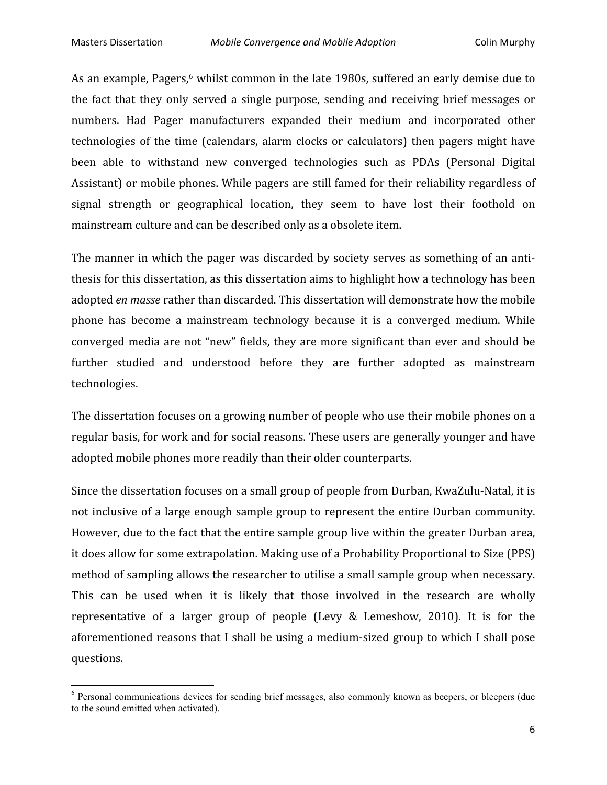<u> 1989 - Johann Stein, fransk politik (d. 1989)</u>

As an example, Pagers,<sup>6</sup> whilst common in the late 1980s, suffered an early demise due to the
 fact
 that
 they
 only
 served
 a single
 purpose,
 sending
 and
 receiving brief
messages
 or numbers.
 Had
 Pager
 manufacturers expanded
 their
 medium
 and
 incorporated
 other technologies of the time (calendars, alarm clocks or calculators) then pagers might have been able to withstand new converged technologies such as PDAs (Personal Digital Assistant) or mobile phones. While pagers are still famed for their reliability regardless of signal strength or geographical location, they seem to have lost their foothold on mainstream
culture
and
can
be
described
only
as
a
obsolete
item.

The manner in which the pager was discarded by society serves as something of an antithesis for this dissertation, as this dissertation aims to highlight how a technology has been adopted *en
masse*rather
than
discarded.
This
dissertation
will
demonstrate
how
the
mobile phone has become a mainstream technology because it is a converged medium. While converged media are not "new" fields, they are more significant than ever and should be further studied and understood before they are further adopted as mainstream technologies.

The dissertation focuses on a growing number of people who use their mobile phones on a regular basis, for work and for social reasons. These users are generally younger and have adopted
mobile
phones
more
readily
than
their
older
counterparts.

Since the dissertation focuses on a small group of people from Durban, KwaZulu-Natal, it is not
inclusive
of
a
large
enough
sample
group
 to
 represent
 the
entire
Durban
community. However, due to the fact that the entire sample group live within the greater Durban area, it
does
allow
for
some
extrapolation.
Making
use
of
a
Probability
Proportional
to
Size
(PPS) method
of
sampling
allows
the
researcher
to
utilise
a
small
sample
group
when
necessary. This can be used when it is likely that those involved in the research are wholly representative of a larger group of people (Levy & Lemeshow, 2010). It is for the aforementioned
reasons
 that
 I
shall
be
using
a
medium‐sized
group
 to
which
 I
shall
pose questions.

<sup>&</sup>lt;sup>6</sup> Personal communications devices for sending brief messages, also commonly known as beepers, or bleepers (due to the sound emitted when activated).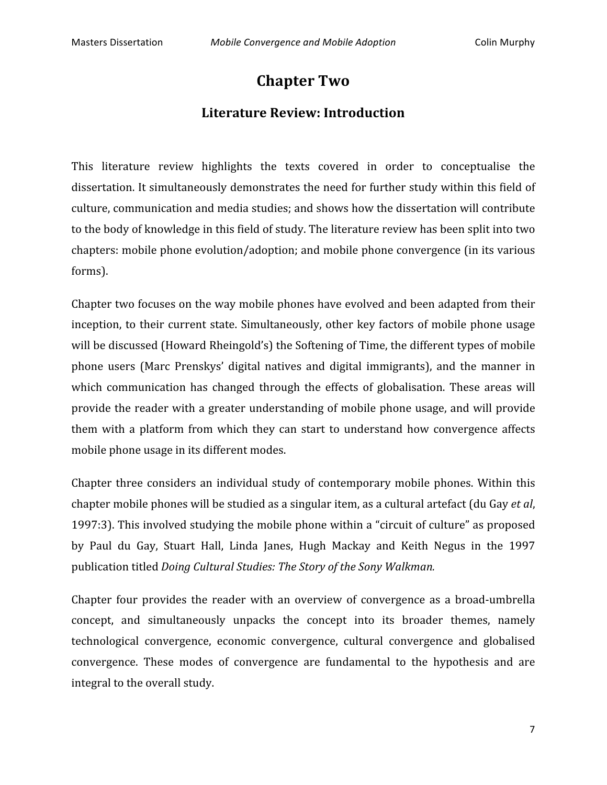# **Chapter
Two**

#### **Literature
Review:
Introduction**

This literature review highlights the texts covered in order to conceptualise the dissertation. It simultaneously demonstrates the need for further study within this field of culture,
communication
and
media
studies;
and
shows
how
the
dissertation
will
contribute to the body of knowledge in this field of study. The literature review has been split into two chapters:
mobile
phone
evolution/adoption;
and
mobile
phone
convergence
(in
its
various forms).

Chapter
two
focuses
on
the
way
mobile
phones
have
evolved
and
been
adapted
from
their inception, to their current state. Simultaneously, other key factors of mobile phone usage will be discussed (Howard Rheingold's) the Softening of Time, the different types of mobile phone users (Marc Prenskys' digital natives and digital immigrants), and the manner in which communication has changed through the effects of globalisation. These areas will provide the reader with a greater understanding of mobile phone usage, and will provide them
 with
 a
 platform
 from
 which
 they
 can
 start
 to
 understand
 how
 convergence
 affects mobile
phone
usage
in
its
different
modes.

Chapter three considers an individual study of contemporary mobile phones. Within this chapter
mobile
phones
will
be
studied
as
a
singular
item,
as
a
cultural
artefact
(du
Gay *et
al*, 1997:3). This involved studying the mobile phone within a "circuit of culture" as proposed by Paul du Gay, Stuart Hall, Linda Janes, Hugh Mackay and Keith Negus in the 1997 publication
titled *Doing
Cultural
Studies:
The
Story
of
the
Sony
Walkman.* 

Chapter four provides the reader with an overview of convergence as a broad-umbrella concept,
 and
 simultaneously
 unpacks
 the
 concept
 into
 its
 broader
 themes,
 namely technological
 convergence,
 economic
 convergence,
 cultural
 convergence
 and
 globalised convergence.
 These
 modes
 of
 convergence
 are
 fundamental
 to the
 hypothesis
 and
 are integral
to
the
overall
study.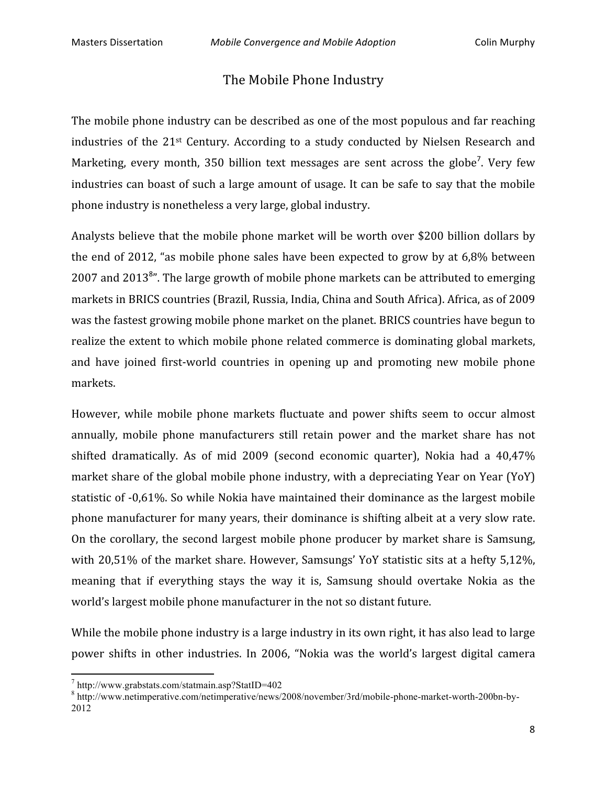#### The
Mobile
Phone
Industry

The
mobile
phone
industry
can
be
described
as
one
of
the
most
populous
and
far
reaching industries of the 21<sup>st</sup> Century. According to a study conducted by Nielsen Research and Marketing, every month, 350 billion text messages are sent across the globe<sup>7</sup>. Very few industries can boast of such a large amount of usage. It can be safe to say that the mobile phone
industry
is
nonetheless
a
very
large,
global
industry.

Analysts believe that the mobile phone market will be worth over \$200 billion dollars by the
end
of
2012,
"as
mobile
phone
sales
have
been
expected
 to
grow
by
at
6,8%
between 2007 and 2013<sup>8</sup>". The large growth of mobile phone markets can be attributed to emerging markets
in
BRICS
countries
(Brazil,
Russia,
India,
China
and
South
Africa).
Africa,
as
of
2009 was the fastest growing mobile phone market on the planet. BRICS countries have begun to realize
the
extent
to
which
mobile
phone
related
commerce
is
dominating
global
markets, and have joined first-world countries in opening up and promoting new mobile phone markets.

However, while mobile phone markets fluctuate and power shifts seem to occur almost annually, mobile phone manufacturers still retain power and the market share has not shifted dramatically. As of mid 2009 (second economic quarter), Nokia had a 40,47% market share of the global mobile phone industry, with a depreciating Year on Year (YoY) statistic of -0,61%. So while Nokia have maintained their dominance as the largest mobile phone manufacturer for many years, their dominance is shifting albeit at a very slow rate. On
 the
corollary,
 the
second
largest
mobile
phone
producer
by
market
share
is
Samsung, with 20,51% of the market share. However, Samsungs' YoY statistic sits at a hefty 5,12%, meaning that if everything stays the way it is, Samsung should overtake Nokia as the world's largest mobile phone manufacturer in the not so distant future.

While the mobile phone industry is a large industry in its own right, it has also lead to large power
 shifts
 in
 other
 industries.
 In
 2006,
 "Nokia
 was
 the
 world's
 largest
 digital
 camera

<sup>7</sup> http://www.grabstats.com/statmain.asp?StatID=402

<sup>8</sup> http://www.netimperative.com/netimperative/news/2008/november/3rd/mobile-phone-market-worth-200bn-by-2012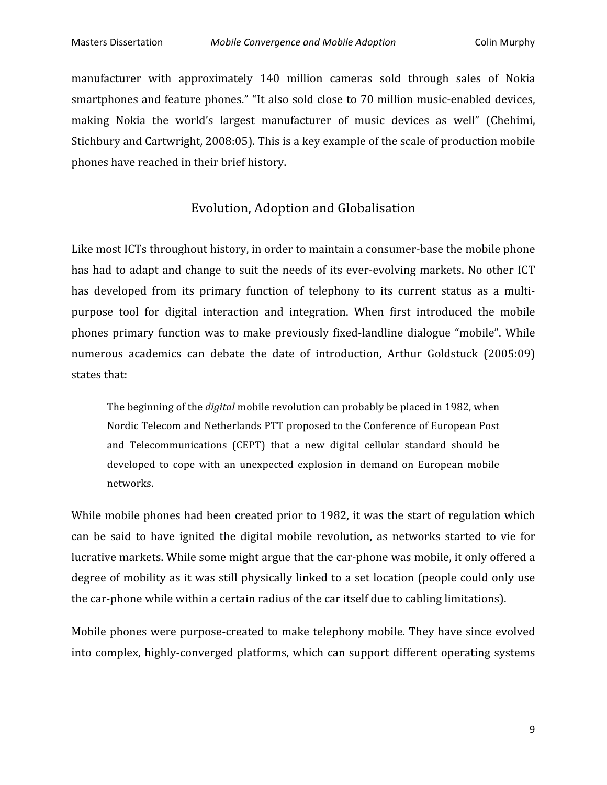manufacturer with approximately 140 million cameras sold through sales of Nokia smartphones and feature phones." "It also sold close to 70 million music-enabled devices, making Nokia the world's largest manufacturer of music devices as well" (Chehimi, Stichbury
and
Cartwright,
2008:05).
This
is
a
key
example
of
the
scale
of
production
mobile phones
have
reached
in
their
brief
history.

#### Evolution,
Adoption
and
Globalisation

Like most ICTs throughout history, in order to maintain a consumer-base the mobile phone has had to adapt and change to suit the needs of its ever-evolving markets. No other ICT has developed from its primary function of telephony to its current status as a multipurpose
 tool
 for
 digital
 interaction
 and
 integration.
 When first
 introduced
 the
 mobile phones primary function was to make previously fixed-landline dialogue "mobile". While numerous academics can debate the date of introduction, Arthur Goldstuck (2005:09) states
that:

The beginning of the *digital* mobile revolution can probably be placed in 1982, when Nordic
Telecom
and
Netherlands
PTT
proposed
to
the
Conference
of
European
Post and
 Telecommunications
 (CEPT)
 that
 a
 new
 digital
 cellular
 standard
 should
 be developed to cope with an unexpected explosion in demand on European mobile networks.

While mobile phones had been created prior to 1982, it was the start of regulation which can
 be
 said
 to
 have
 ignited
 the
 digital
 mobile
 revolution,
 as
 networks
 started
 to
 vie
 for lucrative markets. While some might argue that the car-phone was mobile, it only offered a degree of mobility as it was still physically linked to a set location (people could only use the
car‐phone
while
within
a
certain
radius
of
the
car
itself
due
to
cabling
limitations).

Mobile phones were purpose-created to make telephony mobile. They have since evolved into complex, highly-converged platforms, which can support different operating systems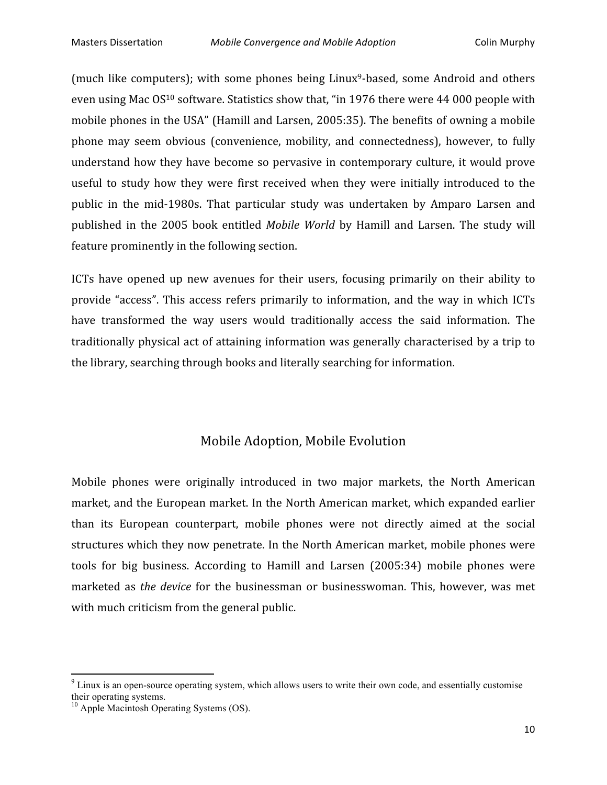(much like computers); with some phones being Linux<sup>9</sup>-based, some Android and others even using Mac OS<sup>10</sup> software. Statistics show that, "in 1976 there were 44 000 people with mobile
phones
in
the
USA"
(Hamill
and
Larsen,
2005:35). The
benefits
of
owning
a
mobile phone may seem obvious (convenience, mobility, and connectedness), however, to fully understand
how
 they
have
become
so
pervasive
in
contemporary
culture,
it
would
prove useful to study how they were first received when they were initially introduced to the public in the mid-1980s. That particular study was undertaken by Amparo Larsen and published in the 2005 book entitled *Mobile World* by Hamill and Larsen. The study will feature
prominently
in
the
following
section.

ICTs have opened up new avenues for their users, focusing primarily on their ability to provide "access". This access refers primarily to information, and the way in which ICTs have transformed the way users would traditionally access the said information. The traditionally
physical
act
of
attaining
information
was
generally
characterised
by
a
 trip
 to the
library,
searching
through
books
and
literally
searching
for
information.

#### Mobile
Adoption,
Mobile
Evolution

Mobile phones were originally introduced in two major markets, the North American market,
and
the
European
market.
In
the
North
American
market,
which
expanded
earlier than
 its
 European
 counterpart,
 mobile
 phones
 were
 not
 directly
 aimed
 at
 the
 social structures
which
they
now
penetrate.
In
the
North
American
market,
mobile
phones
were tools for big business. According to Hamill and Larsen (2005:34) mobile phones were marketed as *the device* for the businessman or businesswoman. This, however, was met with much criticism from the general public.

 $9$  Linux is an open-source operating system, which allows users to write their own code, and essentially customise their operating systems.

 $10$  Apple Macintosh Operating Systems (OS).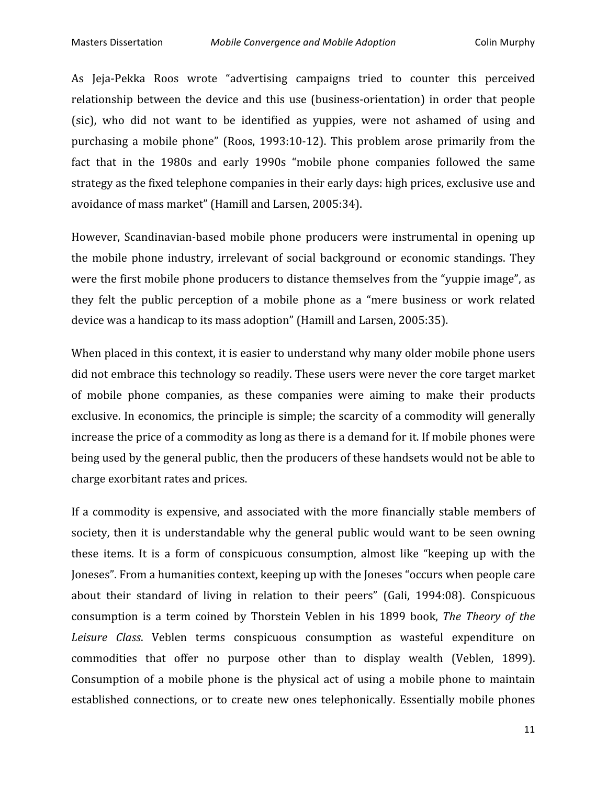As
 Jeja‐Pekka
 Roos
 wrote
 "advertising
 campaigns
 tried
 to
 counter
 this
 perceived relationship between the device and this use (business-orientation) in order that people (sic), who did not want to be identified as vuppies, were not ashamed of using and purchasing
 a
 mobile
 phone"
 (Roos,
 1993:10‐12).
 This
 problem
 arose
 primarily
 from
 the fact that in the 1980s and early 1990s "mobile phone companies followed the same strategy
as
the
fixed
telephone
companies
in
their
early
days:
high
prices,
exclusive
use
and avoidance
of
mass
market"
(Hamill
and
Larsen,
2005:34).

However, Scandinavian-based mobile phone producers were instrumental in opening up the mobile phone industry, irrelevant of social background or economic standings. They were the first mobile phone producers to distance themselves from the "yuppie image", as they felt the public perception of a mobile phone as a "mere business or work related device was a handicap to its mass adoption" (Hamill and Larsen, 2005:35).

When placed in this context, it is easier to understand why many older mobile phone users did not embrace this technology so readily. These users were never the core target market of
 mobile
 phone
 companies,
 as
 these
 companies
 were
 aiming
 to
 make
 their
 products exclusive. In economics, the principle is simple; the scarcity of a commodity will generally increase
the
price
of
a
commodity
as
long
as
there
is
a
demand
for
it.
If
mobile
phones
were being used by the general public, then the producers of these handsets would not be able to charge
exorbitant
rates
and
prices.

If a commodity is expensive, and associated with the more financially stable members of society, then it is understandable why the general public would want to be seen owning these items. It is a form of conspicuous consumption, almost like "keeping up with the Joneses".
From
a
humanities
context,
keeping
up
with
the
Joneses
"occurs
when
people
care about their standard of living in relation to their peers" (Gali, 1994:08). Conspicuous consumption is a term coined by Thorstein Veblen in his 1899 book, The Theory of the Leisure Class. Veblen terms conspicuous consumption as wasteful expenditure on commodities that offer no purpose other than to display wealth (Veblen, 1899). Consumption of a mobile phone is the physical act of using a mobile phone to maintain established connections, or to create new ones telephonically. Essentially mobile phones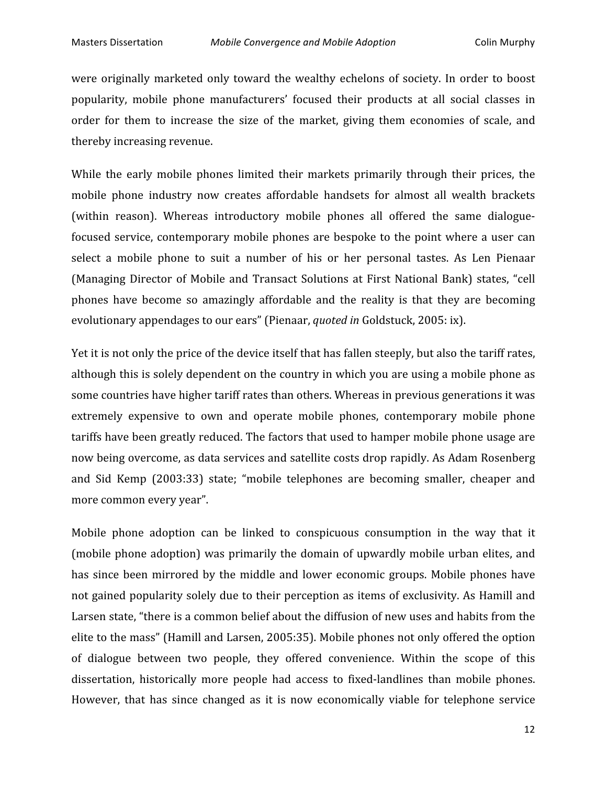were originally marketed only toward the wealthy echelons of society. In order to boost popularity,
 mobile
 phone
 manufacturers'
 focused
 their
 products
 at
 all
 social
 classes
 in order for them to increase the size of the market, giving them economies of scale, and thereby
increasing
revenue.

While the early mobile phones limited their markets primarily through their prices, the mobile phone industry now creates affordable handsets for almost all wealth brackets (within reason). Whereas introductory mobile phones all offered the same dialoguefocused service, contemporary mobile phones are bespoke to the point where a user can select a mobile phone to suit a number of his or her personal tastes. As Len Pienaar (Managing Director of Mobile and Transact Solutions at First National Bank) states, "cell phones
 have
 become
 so
 amazingly
 affordable
 and
 the
 reality
 is
 that
 they
 are
 becoming evolutionary appendages to our ears" (Pienaar, *quoted in* Goldstuck, 2005: ix).

Yet it is not only the price of the device itself that has fallen steeply, but also the tariff rates, although this is solely dependent on the country in which you are using a mobile phone as some
countries
have
higher
tariff
rates
than
others.
Whereas
in
previous
generations
it
was extremely expensive to own and operate mobile phones, contemporary mobile phone tariffs
have
been
greatly
reduced.
The
factors
that
used
to
hamper mobile
phone
usage
are now being overcome, as data services and satellite costs drop rapidly. As Adam Rosenberg and
 Sid
 Kemp
 (2003:33)
 state;
 "mobile
 telephones
 are
 becoming
 smaller,
 cheaper
 and more
common
every
year".

Mobile phone adoption can be linked to conspicuous consumption in the way that it (mobile
phone
adoption)
was
primarily
 the
domain
of
upwardly
mobile
urban
elites,
and has since been mirrored by the middle and lower economic groups. Mobile phones have not
gained
popularity
solely
due
to
their
perception
as
items
of
exclusivity.
As
Hamill
and Larsen state, "there is a common belief about the diffusion of new uses and habits from the elite to the mass" (Hamill and Larsen, 2005:35). Mobile phones not only offered the option of
 dialogue
 between
 two
 people, they
 offered
 convenience. Within
 the
 scope
 of
 this dissertation, historically more people had access to fixed-landlines than mobile phones. However, that has since changed as it is now economically viable for telephone service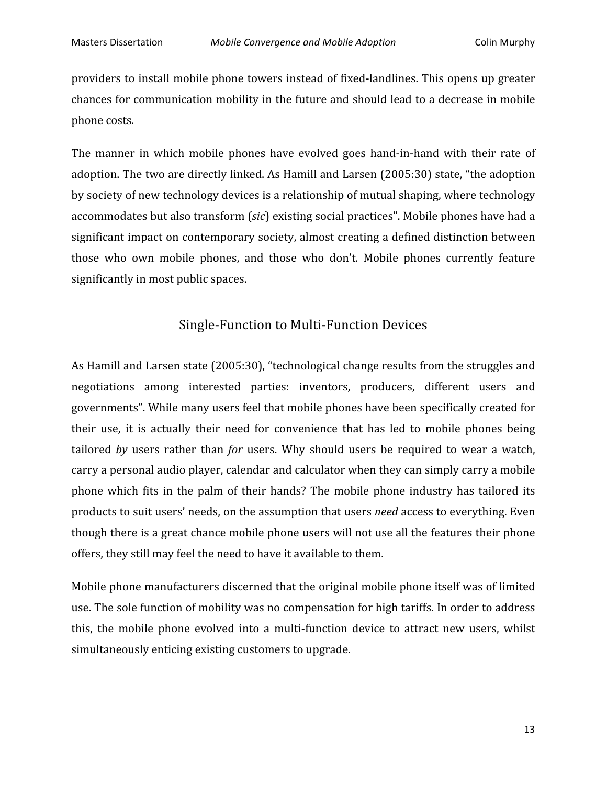providers
to
install
mobile
phone
towers
instead
of
 fixed‐landlines.
This
opens
up
greater chances for communication mobility in the future and should lead to a decrease in mobile phone
costs.

The manner in which mobile phones have evolved goes hand-in-hand with their rate of adoption. The two are directly linked. As Hamill and Larsen (2005:30) state, "the adoption by
society
of
new
technology
devices
is
a
relationship
of
mutual
shaping,
where
technology accommodates but also transform (sic) existing social practices". Mobile phones have had a significant
impact
on
contemporary
society,
almost
creating
a
defined
distinction
between those
 who
 own
 mobile
 phones,
 and
 those
 who
 don't.
 Mobile
 phones
 currently
 feature significantly
in
most
public
spaces.

#### Single‐Function
to
Multi‐Function
Devices

As
Hamill
and
Larsen
state
(2005:30),
"technological
change
results
from
the
struggles
and negotiations among interested parties: inventors, producers, different users and governments".
While
many
users
feel
that
mobile
phones
have
been
specifically
created
for their use, it is actually their need for convenience that has led to mobile phones being tailored by users rather than *for* users. Why should users be required to wear a watch, carry
a
personal
audio
player,
calendar
and
calculator
when
they
can
simply
carry
a
mobile phone which fits in the palm of their hands? The mobile phone industry has tailored its products to suit users' needs, on the assumption that users *need* access to everything. Even though
there
is
a
great
chance
mobile
phone
users
will
not
use
all
the
features
their
phone offers,
they
still
may
feel
the
need
to
have
it
available
to
them.

Mobile phone manufacturers discerned that the original mobile phone itself was of limited use. The sole function of mobility was no compensation for high tariffs. In order to address this, the mobile phone evolved into a multi-function device to attract new users, whilst simultaneously
enticing
existing
customers
to
upgrade.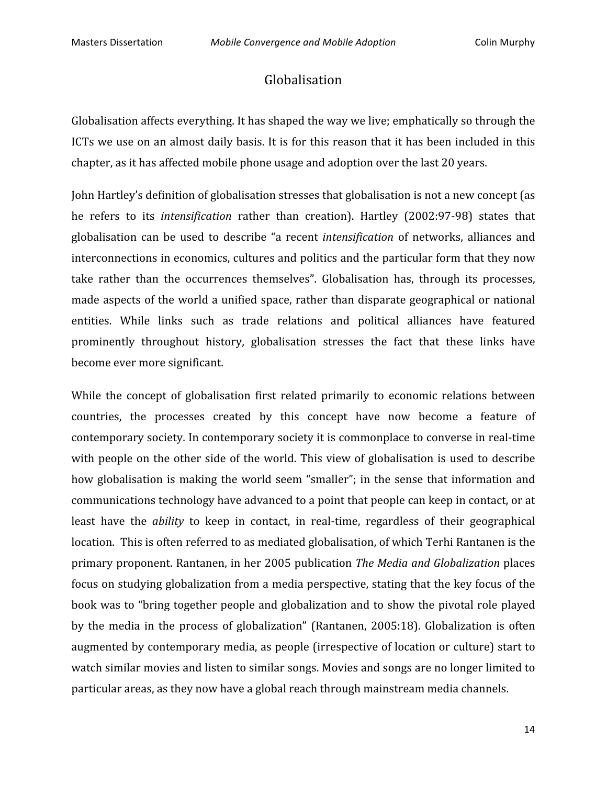#### Globalisation

Globalisation affects everything. It has shaped the way we live; emphatically so through the ICTs we use on an almost daily basis. It is for this reason that it has been included in this chapter,
as
it
has
affected
mobile
phone
usage
and
adoption
over
the
last
20
years.

John Hartley's definition of globalisation stresses that globalisation is not a new concept (as he refers to its *intensification* rather than creation). Hartley (2002:97-98) states that globalisation can be used to describe "a recent *intensification* of networks, alliances and interconnections in economics, cultures and politics and the particular form that they now take rather than the occurrences themselves". Globalisation has, through its processes, made aspects of the world a unified space, rather than disparate geographical or national entities. While links such as trade relations and political alliances have featured prominently throughout history, globalisation stresses the fact that these links have become
ever
more
significant.

While the concept of globalisation first related primarily to economic relations between countries,
 the
 processes
 created
 by
 this
 concept
 have
 now
 become
 a
 feature
 of contemporary
society.
In
contemporary
society
it
is
commonplace
to
converse
in
real‐time with people on the other side of the world. This view of globalisation is used to describe how globalisation is making the world seem "smaller"; in the sense that information and communications technology have advanced to a point that people can keep in contact, or at least have the *ability* to keep in contact, in real-time, regardless of their geographical location. This is often referred to as mediated globalisation, of which Terhi Rantanen is the primary proponent. Rantanen, in her 2005 publication *The Media and Globalization* places focus on studying globalization from a media perspective, stating that the key focus of the book was to "bring together people and globalization and to show the pivotal role played by the media in the process of globalization" (Rantanen, 2005:18). Globalization is often augmented
by
contemporary
media,
as
people
(irrespective
of
location
or
culture)
start
to watch similar movies and listen to similar songs. Movies and songs are no longer limited to particular
areas,
as
they
now
have
a
global
reach
through
mainstream
media
channels.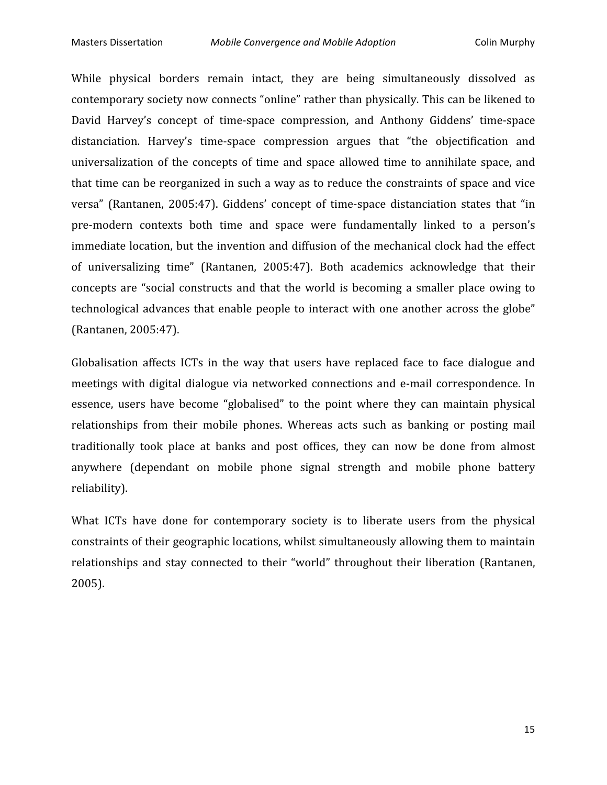While physical borders remain intact, they are being simultaneously dissolved as contemporary
society
now
connects
"online"
rather
than
physically.
This
can
be
likened
to David Harvey's concept of time-space compression, and Anthony Giddens' time-space distanciation. Harvey's time-space compression argues that "the objectification and universalization of the concepts of time and space allowed time to annihilate space, and that time can be reorganized in such a way as to reduce the constraints of space and vice versa" (Rantanen, 2005:47). Giddens' concept of time-space distanciation states that "in pre-modern contexts both time and space were fundamentally linked to a person's immediate location, but the invention and diffusion of the mechanical clock had the effect of universalizing time" (Rantanen, 2005:47). Both academics acknowledge that their concepts
 are
 "social
 constructs
 and
 that
 the
 world
is
 becoming
 a
 smaller
 place
 owing
 to technological advances that enable people to interact with one another across the globe" (Rantanen,
2005:47).

Globalisation affects ICTs in the way that users have replaced face to face dialogue and meetings with digital dialogue via networked connections and e-mail correspondence. In essence, users have become "globalised" to the point where they can maintain physical relationships from their mobile phones. Whereas acts such as banking or posting mail traditionally took place at banks and post offices, they can now be done from almost anywhere (dependant on mobile phone signal strength and mobile phone battery reliability).

What ICTs have done for contemporary society is to liberate users from the physical constraints
of
their
geographic
locations,
whilst
simultaneously
allowing
them
to
maintain relationships and stay connected to their "world" throughout their liberation (Rantanen, 2005).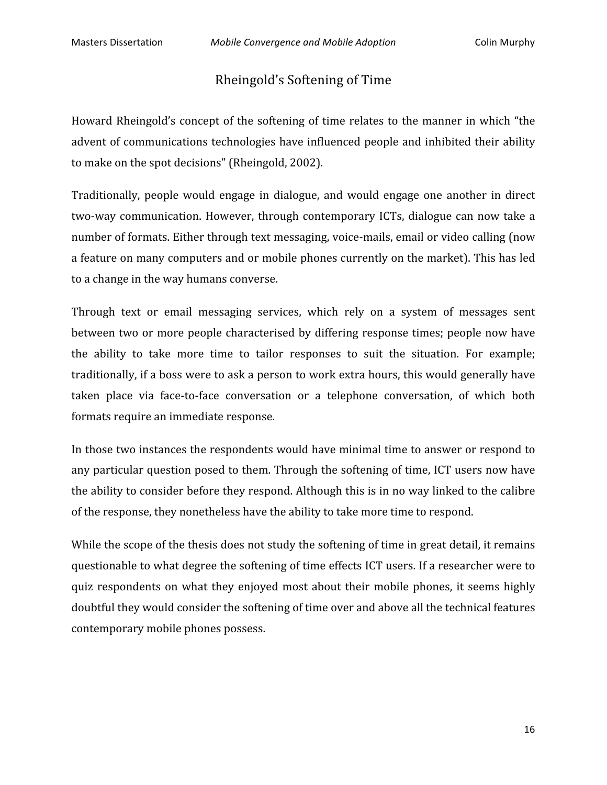#### Rheingold's
Softening
of
Time

Howard Rheingold's concept of the softening of time relates to the manner in which "the advent of communications technologies have influenced people and inhibited their ability to
make
on
the
spot
decisions"
(Rheingold,
2002).

Traditionally, people would engage in dialogue, and would engage one another in direct two-way communication. However, through contemporary ICTs, dialogue can now take a number of formats. Either through text messaging, voice-mails, email or video calling (now a feature on many computers and or mobile phones currently on the market). This has led to
a
change
in
the
way
humans
converse.

Through text or email messaging services, which rely on a system of messages sent between
 two
or
more
people
characterised
by
differing
response
 times;
people
now
have the
 ability
 to
 take
 more
 time
 to
 tailor
 responses
 to suit
 the
 situation.
 For
 example; traditionally, if a boss were to ask a person to work extra hours, this would generally have taken place via face-to-face conversation or a telephone conversation, of which both formats
require
an
immediate
response.

In those two instances the respondents would have minimal time to answer or respond to any particular question posed to them. Through the softening of time, ICT users now have the
ability
to
consider
before
they
respond.
Although
this
is
in
no
way
linked
to
the
calibre of
the
response,
they
nonetheless
have
the
ability
to
take
more
time
to
respond.

While the scope of the thesis does not study the softening of time in great detail, it remains questionable
to
what
degree
the
softening
of
time
effects
ICT
users.
If
a
researcher
were
to quiz
 respondents
 on
what
 they
 enjoyed
most
 about
 their
mobile
 phones,
it
 seems
 highly doubtful they would consider the softening of time over and above all the technical features contemporary
mobile
phones
possess.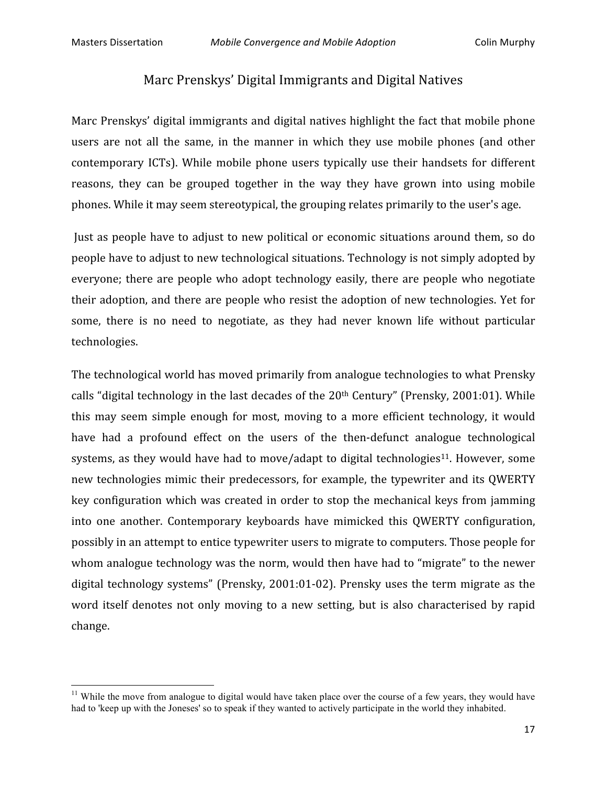<u> 1989 - Johann Stein, fransk politik (d. 1989)</u>

## Marc
Prenskys'
Digital
Immigrants
and
Digital
Natives

Marc Prenskys' digital immigrants and digital natives highlight the fact that mobile phone users are not all the same, in the manner in which they use mobile phones (and other contemporary
 ICTs).
While mobile phone
 users
 typically
 use
 their
 handsets
 for
 different reasons, they can be grouped together in the way they have grown into using mobile phones.
While
it
may
seem
stereotypical,
the
grouping
relates
primarily
to
the
user's
age.

Just as people have to adjust to new political or economic situations around them, so do people
have
to
adjust
to
new
technological
situations.
Technology
is
not
simply
adopted
by everyone; there are people who adopt technology easily, there are people who negotiate their
adoption,
and
 there
are
people
who
resist
 the
adoption
of
new
 technologies.
Yet
 for some, there is no need to negotiate, as they had never known life without particular technologies.

The
technological
world
has
moved
primarily
from
analogue
technologies
to
what
Prensky calls "digital technology in the last decades of the 20<sup>th</sup> Century" (Prensky, 2001:01). While this may seem simple enough for most, moving to a more efficient technology, it would have had a profound effect on the users of the then-defunct analogue technological systems, as they would have had to move/adapt to digital technologies<sup>11</sup>. However, some new technologies mimic their predecessors, for example, the typewriter and its QWERTY key configuration which was created in order to stop the mechanical keys from jamming into
 one
 another.
 Contemporary
 keyboards
 have
 mimicked this
 QWERTY
 configuration, possibly
in
an
attempt
to
entice
typewriter
users
to
migrate
to
computers.
Those
people
for whom analogue technology was the norm, would then have had to "migrate" to the newer digital technology systems" (Prensky, 2001:01-02). Prensky uses the term migrate as the word itself denotes not only moving to a new setting, but is also characterised by rapid change.

 $11$  While the move from analogue to digital would have taken place over the course of a few years, they would have had to 'keep up with the Joneses' so to speak if they wanted to actively participate in the world they inhabited.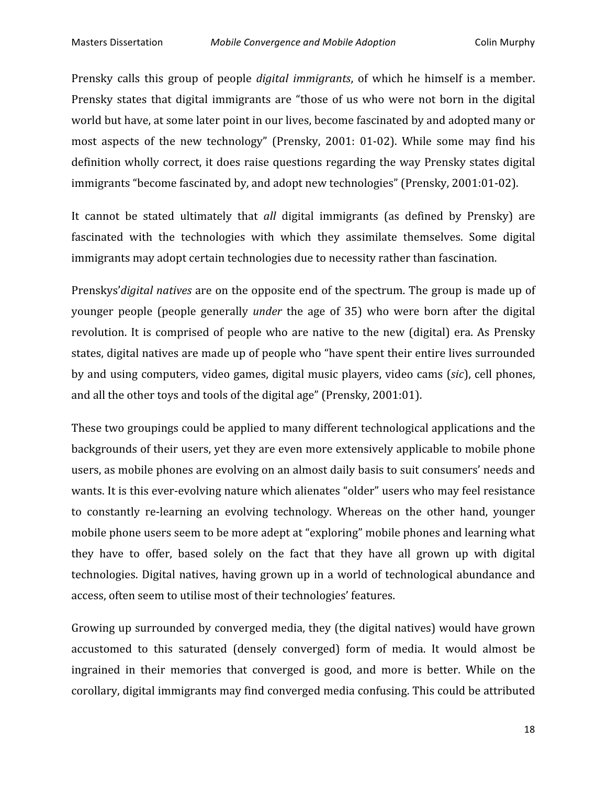Prensky calls this group of people *digital immigrants*, of which he himself is a member. Prensky states that digital immigrants are "those of us who were not born in the digital world but have, at some later point in our lives, become fascinated by and adopted many or most aspects of the new technology" (Prensky, 2001: 01-02). While some may find his definition wholly correct, it does raise questions regarding the way Prensky states digital immigrants
"become
fascinated
by,
and
adopt
new
technologies"
(Prensky,
2001:01‐02).

It cannot be stated ultimately that *all* digital immigrants (as defined by Prensky) are fascinated with the technologies with which they assimilate themselves. Some digital immigrants may adopt certain technologies due to necessity rather than fascination.

Prenskys' *digital natives* are on the opposite end of the spectrum. The group is made up of vounger people (people generally *under* the age of 35) who were born after the digital revolution. It is comprised of people who are native to the new (digital) era. As Prensky states,
digital
natives
are
made
up
of
people
who
"have
spent
their
entire
lives
surrounded by
and
using
computers,
video
games,
digital
music
players,
video
cams
(*sic*),
cell
phones, and
all
the
other
toys
and
tools
of
the
digital
age"
(Prensky,
2001:01).

These two groupings could be applied to many different technological applications and the backgrounds
of
their
users,
yet
they
are
even
more
extensively
applicable
to
mobile
phone users,
as
mobile
phones
are
evolving
on
an
almost
daily
basis
to
suit
consumers'
needs
and wants. It is this ever-evolving nature which alienates "older" users who may feel resistance to constantly re-learning an evolving technology. Whereas on the other hand, younger mobile
phone
users
seem
to
be
more
adept
at
"exploring"
mobile
phones
and
learning
what they have to offer, based solely on the fact that they have all grown up with digital technologies.
Digital
natives,
having
grown
up
in
a
world
of
technological
abundance
and access,
often
seem
to
utilise
most
of
their
technologies'
features.

Growing
up
surrounded
by
converged
media,
they
(the
digital
natives)
would
have
grown accustomed to this saturated (densely converged) form of media. It would almost be ingrained in their memories that converged is good, and more is better. While on the corollary,
digital
immigrants
may
find
converged
media
confusing.
This
could
be
attributed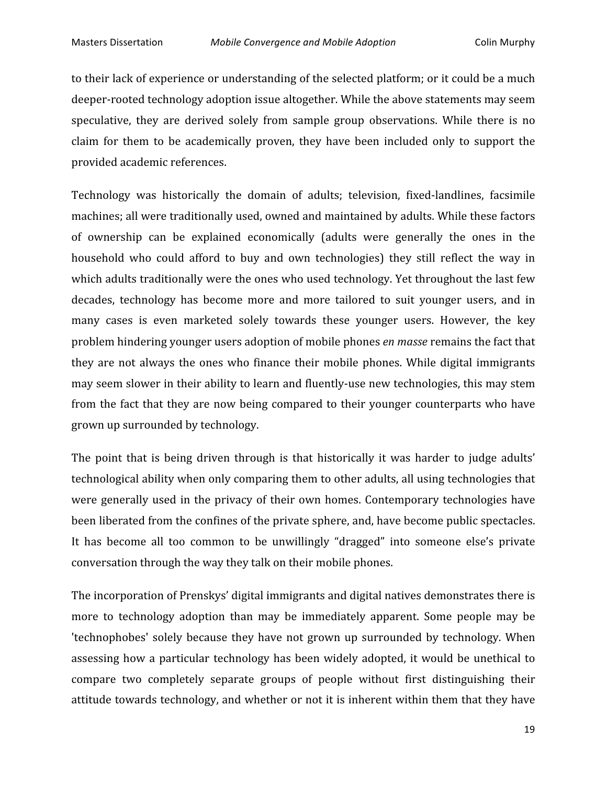to their lack of experience or understanding of the selected platform; or it could be a much deeper-rooted technology adoption issue altogether. While the above statements may seem speculative, they are derived solely from sample group observations. While there is no claim for them to be academically proven, they have been included only to support the provided
academic
references.

Technology was historically the domain of adults; television, fixed-landlines, facsimile machines;
all
were
traditionally
used,
owned
and
maintained
by
adults.
While
these
factors of
 ownership
 can
 be
 explained
 economically
 (adults
 were
 generally
 the
 ones
 in
 the household who could afford to buy and own technologies) they still reflect the way in which adults traditionally were the ones who used technology. Yet throughout the last few decades, technology has become more and more tailored to suit younger users, and in many cases is even marketed solely towards these younger users. However, the key problem
hindering
younger
users
adoption
of
mobile
phones *en
masse*remains
the
fact
that they are not always the ones who finance their mobile phones. While digital immigrants may seem slower in their ability to learn and fluently-use new technologies, this may stem from the fact that they are now being compared to their younger counterparts who have grown
up
surrounded
by
technology.

The point that is being driven through is that historically it was harder to judge adults' technological ability when only comparing them to other adults, all using technologies that were generally used in the privacy of their own homes. Contemporary technologies have been
liberated
from
the
confines
of
the
private
sphere,
and,
have
become
public
spectacles. It has become all too common to be unwillingly "dragged" into someone else's private conversation
through
the
way
they
talk
on
their
mobile
phones.

The
incorporation
of
Prenskys'
digital
immigrants
and
digital
natives
demonstrates
there
is more to technology adoption than may be immediately apparent. Some people may be 'technophobes' solely because they have not grown up surrounded by technology. When assessing
 how
a
 particular
 technology
 has
 been
widely
adopted,
it
would
 be
 unethical
 to compare
 two
 completely
 separate
 groups
 of
 people
 without
 first distinguishing
 their attitude
towards
technology,
and
whether
or
not
it
is
inherent
within
them
that
they
have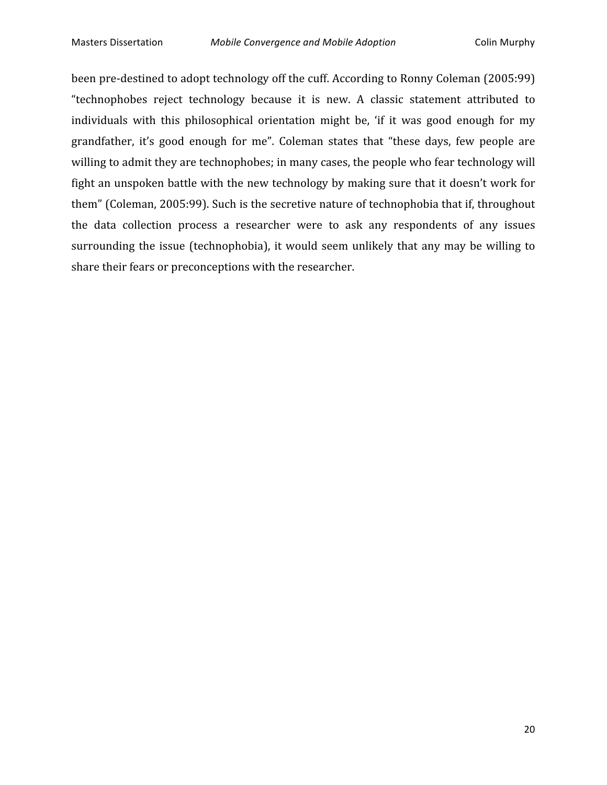been pre-destined to adopt technology off the cuff. According to Ronny Coleman (2005:99) "technophobes reject technology because it is new. A classic statement attributed to individuals with this philosophical orientation might be, 'if it was good enough for my grandfather, it's good enough for me". Coleman states that "these days, few people are willing to admit they are technophobes; in many cases, the people who fear technology will fight an unspoken battle with the new technology by making sure that it doesn't work for them" (Coleman, 2005:99). Such is the secretive nature of technophobia that if, throughout the data collection process a researcher were to ask any respondents of any issues surrounding the issue (technophobia), it would seem unlikely that any may be willing to share
their
fears
or
preconceptions
with
the
researcher.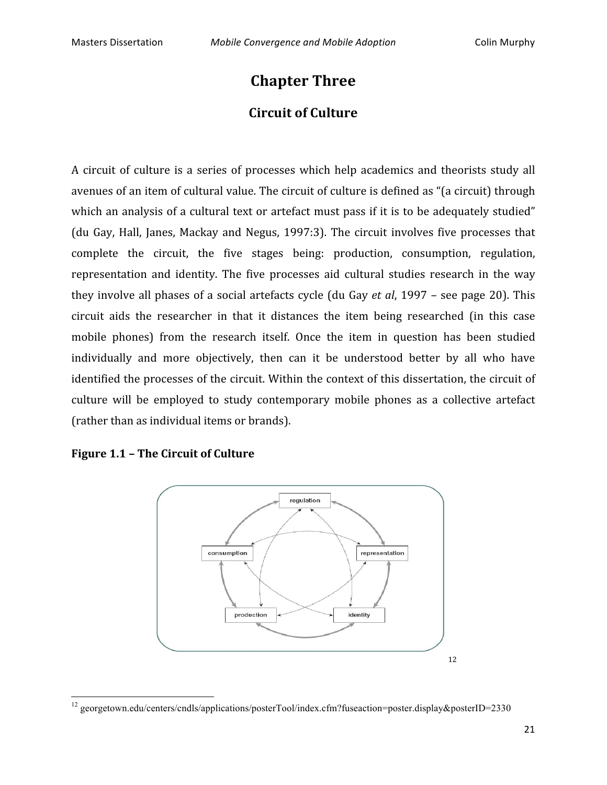# **Chapter
Three Circuit
of
Culture**

A circuit of culture is a series of processes which help academics and theorists study all avenues of an item of cultural value. The circuit of culture is defined as "(a circuit) through which an analysis of a cultural text or artefact must pass if it is to be adequately studied" (du
 Gay,
Hall,
 Janes,
Mackay
 and
Negus,
 1997:3).
 The
 circuit
involves
 five
 processes
 that complete
 the
 circuit,
 the
 five
 stages
 being:
 production,
 consumption,
 regulation, representation and identity. The five processes aid cultural studies research in the way they
involve
all
phases
of
a
social
artefacts
cycle
 (du
Gay *et
al*,
1997
–
see
page
20).
This circuit
 aids
 the
 researcher
 in
 that
 it
 distances
 the
 item
 being
 researched
 (in
 this
 case mobile phones) from the research itself. Once the item in question has been studied individually and more objectively, then can it be understood better by all who have identified the processes of the circuit. Within the context of this dissertation, the circuit of culture will be employed to study contemporary mobile phones as a collective artefact (rather
than
as
individual
items
or
brands).



<u> 1989 - Johann Stein, fransk politik (d. 1989)</u>



<sup>&</sup>lt;sup>12</sup> georgetown.edu/centers/cndls/applications/posterTool/index.cfm?fuseaction=poster.display&posterID=2330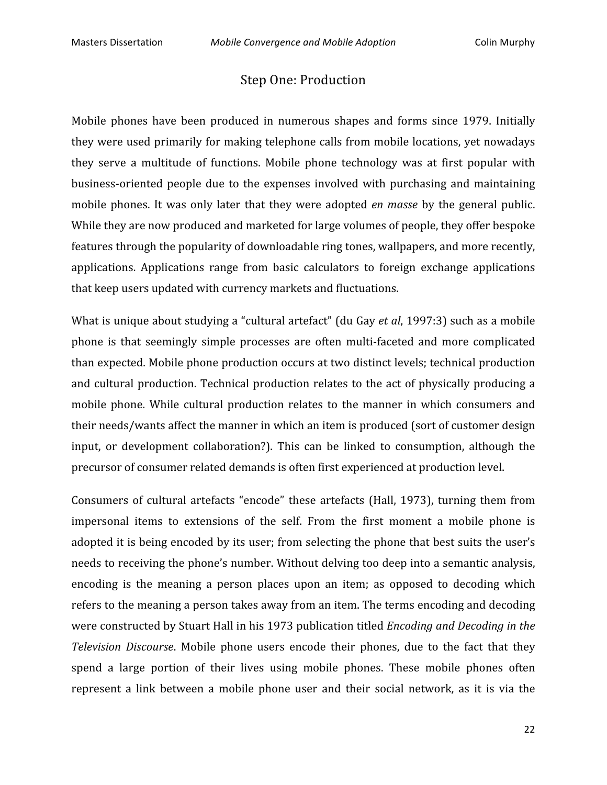## Step
One:
Production

Mobile phones have been produced in numerous shapes and forms since 1979. Initially they were used primarily for making telephone calls from mobile locations, yet nowadays they serve a multitude of functions. Mobile phone technology was at first popular with business-oriented people due to the expenses involved with purchasing and maintaining mobile phones. It was only later that they were adopted *en masse* by the general public. While they are now produced and marketed for large volumes of people, they offer bespoke features through the popularity of downloadable ring tones, wallpapers, and more recently, applications. Applications range from basic calculators to foreign exchange applications that
keep
users
updated
with
currency
markets
and
fluctuations.

What is unique about studying a "cultural artefact" (du Gay et al, 1997:3) such as a mobile phone is that seemingly simple processes are often multi-faceted and more complicated than
expected.
Mobile
phone
production
occurs
at
two
distinct
levels;
technical
production and cultural production. Technical production relates to the act of physically producing a mobile phone. While cultural production relates to the manner in which consumers and their needs/wants affect the manner in which an item is produced (sort of customer design input, or development collaboration?). This can be linked to consumption, although the precursor
of
consumer
related
demands
is
often
first
experienced
at
production
level.

Consumers of cultural artefacts "encode" these artefacts (Hall, 1973), turning them from impersonal items to extensions of the self. From the first moment a mobile phone is adopted it is being encoded by its user; from selecting the phone that best suits the user's needs
to
receiving
the
phone's
number.
Without
delving
too
deep
into
a
semantic
analysis, encoding is the meaning a person places upon an item; as opposed to decoding which refers to the meaning a person takes away from an item. The terms encoding and decoding were
constructed
by
Stuart
Hall
in
his
1973
publication
titled *Encoding
and
Decoding
in
the*  Television Discourse. Mobile phone users encode their phones, due to the fact that they spend a large portion of their lives using mobile phones. These mobile phones often represent a link between a mobile phone user and their social network, as it is via the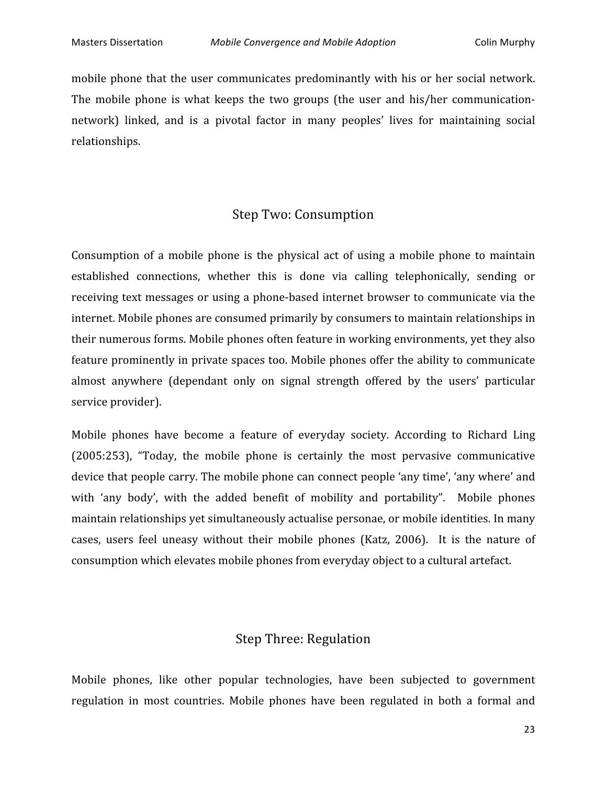mobile phone that the user communicates predominantly with his or her social network. The mobile phone is what keeps the two groups (the user and his/her communicationnetwork) linked, and is a pivotal factor in many peoples' lives for maintaining social relationships.

# Step
Two:
Consumption

Consumption of a mobile phone is the physical act of using a mobile phone to maintain established connections, whether this is done via calling telephonically, sending or receiving text messages or using a phone-based internet browser to communicate via the internet.
Mobile
phones
are
consumed
primarily
by
consumers
to
maintain
relationships
in their
numerous
forms.
Mobile
phones
often
feature
in
working
environments,
yet
they
also feature prominently in private spaces too. Mobile phones offer the ability to communicate almost
 anywhere
 (dependant
 only
 on
 signal
 strength
 offered
 by
 the
 users'
 particular service
provider).

Mobile phones have become a feature of everyday society. According to Richard Ling (2005:253),
 "Today,
 the
 mobile
 phone
 is
 certainly
 the
 most
 pervasive
 communicative device that people carry. The mobile phone can connect people 'any time', 'any where' and with 'any body', with the added benefit of mobility and portability". Mobile phones maintain
relationships
yet
simultaneously
actualise
personae,
or
mobile
identities.
In
many cases, users feel uneasy without their mobile phones (Katz, 2006). It is the nature of consumption
which
elevates
mobile
phones
from
everyday
object
to
a
cultural
artefact.

## Step
Three:
Regulation

Mobile phones, like other popular technologies, have been subjected to government regulation in most countries. Mobile phones have been regulated in both a formal and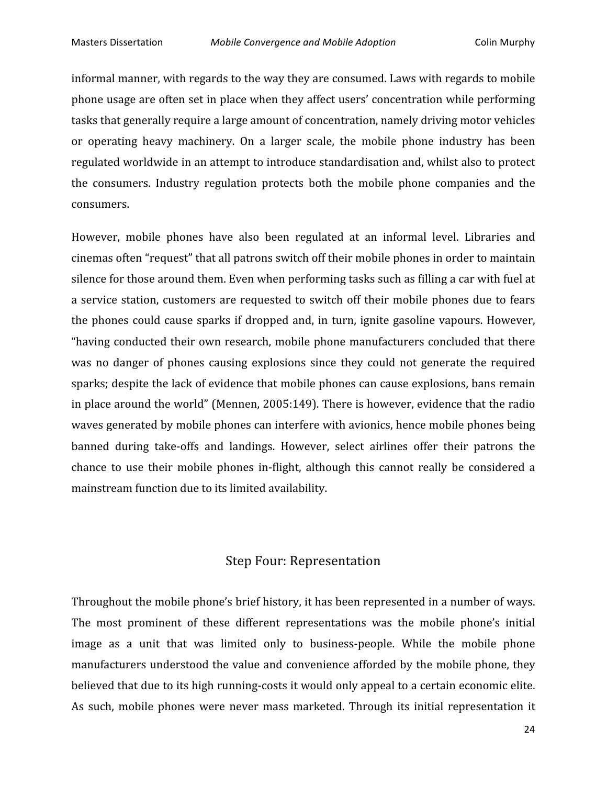informal
manner,
with
regards
to
the
way
they
are
consumed.
Laws
with
regards
to
mobile phone
usage
are
often
set
in
place
when
they
affect
users'
concentration
while
performing tasks
that
generally
require
a
large
amount
of
concentration,
namely
driving
motor
vehicles or
 operating
 heavy
 machinery.
 On
 a
 larger
 scale,
 the
 mobile
 phone
 industry
 has
 been regulated
worldwide
in
an
attempt
to
introduce
standardisation
and,
whilst
also
to
protect the consumers. Industry regulation protects both the mobile phone companies and the consumers.

However, mobile phones have also been regulated at an informal level. Libraries and cinemas
often
"request"
that
all
patrons
switch
off
their
mobile
phones
in
order
to
maintain silence for those around them. Even when performing tasks such as filling a car with fuel at a service station, customers are requested to switch off their mobile phones due to fears the
phones
could
cause
sparks
if
dropped
and,
in
 turn,
ignite
gasoline
 vapours.
However, "having
conducted
 their
own
research,
mobile
phone
manufacturers
concluded
 that
 there was no danger of phones causing explosions since they could not generate the required sparks; despite the lack of evidence that mobile phones can cause explosions, bans remain in
place
around
the
world"
(Mennen,
2005:149).
There
is
however,
evidence
that
the
radio waves generated by mobile phones can interfere with avionics, hence mobile phones being banned during take-offs and landings. However, select airlines offer their patrons the chance to use their mobile phones in-flight, although this cannot really be considered a mainstream
function
due
to
its
limited
availability.

## Step
Four:
Representation

Throughout
the
mobile
phone's
brief
history,
it
has
been
represented
in
a
number
of
ways. The most prominent of these different representations was the mobile phone's initial image as a unit that was limited only to business-people. While the mobile phone manufacturers understood the value and convenience afforded by the mobile phone, they believed that due to its high running-costs it would only appeal to a certain economic elite. As such, mobile phones were never mass marketed. Through its initial representation it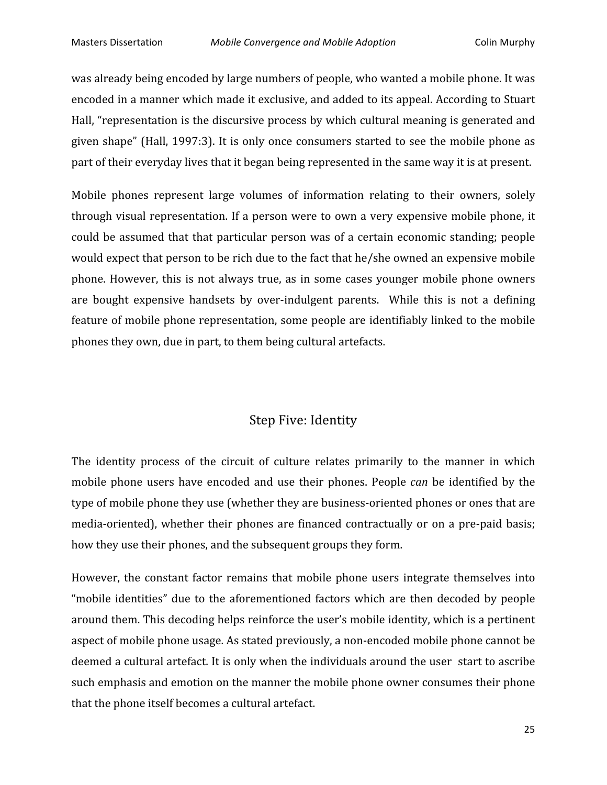was already being encoded by large numbers of people, who wanted a mobile phone. It was encoded
in
a
manner
which
made
it
exclusive,
and
added
to
its
appeal.
According
to
Stuart Hall, "representation is the discursive process by which cultural meaning is generated and given shape" (Hall, 1997:3). It is only once consumers started to see the mobile phone as part of their everyday lives that it began being represented in the same way it is at present.

Mobile phones represent large volumes of information relating to their owners, solely through
visual
representation.
 If
a
person
were
 to
own
a
very
expensive
mobile
phone,
it could
be
assumed
 that
 that
particular
person
was
of
a
certain
economic
standing;
people would expect that person to be rich due to the fact that he/she owned an expensive mobile phone.
However,
 this
is
 not
always
 true,
as
in
 some
 cases
 younger
mobile
 phone
 owners are bought expensive handsets by over-indulgent parents. While this is not a defining feature of mobile phone representation, some people are identifiably linked to the mobile phones
they
own,
due
in
part,
to
them
being
cultural
artefacts.

## Step
Five:
Identity

The identity process of the circuit of culture relates primarily to the manner in which mobile phone users have encoded and use their phones. People *can* be identified by the type of mobile phone they use (whether they are business-oriented phones or ones that are media-oriented), whether their phones are financed contractually or on a pre-paid basis; how they use their phones, and the subsequent groups they form.

However, the constant factor remains that mobile phone users integrate themselves into "mobile identities" due to the aforementioned factors which are then decoded by people around
them.
This
decoding
helps
reinforce
the
user's
mobile
identity,
which
is
a
pertinent aspect
of
mobile
phone
usage.
As
stated
previously,
a
non‐encoded
mobile
phone
cannot
be deemed
a
cultural
artefact.
It
is
only
when
the
individuals
around
the
user

start
to
ascribe such emphasis and emotion on the manner the mobile phone owner consumes their phone that
the
phone
itself
becomes
a
cultural
artefact.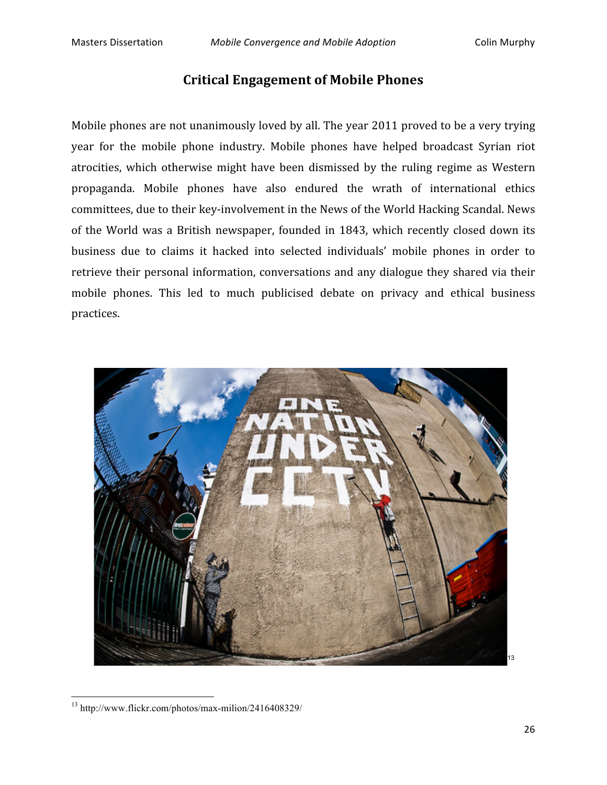### **Critical
Engagement
of
Mobile
Phones**

Mobile phones are not unanimously loved by all. The year 2011 proved to be a very trying year
 for
 the
 mobile
 phone
 industry.
 Mobile
 phones
 have
 helped
 broadcast
 Syrian
 riot atrocities,
 which
 otherwise might have
 been dismissed
 by
 the
 ruling
 regime
 as
Western propaganda.
 Mobile
 phones
 have
 also
 endured
 the
 wrath
 of
 international
 ethics committees, due to their key-involvement in the News of the World Hacking Scandal. News of
 the
World
 was
 a
 British
 newspaper,
 founded
in
 1843,
 which
 recently
 closed
 down
its business due to claims it hacked into selected individuals' mobile phones in order to retrieve their personal information, conversations and any dialogue they shared via their mobile phones. This led to much publicised debate on privacy and ethical business practices.



<sup>13</sup> http://www.flickr.com/photos/max-milion/2416408329/

<u> 1989 - Johann Stein, fransk politik (d. 1989)</u>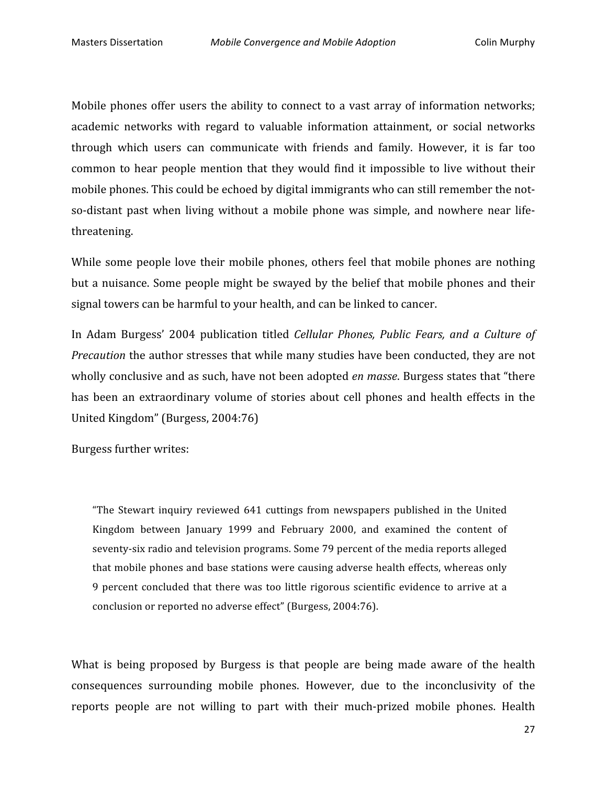Mobile phones offer users the ability to connect to a vast array of information networks; academic networks with regard to valuable information attainment, or social networks through
 which
 users
 can
 communicate
 with
 friends
 and
 family.
 However,
 it
 is
 far
 too common to hear people mention that they would find it impossible to live without their mobile phones. This could be echoed by digital immigrants who can still remember the notso-distant past when living without a mobile phone was simple, and nowhere near lifethreatening.

While some people love their mobile phones, others feel that mobile phones are nothing but
a
nuisance.
Some
people
might
be
swayed
by
 the
belief
 that
mobile
phones
and
 their signal
towers
can
be
harmful
to
your
health,
and
can
be
linked
to
cancer.

In Adam Burgess' 2004 publication titled *Cellular Phones, Public Fears, and a Culture of* Precaution the author stresses that while many studies have been conducted, they are not wholly conclusive and as such, have not been adopted *en masse*. Burgess states that "there has been an extraordinary volume of stories about cell phones and health effects in the United
Kingdom"
(Burgess,
2004:76)

Burgess
further
writes:

"The
 Stewart
 inquiry
 reviewed
 641
 cuttings
 from
 newspapers
 published
 in
 the
 United Kingdom
 between
 January
 1999
 and
 February
 2000,
 and
 examined
 the
 content
 of seventy-six radio and television programs. Some 79 percent of the media reports alleged that
mobile
phones
and
base
stations
were
causing
adverse
health
effects,
whereas
only 9 percent concluded that there was too little rigorous scientific evidence to arrive at a conclusion
or
reported
no
adverse
effect"
(Burgess,
2004:76).

What is being proposed by Burgess is that people are being made aware of the health consequences
 surrounding
 mobile
 phones.
 However,
 due
 to
 the
 inconclusivity
 of
 the reports people are not willing to part with their much-prized mobile phones. Health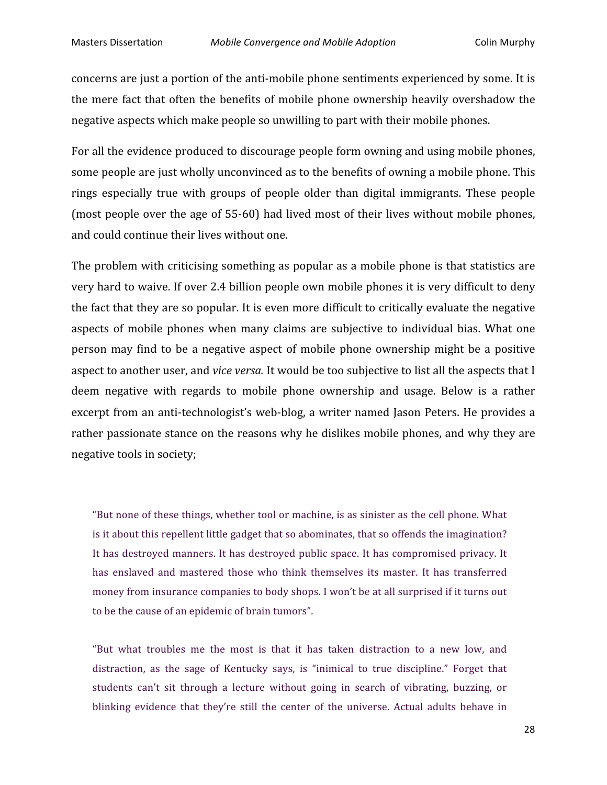concerns are just a portion of the anti-mobile phone sentiments experienced by some. It is the mere fact that often the benefits of mobile phone ownership heavily overshadow the negative
aspects
which
make
people
so
unwilling
to
part
with
their
mobile
phones.

For all the evidence produced to discourage people form owning and using mobile phones, some people are just wholly unconvinced as to the benefits of owning a mobile phone. This rings especially true with groups of people older than digital immigrants. These people (most people over the age of 55-60) had lived most of their lives without mobile phones, and
could
continue
their
lives
without
one.

The
problem
with
criticising
something
as
popular
as
a
mobile
phone
is
that
statistics
are very hard to waive. If over 2.4 billion people own mobile phones it is very difficult to deny the
fact
that
they
are
so
popular.
It
is
even
more
difficult
to
critically
evaluate
the
negative aspects
 of
 mobile
 phones
 when
 many
 claims
 are
 subjective
 to
 individual
 bias.
What
 one person
may
 find
 to
 be
 a
 negative
 aspect
 of
mobile
 phone
 ownership
might
 be
 a
 positive aspect to another user, and *vice versa*. It would be too subjective to list all the aspects that I deem negative with regards to mobile phone ownership and usage. Below is a rather excerpt from an anti-technologist's web-blog, a writer named Jason Peters. He provides a rather passionate stance on the reasons why he dislikes mobile phones, and why they are negative
tools
in
society;

"But none of these things, whether tool or machine, is as sinister as the cell phone. What is it about this repellent little gadget that so abominates, that so offends the imagination? It has destroyed manners. It has destroyed public space. It has compromised privacy. It has enslaved and mastered those who think themselves its master. It has transferred money from insurance companies to body shops. I won't be at all surprised if it turns out to
be
the
cause
of
an
epidemic
of
brain
tumors".

"But what troubles me the most is that it has taken distraction to a new low, and distraction, as the sage of Kentucky says, is "inimical to true discipline." Forget that students can't sit through a lecture without going in search of vibrating, buzzing, or blinking evidence that they're still the center of the universe. Actual adults behave in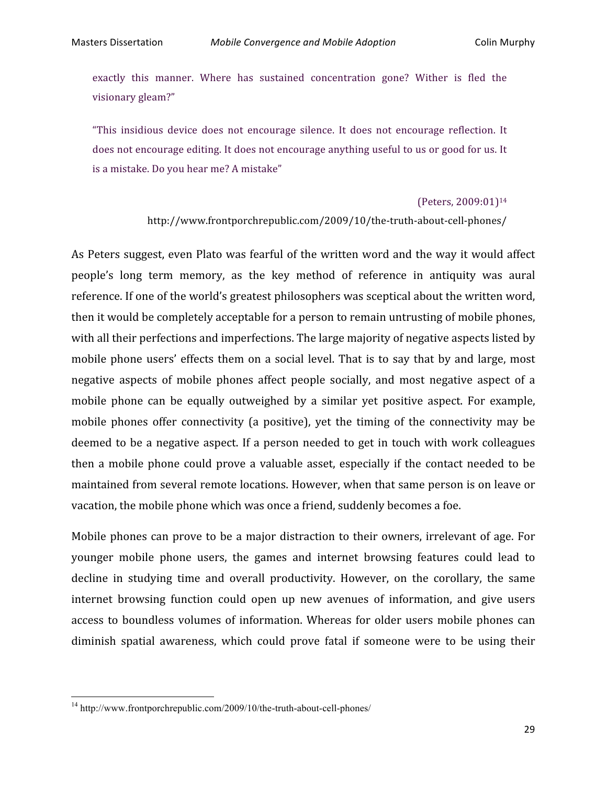exactly this manner. Where has sustained concentration gone? Wither is fled the visionary
gleam?"

"This
 insidious
 device
 does
 not
 encourage
 silence.
 It
 does
 not
 encourage
 reflection.
 It does not encourage editing. It does not encourage anything useful to us or good for us. It is
a
mistake.
Do
you
hear
me?
A
mistake"

#### (Peters,
2009:01)14

http://www.frontporchrepublic.com/2009/10/the‐truth‐about‐cell‐phones/

As Peters suggest, even Plato was fearful of the written word and the way it would affect people's
 long
 term
 memory,
 as
 the
 key
 method
 of
 reference
 in
 antiquity
 was
 aural reference. If one of the world's greatest philosophers was sceptical about the written word, then
it
would
be
completely
acceptable
for
a
person
to
remain
untrusting
of
mobile
phones, with all their perfections and imperfections. The large majority of negative aspects listed by mobile phone users' effects them on a social level. That is to say that by and large, most negative aspects of mobile phones affect people socially, and most negative aspect of a mobile phone can be equally outweighed by a similar yet positive aspect. For example, mobile phones offer connectivity (a positive), yet the timing of the connectivity may be deemed to be a negative aspect. If a person needed to get in touch with work colleagues then a mobile phone could prove a valuable asset, especially if the contact needed to be maintained
from
several
remote
locations.
However,
when
that
same
person
is
on
leave
or vacation,
the
mobile
phone
which
was
once
a
friend,
suddenly
becomes
a
foe.

Mobile phones can prove to be a major distraction to their owners, irrelevant of age. For younger
 mobile
 phone
 users,
 the
 games
 and
 internet
 browsing
 features
 could
 lead
 to decline in studying time and overall productivity. However, on the corollary, the same internet browsing function could open up new avenues of information, and give users access to boundless volumes of information. Whereas for older users mobile phones can diminish spatial awareness, which could prove fatal if someone were to be using their

<u> 1989 - Johann Stein, fransk politik (d. 1989)</u>

<sup>&</sup>lt;sup>14</sup> http://www.frontporchrepublic.com/2009/10/the-truth-about-cell-phones/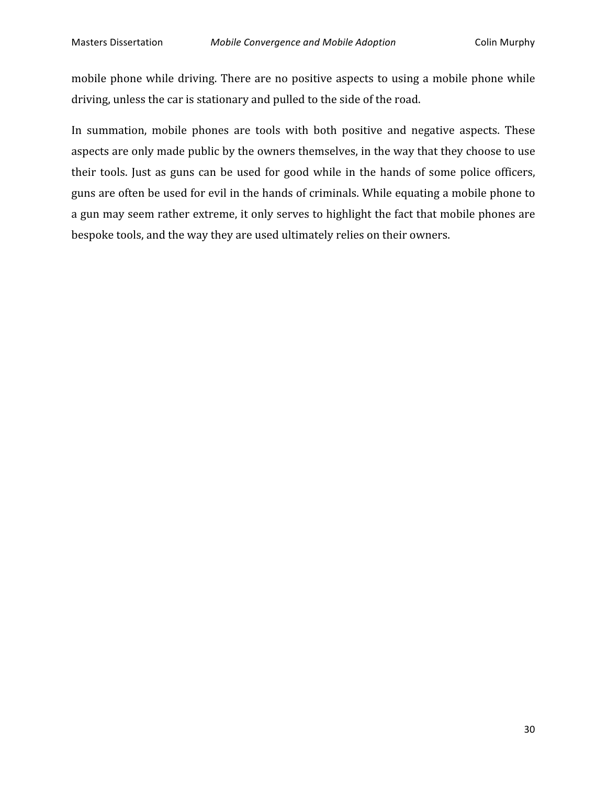mobile
phone
while
driving.
There
are
no
positive
aspects
 to
using
a
mobile
phone
while driving, unless the car is stationary and pulled to the side of the road.

In summation, mobile phones are tools with both positive and negative aspects. These aspects are only made public by the owners themselves, in the way that they choose to use their tools. Just as guns can be used for good while in the hands of some police officers, guns
are
often
be
used
for
evil
in
the
hands
of
criminals.
While
equating
a
mobile
phone
to a gun may seem rather extreme, it only serves to highlight the fact that mobile phones are bespoke
tools,
and
the
way
they
are
used
ultimately
relies
on
their
owners.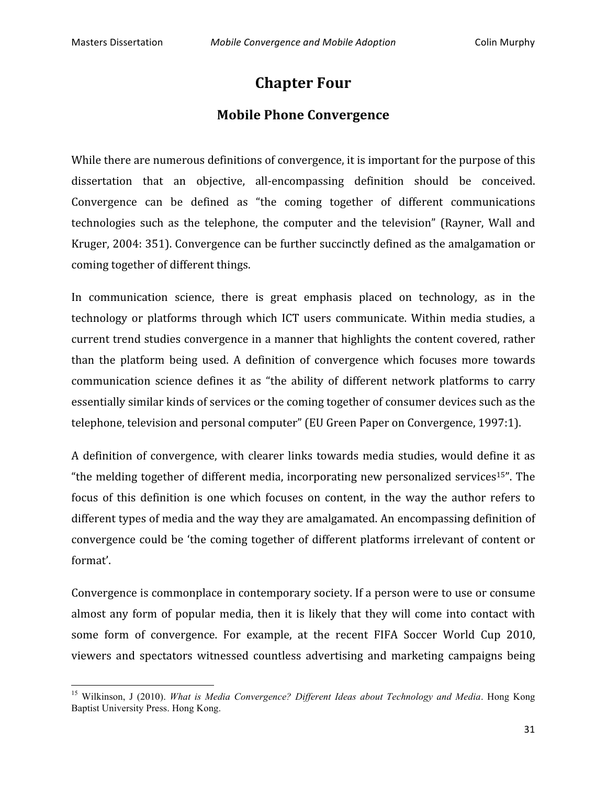<u> 1989 - Johann Stein, fransk politik (d. 1989)</u>

# **Chapter
Four**

### **Mobile
Phone
Convergence**

While there are numerous definitions of convergence, it is important for the purpose of this dissertation that an objective, all-encompassing definition should be conceived. Convergence can be defined as "the coming together of different communications technologies
 such
 as
 the
 telephone,
 the
 computer
 and
 the
 television"
 (Rayner,
 Wall
 and Kruger,
2004:
351).
Convergence
can
be
further
succinctly
defined
as
the
amalgamation
or coming
together
of
different
things.

In communication science, there is great emphasis placed on technology, as in the technology or platforms through which ICT users communicate. Within media studies, a current
trend
studies
convergence
in
a
manner
that
highlights
the
content
covered,
rather than
 the
 platform
 being
 used.
 A
 definition
 of
 convergence
 which
 focuses
 more
 towards communication science defines it as "the ability of different network platforms to carry essentially
similar
kinds
of
services
or
the
coming
together
of
consumer
devices
such
as
the telephone,
television
and
personal
computer"
(EU
Green
Paper
on
Convergence,
1997:1).

A definition of convergence, with clearer links towards media studies, would define it as "the melding together of different media, incorporating new personalized services<sup>15"</sup>. The focus of this definition is one which focuses on content, in the way the author refers to different types of media and the way they are amalgamated. An encompassing definition of convergence
could
be
'the
coming
 together
of
different
platforms
irrelevant
of
content
or format'.

Convergence is commonplace in contemporary society. If a person were to use or consume almost any form of popular media, then it is likely that they will come into contact with some form of convergence. For example, at the recent FIFA Soccer World Cup 2010, viewers
 and
 spectators
 witnessed
 countless
 advertising
 and
 marketing
 campaigns being

<sup>15</sup> Wilkinson, J (2010). *What is Media Convergence? Different Ideas about Technology and Media*. Hong Kong Baptist University Press. Hong Kong.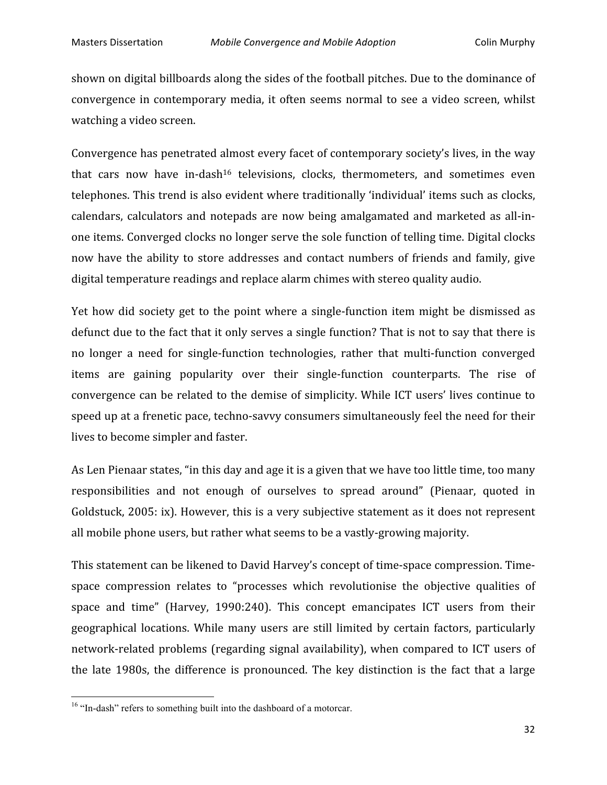shown on digital billboards along the sides of the football pitches. Due to the dominance of convergence in contemporary media, it often seems normal to see a video screen, whilst watching
a
video
screen.

Convergence has penetrated almost every facet of contemporary society's lives, in the way that cars now have in-dash<sup>16</sup> televisions, clocks, thermometers, and sometimes even telephones. This trend is also evident where traditionally 'individual' items such as clocks, calendars, calculators and notepads are now being amalgamated and marketed as all-inone
items.
Converged
clocks
no
longer
serve
the
sole
function
of
telling
time.
Digital
clocks now have the ability to store addresses and contact numbers of friends and family, give digital temperature readings and replace alarm chimes with stereo quality audio.

Yet how did society get to the point where a single-function item might be dismissed as defunct due to the fact that it only serves a single function? That is not to say that there is no longer a need for single-function technologies, rather that multi-function converged items are gaining popularity over their single-function counterparts. The rise of convergence
can
be
related
 to
 the
demise
of
simplicity.
While
 ICT
users'
lives
continue
 to speed up at a frenetic pace, techno-savvy consumers simultaneously feel the need for their lives
to
become
simpler
and
faster.

As Len Pienaar states, "in this day and age it is a given that we have too little time, too many responsibilities and not enough of ourselves to spread around" (Pienaar, quoted in Goldstuck, 2005: ix). However, this is a very subjective statement as it does not represent all
mobile
phone
users,
but
rather
what
seems
to
be
a
vastly‐growing
majority.

This
statement
can
be
likened
to
David
Harvey's
concept
of
time‐space
compression.
Time‐ space compression relates to "processes which revolutionise the objective qualities of space and time" (Harvey, 1990:240). This concept emancipates ICT users from their geographical
 locations.
While
 many
 users
 are
 still
 limited
 by
 certain
 factors,
 particularly network-related problems (regarding signal availability), when compared to ICT users of the late 1980s, the difference is pronounced. The key distinction is the fact that a large

<u> 1989 - Johann Stein, fransk politik (d. 1989)</u>

<sup>&</sup>lt;sup>16</sup> "In-dash" refers to something built into the dashboard of a motorcar.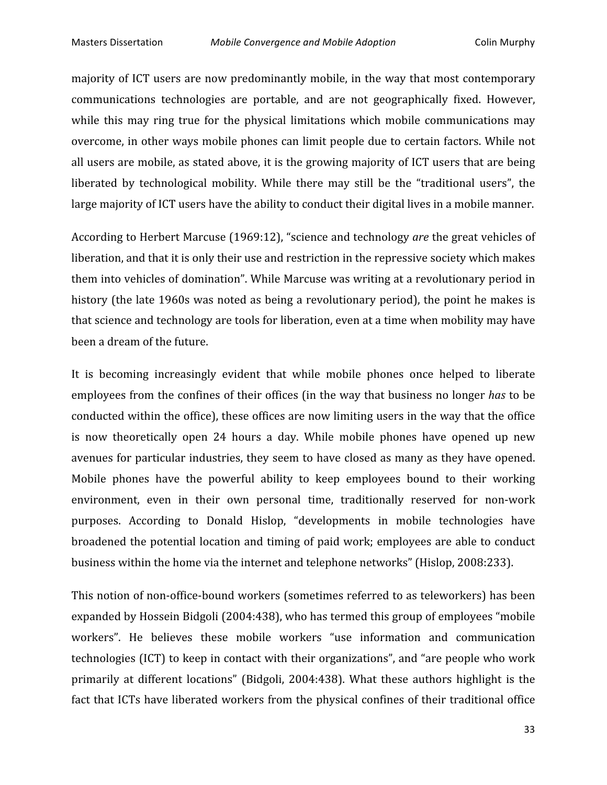majority of ICT users are now predominantly mobile, in the way that most contemporary communications
 technologies
 are
 portable,
 and
 are
 not
 geographically
 fixed.
 However, while this may ring true for the physical limitations which mobile communications may overcome,
in
other
ways
mobile
phones
can
limit
people
due
to
certain
 factors.
While
not all
users
are
mobile,
as
stated
above,
it
is
the
growing
majority
of
ICT
users
that
are
being liberated by technological mobility. While there may still be the "traditional users", the large majority of ICT users have the ability to conduct their digital lives in a mobile manner.

According
to
Herbert
Marcuse
(1969:12),
"science
and
technology *are* the
great
vehicles
of liberation, and that it is only their use and restriction in the repressive society which makes them into vehicles of domination". While Marcuse was writing at a revolutionary period in history (the late 1960s was noted as being a revolutionary period), the point he makes is that
science
and
technology
are
tools
for
liberation,
even
at
a
time
when
mobility
may
have been
a
dream
of
the
future.

It is becoming increasingly evident that while mobile phones once helped to liberate employees from the confines of their offices (in the way that business no longer has to be conducted
within
the
office),
these
offices
are
now
limiting
users
in
the
way
that
the
office is now theoretically open 24 hours a day. While mobile phones have opened up new avenues
 for
particular
industries,
they
seem
to
have
closed
as
many
as
they
have
opened. Mobile phones have the powerful ability to keep employees bound to their working environment, even in their own personal time, traditionally reserved for non-work purposes. According
 to
 Donald
 Hislop,
 "developments
 in
 mobile
 technologies
 have broadened
 the
potential
location
and
 timing
of
paid
work;
employees
are
able
 to
conduct business within the home via the internet and telephone networks" (Hislop, 2008:233).

This notion of non-office-bound workers (sometimes referred to as teleworkers) has been expanded
by
Hossein
Bidgoli
(2004:438),
who
has
termed
this
group
of
employees
"mobile workers". He believes these mobile workers "use information and communication technologies
(ICT)
to
keep
in
contact
with
their
organizations",
and
"are
people
who
work primarily at different locations" (Bidgoli, 2004:438). What these authors highlight is the fact that ICTs have liberated workers from the physical confines of their traditional office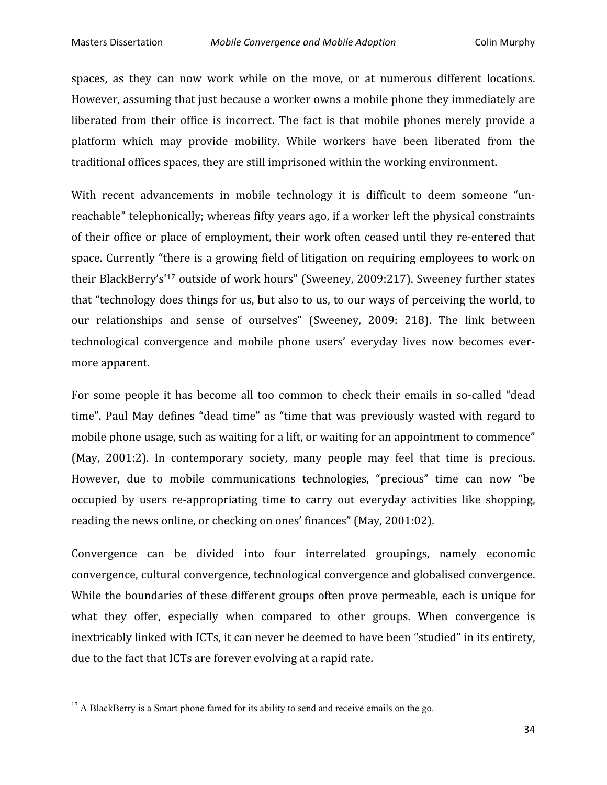spaces, as they can now work while on the move, or at numerous different locations. However, assuming that just because a worker owns a mobile phone they immediately are liberated from their office is incorrect. The fact is that mobile phones merely provide a platform
 which
 may
 provide
 mobility.
 While
 workers
 have
 been
 liberated
 from
 the traditional
offices
spaces,
they
are
still
imprisoned
within
the
working
environment.

With recent advancements in mobile technology it is difficult to deem someone "unreachable"
telephonically;
whereas
fifty
years
ago,
if
a
worker
left
the
physical
constraints of their office or place of employment, their work often ceased until they re-entered that space. Currently "there is a growing field of litigation on requiring employees to work on their BlackBerry's<sup>'17</sup> outside of work hours" (Sweeney, 2009:217). Sweeney further states that
"technology
does
things
for
us,
but
also
to
us,
to
our
ways
of
perceiving
the
world,
to our relationships and sense of ourselves" (Sweeney, 2009: 218). The link between technological convergence and mobile phone users' everyday lives now becomes evermore
apparent.

For some people it has become all too common to check their emails in so-called "dead time". Paul May defines "dead time" as "time that was previously wasted with regard to mobile phone usage, such as waiting for a lift, or waiting for an appointment to commence" (May, 2001:2). In contemporary society, many people may feel that time is precious. However, due to mobile communications technologies, "precious" time can now "be occupied by users re-appropriating time to carry out everyday activities like shopping, reading
the
news
online,
or
checking
on
ones'
finances"
(May,
2001:02).

Convergence can be divided into four interrelated groupings, namely economic convergence,
cultural
convergence,
technological
convergence
and
globalised
convergence. While the boundaries of these different groups often prove permeable, each is unique for what they offer, especially when compared to other groups. When convergence is inextricably linked with ICTs, it can never be deemed to have been "studied" in its entirety, due to the fact that ICTs are forever evolving at a rapid rate.

<u> 1989 - Johann Stein, fransk politik (d. 1989)</u>

 $17$  A BlackBerry is a Smart phone famed for its ability to send and receive emails on the go.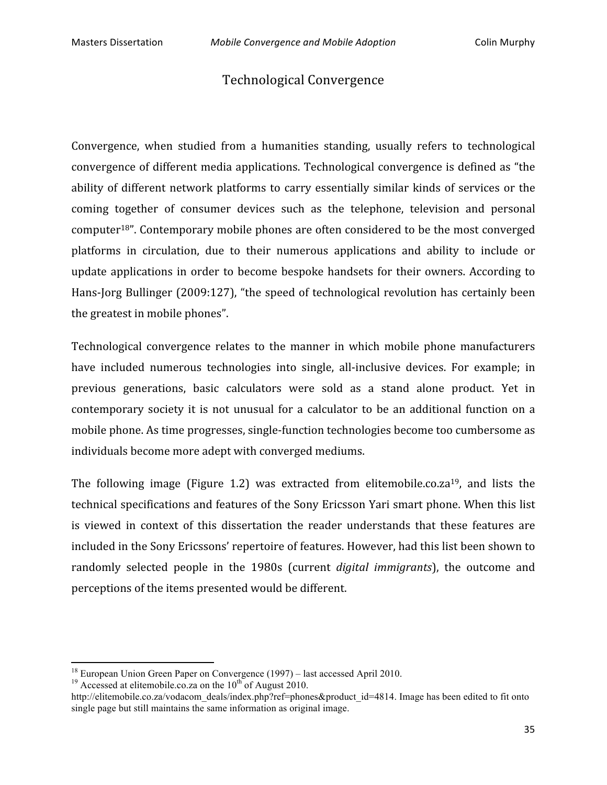## Technological
Convergence

Convergence, when studied from a humanities standing, usually refers to technological convergence
of
different
media
applications.
Technological
convergence
is
defined
as
"the ability of different network platforms to carry essentially similar kinds of services or the coming
 together
 of
 consumer
 devices
 such
 as
 the
 telephone,
 television
 and
 personal computer18".
Contemporary
mobile
phones
are
often
considered
to
be
the
most
converged platforms in circulation, due to their numerous applications and ability to include or update applications in order to become bespoke handsets for their owners. According to Hans-Jorg Bullinger (2009:127), "the speed of technological revolution has certainly been the
greatest
in
mobile
phones".

Technological
 convergence
 relates
 to
 the
 manner
 in
 which
 mobile
 phone
 manufacturers have included numerous technologies into single, all-inclusive devices. For example; in previous
 generations,
 basic
 calculators
 were
 sold as
 a
 stand
 alone
 product.
 Yet
 in contemporary society it is not unusual for a calculator to be an additional function on a mobile
phone.
As
time
progresses,
single‐function
technologies
become
too
cumbersome
as individuals
become
more
adept
with
converged
mediums.

The following image (Figure 1.2) was extracted from elitemobile.co.za<sup>19</sup>, and lists the technical
specifications
and
features
of
the
Sony
Ericsson
Yari
smart
phone.
When
this
list is
 viewed
 in
 context
 of
 this dissertation the
 reader
 understands
 that
 these
 features
 are included
in
the
Sony
Ericssons'
repertoire
of
features.
However,
had
this
list
been
shown
to randomly selected people in the 1980s (current *digital immigrants*), the outcome and perceptions
of
the
items
presented
would
be
different.

<u> 1989 - Johann Stein, fransk politik (d. 1989)</u>

<sup>&</sup>lt;sup>18</sup> European Union Green Paper on Convergence (1997) – last accessed April 2010.<br><sup>19</sup> Accessed at elitemobile.co.za on the 10<sup>th</sup> of August 2010.

http://elitemobile.co.za/vodacom\_deals/index.php?ref=phones&product\_id=4814. Image has been edited to fit onto single page but still maintains the same information as original image.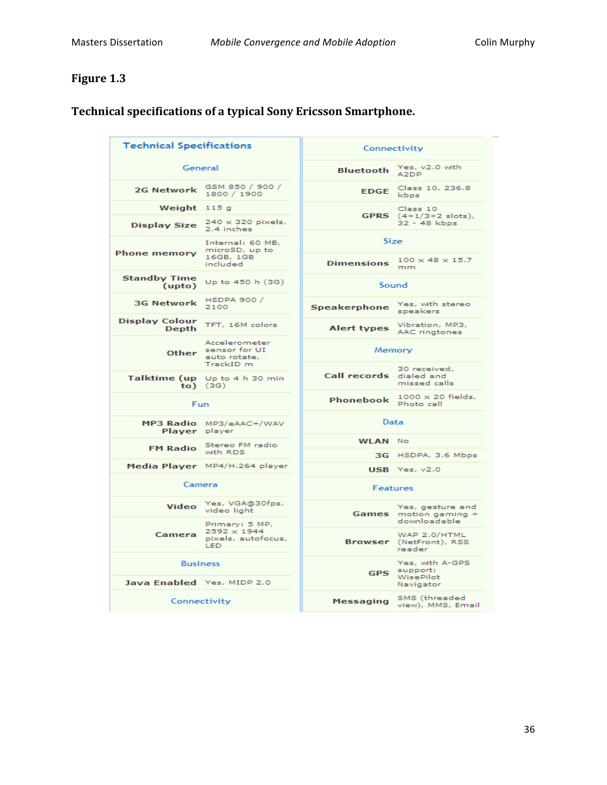# **Figure
1.3**

| <b>Technical Specifications</b>               |                                                                   | Connectivity                            |                                                           |
|-----------------------------------------------|-------------------------------------------------------------------|-----------------------------------------|-----------------------------------------------------------|
| General                                       |                                                                   | <b>Bluetooth</b>                        | Yes, v2.0 with<br>A2DP                                    |
| <b>2G Network</b>                             | GSM 850 / 900 /<br>1800 / 1900                                    | <b>EDGE</b>                             | Class 10, 236.8<br>kbps                                   |
| Weight $115g$                                 |                                                                   |                                         | Class 10                                                  |
| <b>Display Size</b>                           | $240 \times 320$ pixels,<br>2.4 inches                            | <b>GPRS</b> $(4+1/3+2 \text{ slots})$ , | 32 - 48 kbps                                              |
| <b>Phone memory</b>                           | Internal: 60 MB,<br>microSD, up to<br>16GB, 1GB                   | Size                                    | $100 \times 48 \times 15.7$                               |
|                                               | included                                                          | <b>Dimensions</b>                       | mm                                                        |
| <b>Standby Time</b><br>(upto)                 | Up to 450 h (3G)                                                  | Sound                                   |                                                           |
| <b>3G Network</b>                             | HSDPA 900 /<br>2100                                               | Speakerphone                            | Yes, with stereo<br>speakers                              |
| <b>Display Colour</b><br><b>Depth</b>         | TFT, 16M colors                                                   | <b>Alert types</b>                      | Vibration, MP3,<br>AAC ringtones                          |
|                                               | Accelerometer<br>Other sensor for UI<br>auto rotate,              | Memory                                  |                                                           |
|                                               | TrackID m<br>Talktime (up Up to 4 h 30 min<br>$to)$ (3G)          | Call records dialed and                 | 30 received,<br>missed calls                              |
| Fun                                           |                                                                   | Phonebook                               | $1000 \times 20$ fields,<br>Photo call                    |
| Player player                                 | MP3 Radio MP3/eAAC+/WAV                                           | Data                                    |                                                           |
| <b>FM Radio</b>                               | Stereo FM radio                                                   | <b>WLAN</b> No                          |                                                           |
|                                               | with RDS                                                          |                                         | 3G HSDPA, 3.6 Mbps                                        |
|                                               | Media Player MP4/H.264 player                                     |                                         | $USB$ Yes, $v2.0$                                         |
| Camera                                        |                                                                   | Features                                |                                                           |
| <b>Video</b>                                  | Yes, VGA@30fps,<br>video light                                    |                                         | Yes, gesture and<br>Games motion gaming +<br>downloadable |
| Camera                                        | Primary: 5 MP,<br>$2592 \times 1944$<br>pixels, autofocus,<br>LED |                                         | WAP 2.0/HTML<br>Browser (NetFront), RSS<br>reader         |
| <b>Business</b><br>Java Enabled Yes, MIDP 2.0 |                                                                   | <b>GPS</b>                              | Yes, with A-GPS<br>support;<br>WisePilot                  |
|                                               |                                                                   |                                         | Navigator                                                 |
| Connectivity                                  |                                                                   | <b>Messaging</b>                        | SMS (threaded<br>view), MMS, Email                        |

# **Technical
specifications
of
a
typical
Sony
Ericsson
Smartphone.**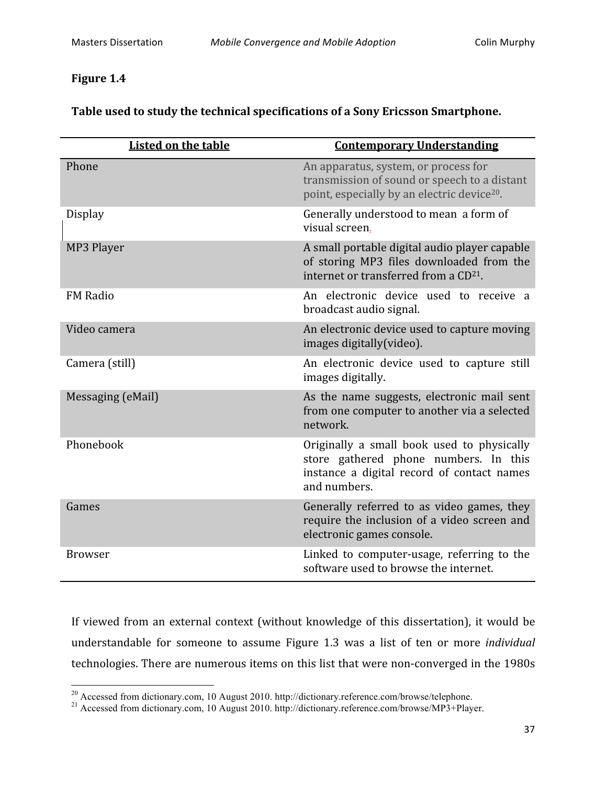# **Figure
1.4**

| <b>Listed on the table</b> | <b>Contemporary Understanding</b>                                                                                                                 |
|----------------------------|---------------------------------------------------------------------------------------------------------------------------------------------------|
| Phone                      | An apparatus, system, or process for<br>transmission of sound or speech to a distant<br>point, especially by an electric device <sup>20</sup> .   |
| <b>Display</b>             | Generally understood to mean a form of<br>visual screen.                                                                                          |
| MP3 Player                 | A small portable digital audio player capable<br>of storing MP3 files downloaded from the<br>internet or transferred from a CD <sup>21</sup> .    |
| <b>FM Radio</b>            | An electronic device used to receive a<br>broadcast audio signal.                                                                                 |
| Video camera               | An electronic device used to capture moving<br>images digitally (video).                                                                          |
| Camera (still)             | An electronic device used to capture still<br>images digitally.                                                                                   |
| Messaging (eMail)          | As the name suggests, electronic mail sent<br>from one computer to another via a selected<br>network.                                             |
| Phonebook                  | Originally a small book used to physically<br>store gathered phone numbers. In this<br>instance a digital record of contact names<br>and numbers. |
| Games                      | Generally referred to as video games, they<br>require the inclusion of a video screen and<br>electronic games console.                            |
| <b>Browser</b>             | Linked to computer-usage, referring to the<br>software used to browse the internet.                                                               |

If viewed from an external context (without knowledge of this dissertation), it would be understandable for someone to
 assume
 Figure
 1.3
 was
 a
 list
 of
 ten
 or
 more *individual* technologies. There are numerous items on this list that were non-converged in the 1980s

<sup>&</sup>lt;sup>20</sup> Accessed from dictionary.com, 10 August 2010. http://dictionary.reference.com/browse/telephone.

<sup>21</sup> Accessed from dictionary.com, 10 August 2010. http://dictionary.reference.com/browse/MP3+Player.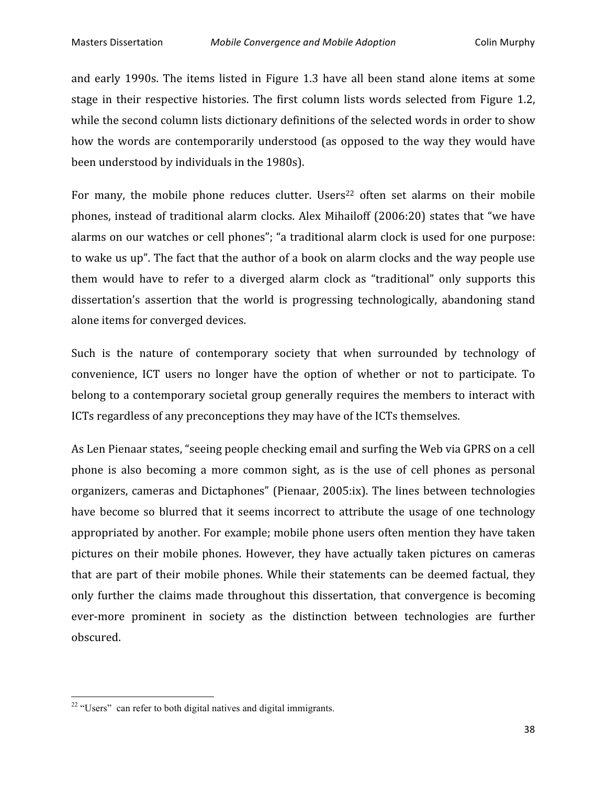and early 1990s. The items listed in Figure 1.3 have all been stand alone items at some stage in their respective histories. The first column lists words selected from Figure 1.2, while the second column lists dictionary definitions of the selected words in order to show how the words are contemporarily understood (as opposed to the way they would have been
understood
by
individuals
in
the
1980s).

For many, the mobile phone reduces clutter. Users<sup>22</sup> often set alarms on their mobile phones, instead of traditional alarm clocks. Alex Mihailoff (2006:20) states that "we have alarms on our watches or cell phones"; "a traditional alarm clock is used for one purpose: to wake us up". The fact that the author of a book on alarm clocks and the way people use them would have to refer to a diverged alarm clock as "traditional" only supports this dissertation's assertion that the world is progressing technologically, abandoning stand alone
items
for
converged
devices.

Such is the nature of contemporary society that when surrounded by technology of convenience,
 ICT
 users
 no
 longer
 have
 the
 option
 of
 whether
 or
 not
 to
 participate.
 To belong to a contemporary societal group generally requires the members to interact with ICTs
regardless
of
any
preconceptions
they
may
have
of
the
ICTs
themselves.

As Len Pienaar states, "seeing people checking email and surfing the Web via GPRS on a cell phone is also becoming a more common sight, as is the use of cell phones as personal organizers,
cameras
and
Dictaphones"
(Pienaar,
2005:ix).
The
lines
between
 technologies have become so blurred that it seems incorrect to attribute the usage of one technology appropriated
by
another.
For
example;
mobile
phone
users
often
mention
they
have
taken pictures
 on
 their
mobile
 phones.
However,
 they
 have
 actually
 taken
pictures
 on
 cameras that are part of their mobile phones. While their statements can be deemed factual, they only further the claims made throughout this dissertation, that convergence is becoming ever-more prominent in society as the distinction between technologies are further obscured.

<u> 1989 - Johann Stein, fransk politik (d. 1989)</u>

<sup>&</sup>lt;sup>22</sup> "Users" can refer to both digital natives and digital immigrants.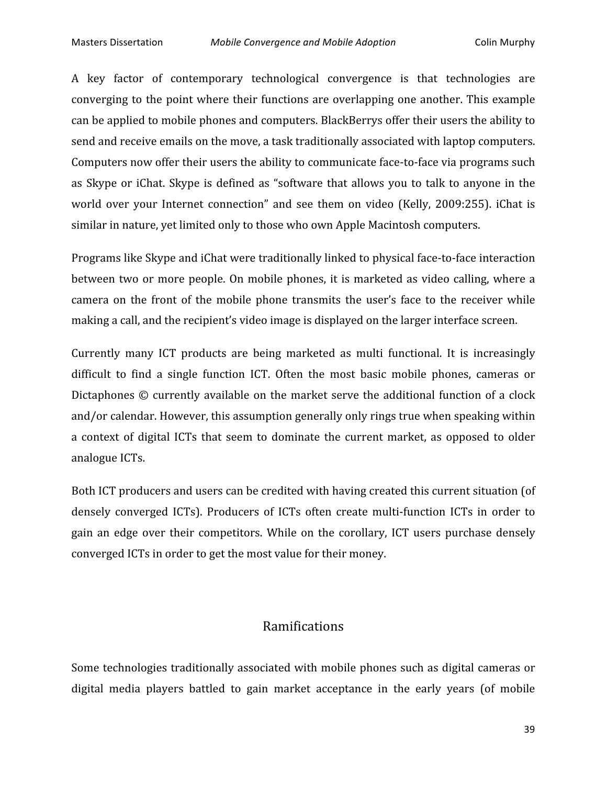A key factor of contemporary technological convergence is that technologies are converging
 to
 the
point
where
 their
 functions
are
overlapping
one
another.
This
example can
be
applied
to
mobile
phones
and
computers.
BlackBerrys
offer
their
users
the
ability
to send and receive emails on the move, a task traditionally associated with laptop computers. Computers now offer their users the ability to communicate face-to-face via programs such as Skype or iChat. Skype is defined as "software that allows you to talk to anyone in the world over your Internet connection" and see them on video (Kelly, 2009:255). iChat is similar
in
nature,
yet
limited
only
to
those
who
own
Apple
Macintosh
computers.

Programs
like
Skype
and
iChat
were
traditionally
linked
to
physical
face‐to‐face
interaction between two or more people. On mobile phones, it is marketed as video calling, where a camera on the front of the mobile phone transmits the user's face to the receiver while making
a
call,
and
the
recipient's
video
image
is
displayed
on
the
larger
interface
screen.

Currently many ICT products
 are
 being
 marketed
 as
 multi
 functional. It
 is
 increasingly difficult to find a single function ICT. Often the most basic mobile phones, cameras or Dictaphones  $\odot$  currently available on the market serve the additional function of a clock and/or
calendar.
However,
this
assumption
generally
only
rings
true
when
speaking
within a context of digital ICTs that seem to dominate the current market, as opposed to older analogue
ICTs.

Both ICT producers and users can be credited with having created this current situation (of densely converged ICTs). Producers of ICTs often create multi-function ICTs in order to gain
 an
 edge
 over
 their
 competitors.
While
 on
 the
 corollary,
 ICT
 users
 purchase
 densely converged
ICTs
in
order
to
get
the
most
value
for
their
money.

#### Ramifications

Some
 technologies
 traditionally
associated
with
mobile
phones
such
as
digital
cameras
or digital media players battled to gain market acceptance in the early years (of mobile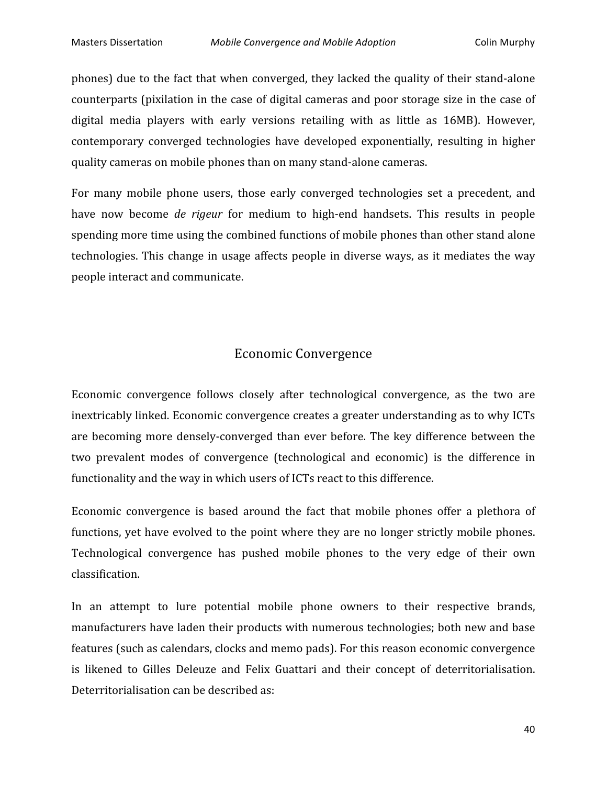phones)
due
 to
 the
 fact
 that
when
converged,
 they
lacked
 the
quality
of
 their
stand‐alone counterparts
(pixilation
in
the
case
of
digital
cameras
and
poor
storage
size
in
the
case
of digital media players with early versions retailing with as little as 16MB). However, contemporary
 converged
 technologies
 have
 developed
 exponentially,
 resulting
 in
 higher quality
cameras
on
mobile
phones
than
on
many
stand‐alone
cameras.

For many mobile phone users, those early converged technologies set a precedent, and have now become *de rigeur* for medium to high-end handsets. This results in people spending more time using the combined functions of mobile phones than other stand alone technologies. This change in usage affects people in diverse ways, as it mediates the way people
interact
and
communicate.

### Economic
Convergence

Economic convergence follows closely after technological convergence, as the two are inextricably linked. Economic convergence creates a greater understanding as to why ICTs are
 becoming
more
 densely‐converged
 than
ever
 before.
 The
key
 difference
 between
 the two
 prevalent
 modes
 of
 convergence
 (technological
 and
 economic)
 is
 the
 difference
 in functionality and the way in which users of ICTs react to this difference.

Economic convergence is based around the fact that mobile phones offer a plethora of functions, yet have evolved to the point where they are no longer strictly mobile phones. Technological convergence has pushed mobile phones to the very edge of their own classification.

In an attempt to lure potential mobile phone owners to their respective brands, manufacturers
have
laden
their
products
with
numerous
technologies;
both
new
and
base features
(such
as
calendars,
clocks
and
memo
pads).
For
this
reason
economic
convergence is
 likened
 to
 Gilles
 Deleuze
 and
 Felix
 Guattari
 and
 their
 concept
 of deterritorialisation. Deterritorialisation
can
be
described
as: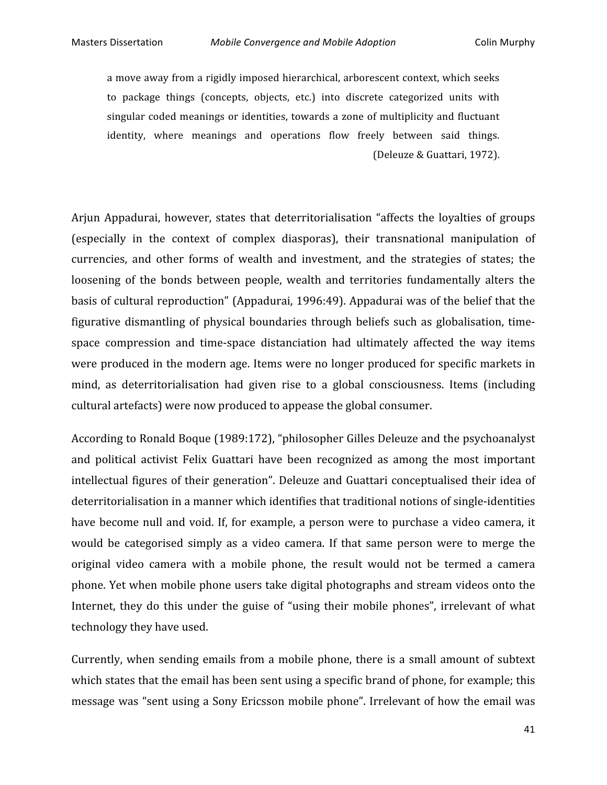a move away from a rigidly imposed hierarchical, arborescent context, which seeks to package things (concepts, objects, etc.) into discrete categorized units with singular coded meanings or identities, towards a zone of multiplicity and fluctuant identity, where meanings and operations flow freely between said things. (Deleuze
&
Guattari,
1972).

Arjun Appadurai, however, states that deterritorialisation "affects the loyalties of groups (especially
 in
 the
 context
 of
 complex
 diasporas),
 their
 transnational
 manipulation
 of currencies,
 and
 other
 forms
 of
 wealth
 and
 investment,
 and
 the
 strategies
 of
 states;
 the loosening of the bonds between people, wealth and territories fundamentally alters the basis
of
cultural
reproduction"
(Appadurai,
1996:49).
Appadurai
was
of
the
belief
that
the figurative dismantling of physical boundaries through beliefs such as globalisation, timespace compression and time-space distanciation had ultimately affected the way items were produced in the modern age. Items were no longer produced for specific markets in mind, as deterritorialisation had given rise to a global consciousness. Items (including cultural
artefacts)
were
now
produced
to
appease
the
global
consumer.

According
to
Ronald
Boque
(1989:172),
"philosopher
Gilles
Deleuze
and
the
psychoanalyst and
 political
 activist
 Felix
 Guattari
 have
 been
 recognized
 as
 among
 the
 most
 important intellectual figures of their generation". Deleuze and Guattari conceptualised their idea of deterritorialisation in a manner which identifies that traditional notions of single-identities have become null and void. If, for example, a person were to purchase a video camera, it would be categorised simply as a video camera. If that same person were to merge the original video camera with a mobile phone, the result would not be termed a camera phone.
Yet
when
mobile
phone
users
take
digital
photographs
and
stream
videos
onto
the Internet, they do this under the guise of "using their mobile phones", irrelevant of what technology
they
have
used.

Currently, when sending emails from a mobile phone, there is a small amount of subtext which states that the email has been sent using a specific brand of phone, for example; this message
was
"sent
using
a
Sony
Ericsson
mobile
phone".
 Irrelevant
of
how
 the
email
was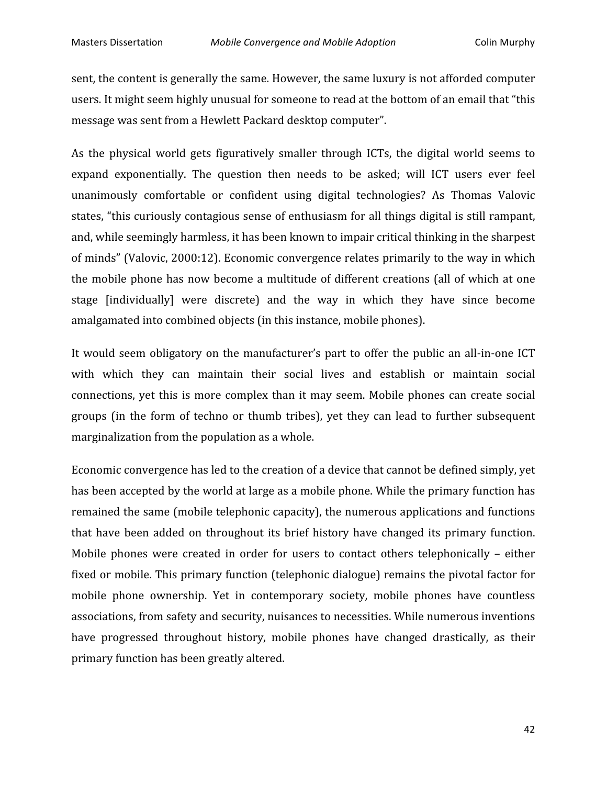sent,
the
content
is
generally
the
same.
However,
the
same
luxury
is
not
afforded
computer users. It might seem highly unusual for someone to read at the bottom of an email that "this message
was
sent
from
a
Hewlett
Packard
desktop
computer".

As the physical world gets figuratively smaller through ICTs, the digital world seems to expand exponentially. The question then needs to be asked; will ICT users ever feel unanimously
 comfortable
 or
 confident
 using
 digital
 technologies?
 As
 Thomas
 Valovic states, "this curiously contagious sense of enthusiasm for all things digital is still rampant, and,
while
seemingly
harmless,
it
has
been
known
to
impair
critical
thinking
in
the
sharpest of minds" (Valovic, 2000:12). Economic convergence relates primarily to the way in which the mobile phone has now become a multitude of different creations (all of which at one stage [individually] were discrete] and the way in which they have since become amalgamated
into
combined
objects
(in
this
instance,
mobile
phones).

It would seem obligatory on the manufacturer's part to offer the public an all-in-one ICT with which they can maintain their social lives and establish or maintain social connections,
 yet
 this
is
more
 complex
 than
it
may
 seem.
Mobile
 phones
 can
 create
 social groups
 (in
 the
 form
 of
 techno
 or
 thumb
 tribes),
 yet
 they
 can
 lead
 to
 further
 subsequent marginalization
from
the
population
as
a
whole.

Economic convergence has led to the creation of a device that cannot be defined simply, yet has been accepted by the world at large as a mobile phone. While the primary function has remained
the
same
(mobile
telephonic
capacity),
the
numerous
applications
and
functions that
 have
 been
 added
 on
 throughout
its
 brief
 history
 have
 changed
its
 primary
 function. Mobile phones were created in order for users to contact others telephonically - either fixed or mobile. This primary function (telephonic dialogue) remains the pivotal factor for mobile phone ownership. Yet in contemporary society, mobile phones have countless associations,
from
safety
and
security,
nuisances
to
necessities.
While
numerous
inventions have progressed throughout history, mobile phones have changed drastically, as their primary
function
has
been
greatly
altered.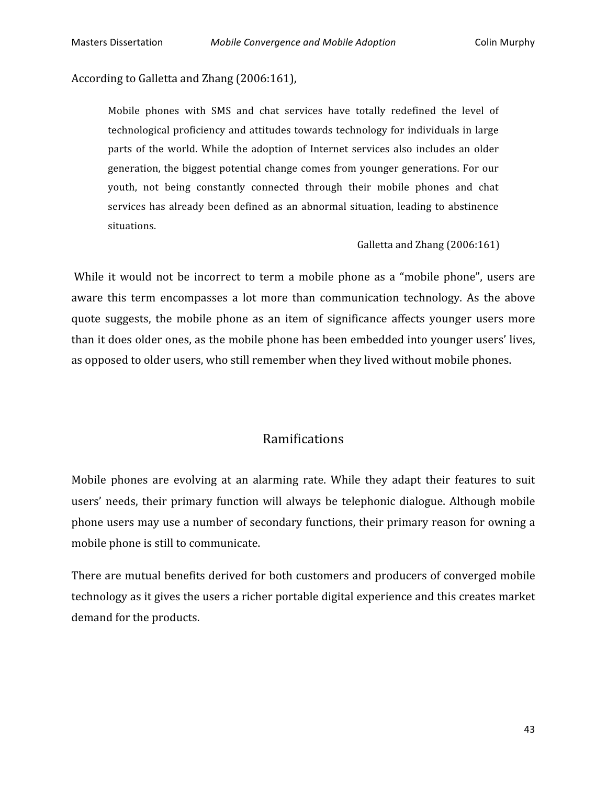According
to
Galletta
and
Zhang
(2006:161),

Mobile phones with SMS and chat services have totally redefined the level of technological
proficiency
and
attitudes
 towards
 technology
 for
individuals
in
large parts of the world. While the adoption of Internet services also includes an older generation,
 the
biggest
potential
change
comes
 from
younger
generations.
For
our youth,
 not
 being
 constantly
 connected
 through
 their
 mobile
 phones
 and
 chat services has already been defined as an abnormal situation, leading to abstinence situations.

Galletta
and
Zhang
(2006:161)

While it would not be incorrect to term a mobile phone as a "mobile phone", users are aware this term encompasses a lot more than communication technology. As the above quote
 suggests,
 the
 mobile
 phone
 as
 an
 item
 of
 significance
 affects
 younger
 users
 more than
it
does
older
ones,
as
the
mobile
phone
has
been
embedded
into
younger
users'
lives, as
opposed
to
older
users,
who
still
remember
when
they
lived
without
mobile
phones.

# Ramifications

Mobile phones are evolving at an alarming rate. While they adapt their features to suit users'
 needs,
 their
 primary
 function
will
 always
 be
 telephonic
 dialogue.
Although
mobile phone users may use a number of secondary functions, their primary reason for owning a mobile
phone
is
still
to
communicate.

There
are
mutual
benefits
derived
for
both
customers
and
producers
of
converged
mobile technology as it gives the users a richer portable digital experience and this creates market demand
for
the
products.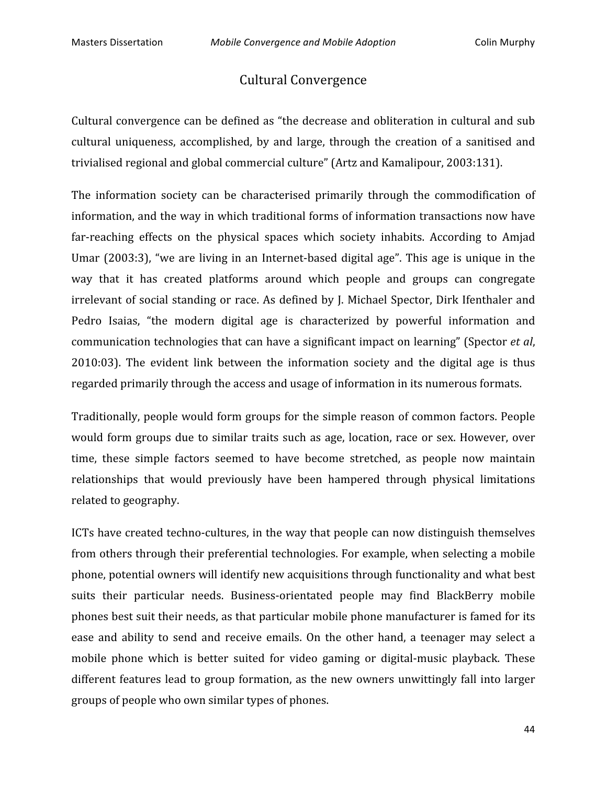# Cultural
Convergence

Cultural convergence can be defined as "the decrease and obliteration in cultural and sub cultural uniqueness, accomplished, by and large, through the creation of a sanitised and trivialised regional and global commercial culture" (Artz and Kamalipour, 2003:131).

The information society can be characterised primarily through the commodification of information, and the way in which traditional forms of information transactions now have far-reaching effects on the physical spaces which society inhabits. According to Amjad Umar (2003:3), "we are living in an Internet-based digital age". This age is unique in the way
 that
 it
 has
 created
 platforms
 around
 which
 people
 and
 groups
 can
 congregate irrelevant of social standing or race. As defined by J. Michael Spector, Dirk Ifenthaler and Pedro Isaias, "the modern digital age is characterized by powerful information and communication
technologies
that
can
have
a
significant
impact
on
learning"
(Spector *et
al*, 2010:03). The evident link between the information society and the digital age is thus regarded
primarily
through
the
access
and
usage
of
information
in
its
numerous
formats.

Traditionally,
people
would
 form
groups
 for
the
simple
reason
of
common
 factors.
People would form groups due to similar traits such as age, location, race or sex. However, over time, these simple factors seemed to have become stretched, as people now maintain relationships that would previously have been hampered through physical limitations related
to
geography.

ICTs
have
created
techno‐cultures,
in
the
way
that
people
can
now
distinguish
themselves from
others
through
their
preferential
technologies.
For
example,
when
selecting
a
mobile phone,
potential
owners
will
identify
new
acquisitions
through
functionality
and
what
best suits their particular needs. Business-orientated people may find BlackBerry mobile phones
best
suit
their
needs,
as
that
particular
mobile
phone
manufacturer
is
famed
for
its ease and ability to send and receive emails. On the other hand, a teenager may select a mobile phone which is better suited for video gaming or digital-music playback. These different features lead to group formation, as the new owners unwittingly fall into larger groups
of
people
who
own
similar
types
of
phones.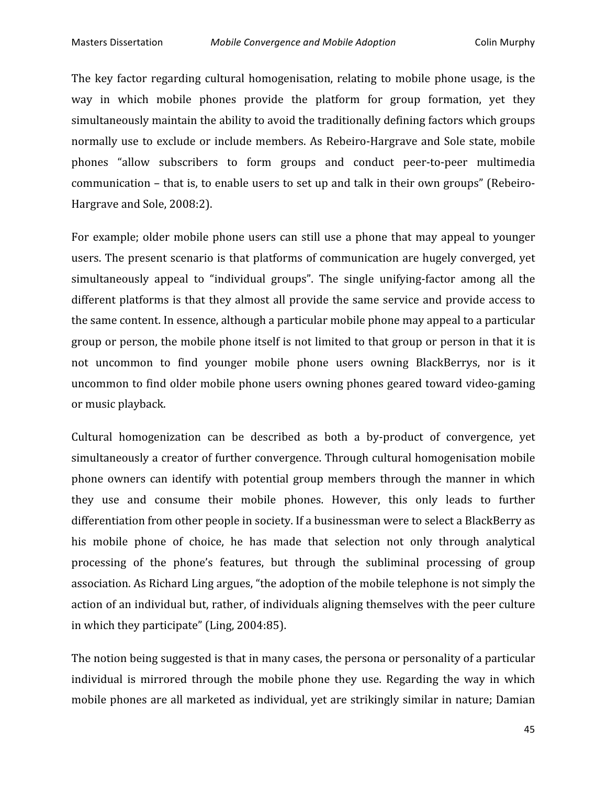The key factor regarding cultural homogenisation, relating to mobile phone usage, is the way in which mobile phones provide the platform for group formation, yet they simultaneously maintain the ability to avoid the traditionally defining factors which groups normally
use
 to
exclude
or
include
members.
As
Rebeiro‐Hargrave
and
Sole
state,
mobile phones
 "allow
 subscribers
 to
 form
 groups
 and
 conduct
 peer‐to‐peer
 multimedia communication – that is, to enable users to set up and talk in their own groups" (Rebeiro-Hargrave
and
Sole,
2008:2).

For example; older mobile phone users can still use a phone that may appeal to younger users. The present scenario is that platforms of communication are hugely converged, yet simultaneously appeal to "individual groups". The single unifying-factor among all the different platforms is that they almost all provide the same service and provide access to the same content. In essence, although a particular mobile phone may appeal to a particular group or person, the mobile phone itself is not limited to that group or person in that it is not uncommon to find younger mobile phone users owning BlackBerrys, nor is it uncommon
to
find
older
mobile
phone
users
owning
phones
geared
toward
video‐gaming or
music
playback.

Cultural homogenization can be described as both a by-product of convergence, yet simultaneously a creator of further convergence. Through cultural homogenisation mobile phone
 owners
 can
 identify
 with
 potential
 group members
 through
 the
 manner
 in
which they use and consume their mobile phones. However, this only leads to further differentiation from other people in society. If a businessman were to select a BlackBerry as his mobile phone of choice, he has made that selection not only through analytical processing
 of
 the
 phone's
 features,
 but
 through
 the
 subliminal
 processing
 of
 group association.
As
Richard
Ling
argues,
"the
adoption
of
the
mobile
telephone
is
not
simply
the action of an individual but, rather, of individuals aligning themselves with the peer culture in
which
they
participate"
(Ling,
2004:85).

The notion being suggested is that in many cases, the persona or personality of a particular individual is mirrored through the mobile phone they use. Regarding the way in which mobile
phones
are
all
marketed
as
individual,
yet
are
strikingly
similar
in
nature;
Damian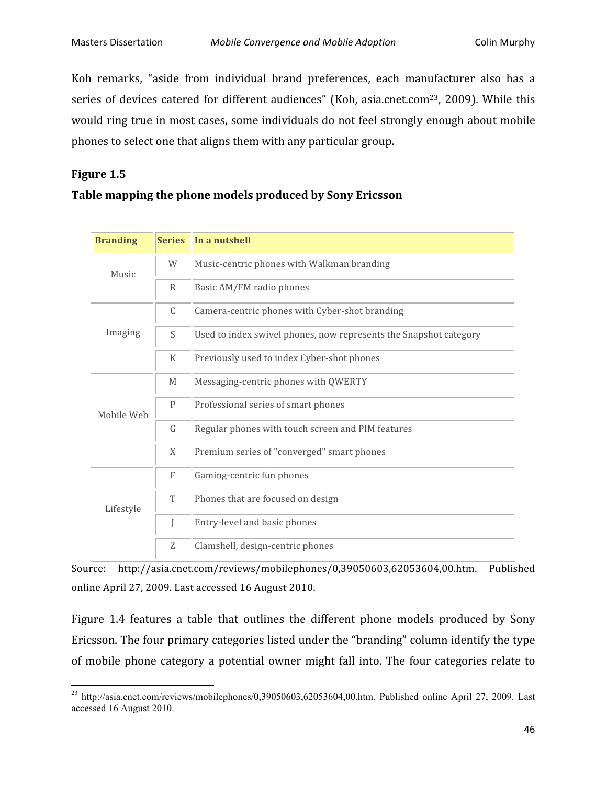Koh remarks, "aside from individual brand preferences, each manufacturer also has a series of devices catered for different audiences" (Koh, asia.cnet.com<sup>23</sup>, 2009). While this would ring true in most cases, some individuals do not feel strongly enough about mobile phones to select one that aligns them with any particular group.

#### **Figure
1.5**

<u> 1989 - Johann Stein, fransk politik (d. 1989)</u>

#### **Table
mapping
the
phone
models
produced
by
Sony
Ericsson**

| <b>Branding</b> | <b>Series</b>    | In a nutshell                                                     |  |  |
|-----------------|------------------|-------------------------------------------------------------------|--|--|
| Music           | W                | Music-centric phones with Walkman branding                        |  |  |
|                 | R                | Basic AM/FM radio phones                                          |  |  |
| Imaging         | C                | Camera-centric phones with Cyber-shot branding                    |  |  |
|                 | S                | Used to index swivel phones, now represents the Snapshot category |  |  |
|                 | K                | Previously used to index Cyber-shot phones                        |  |  |
| Mobile Web      | M                | Messaging-centric phones with QWERTY                              |  |  |
|                 | P                | Professional series of smart phones                               |  |  |
|                 | G                | Regular phones with touch screen and PIM features                 |  |  |
|                 | X                | Premium series of "converged" smart phones                        |  |  |
| Lifestyle       | $\boldsymbol{F}$ | Gaming-centric fun phones                                         |  |  |
|                 | T                | Phones that are focused on design                                 |  |  |
|                 | I                | Entry-level and basic phones                                      |  |  |
|                 | Z                | Clamshell, design-centric phones                                  |  |  |

Source: http://asia.cnet.com/reviews/mobilephones/0,39050603,62053604,00.htm.
 Published online
April
27,
2009.
Last
accessed
16
August
2010.

Figure 1.4 features a table that outlines the different phone models produced by Sony Ericsson.
The
four
primary
categories
listed
under
the
"branding"
column
identify
the
type of
mobile
 phone
 category
 a
 potential
 owner
might
 fall
into.
 The
 four
 categories
 relate
 to

 $^{23}$  http://asia.cnet.com/reviews/mobilephones/0,39050603,62053604,00.htm. Published online April 27, 2009. Last accessed 16 August 2010.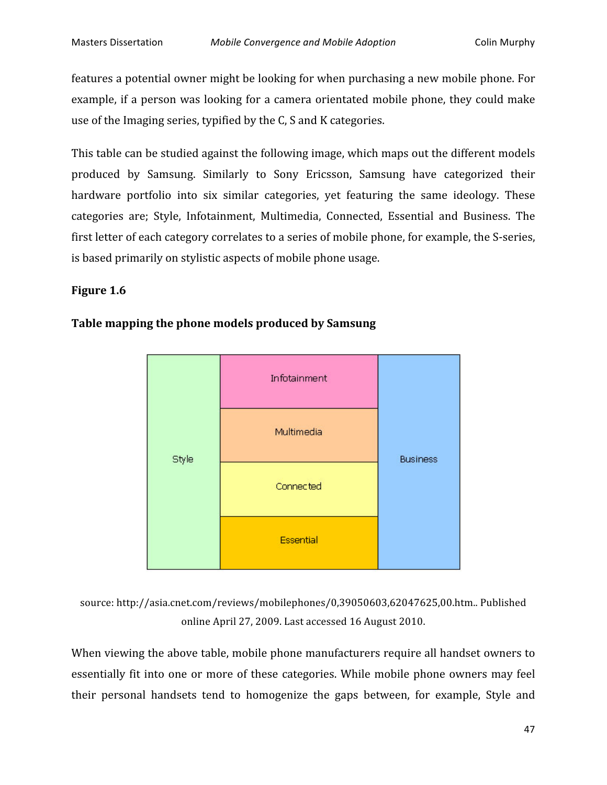features a potential owner might be looking for when purchasing a new mobile phone. For example, if a person was looking for a camera orientated mobile phone, they could make use
of
the
Imaging
series,
typified
by
the
C,
S
and
K
categories.

This
table
can
be
studied
against
the
following
image,
which
maps
out
the
different
models produced
 by
 Samsung.
 Similarly
 to
 Sony
 Ericsson,
 Samsung
 have
 categorized
 their hardware portfolio into six similar categories, yet featuring the same ideology. These categories
 are;
 Style,
 Infotainment,
 Multimedia,
 Connected,
 Essential
 and
 Business.
 The first letter of each category correlates to a series of mobile phone, for example, the S-series, is
based
primarily
on
stylistic
aspects
of
mobile
phone
usage.

#### **Figure
1.6**



#### **Table
mapping
the
phone
models
produced
by
Samsung**

source:
http://asia.cnet.com/reviews/mobilephones/0,39050603,62047625,00.htm..
Published online
April
27,
2009.
Last
accessed
16
August
2010.

When viewing the above table, mobile phone manufacturers require all handset owners to essentially fit into one or more of these categories. While mobile phone owners may feel their personal handsets tend to homogenize the gaps between, for example, Style and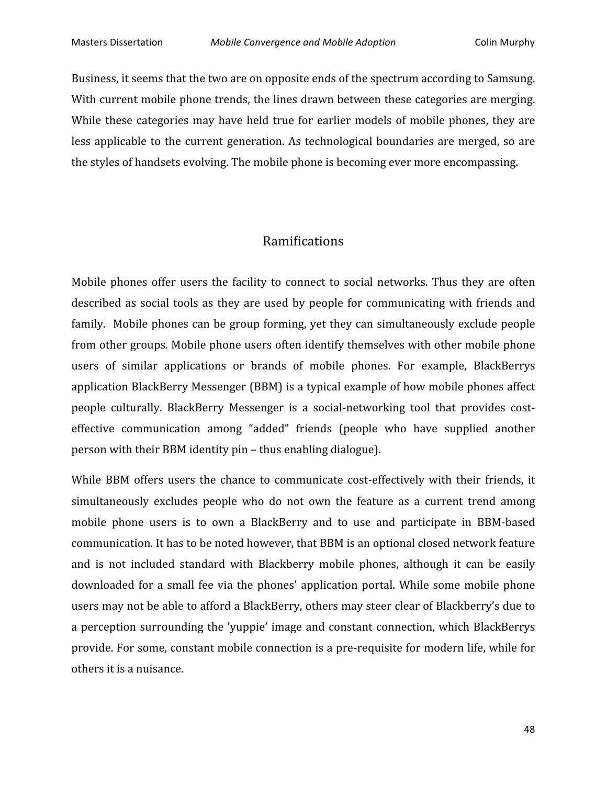Business, it seems that the two are on opposite ends of the spectrum according to Samsung. With current mobile phone trends, the lines drawn between these categories are merging. While these categories may have held true for earlier models of mobile phones, they are less applicable to the current generation. As technological boundaries are merged, so are the
styles
of
handsets
evolving.
The
mobile
phone
is
becoming
ever
more
encompassing.

# Ramifications

Mobile phones offer users the facility to connect to social networks. Thus they are often described as social tools as they are used by people for communicating with friends and family. Mobile phones can be group forming, yet they can simultaneously exclude people from
other
groups.
Mobile
phone
users
often
identify
themselves
with
other
mobile
phone users of similar applications or brands of mobile phones. For example, BlackBerrys application
BlackBerry
Messenger
(BBM)
is
a
typical
example
of
how
mobile
phones
affect people culturally. BlackBerry Messenger is a social-networking tool that provides costeffective communication among "added" friends (people who have supplied another person
with
their
BBM
identity
pin
–
thus
enabling
dialogue).

While BBM offers users the chance to communicate cost-effectively with their friends, it simultaneously excludes people who do not own the feature as a current trend among mobile phone users is to own a BlackBerry and to use and participate in BBM-based communication.
It
has
to
be
noted
however,
that
BBM
is
an
optional
closed
network
feature and
 is not
 included
 standard
 with
 Blackberry
 mobile
 phones,
 although
 it
 can
 be
 easily downloaded for a small fee via the phones' application portal. While some mobile phone users may not be able to afford a BlackBerry, others may steer clear of Blackberry's due to a perception surrounding the 'yuppie' image and constant connection, which BlackBerrys provide.
For
some,
constant
mobile
connection
is
a
pre‐requisite
for
modern
life,
while
for others
it
is
a
nuisance.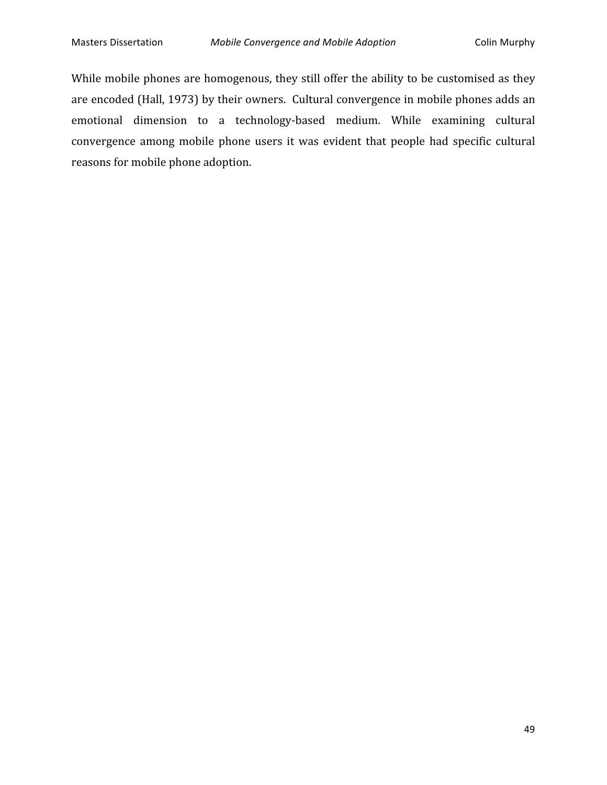While mobile phones are homogenous, they still offer the ability to be customised as they are
encoded
(Hall,
1973)
by
their
owners.

Cultural
convergence
in
mobile
phones
adds
an emotional
 dimension
 to
 a
 technology‐based
 medium. While
 examining
 cultural convergence among mobile phone users it was evident that people had specific cultural reasons
for
mobile
phone
adoption.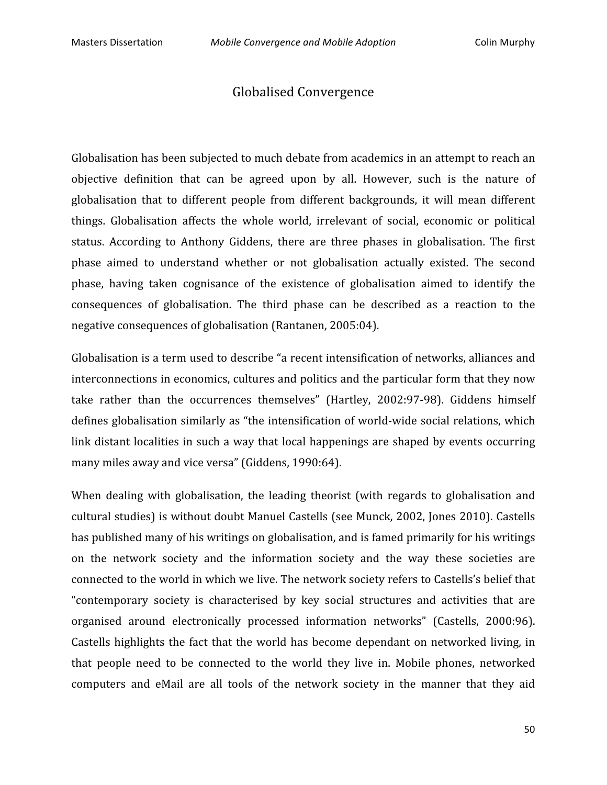### Globalised
Convergence

Globalisation has been subjected to much debate from academics in an attempt to reach an objective definition that can be agreed upon by all. However, such is the nature of globalisation that to different people from different backgrounds, it will mean different things. Globalisation affects the whole world, irrelevant of social, economic or political status. According to Anthony Giddens, there are three phases in globalisation. The first phase
 aimed
 to
 understand
 whether
 or
 not
 globalisation
 actually
 existed.
 The
 second phase, having taken cognisance of the existence of globalisation aimed to identify the consequences
 of
 globalisation.
 The
 third
 phase
 can
 be
 described
 as
 a
 reaction
 to
 the negative
consequences
of
globalisation
(Rantanen,
2005:04).

Globalisation is a term used to describe "a recent intensification of networks, alliances and interconnections in economics, cultures and politics and the particular form that they now take rather than the occurrences themselves" (Hartley, 2002:97-98). Giddens himself defines globalisation similarly as "the intensification of world-wide social relations, which link distant localities in such a way that local happenings are shaped by events occurring many
miles
away
and
vice
versa"
(Giddens,
1990:64).

When dealing with globalisation, the leading theorist (with regards to globalisation and cultural
studies)
is
without
doubt
Manuel
Castells
(see
Munck,
2002,
Jones
2010).
Castells has published many of his writings on globalisation, and is famed primarily for his writings on the network society and the information society and the way these societies are connected to the world in which we live. The network society refers to Castells's belief that "contemporary society is characterised by key social structures and activities that are organised
 around
 electronically
 processed
 information
 networks"
 (Castells,
 2000:96). Castells highlights the fact that the world has become dependant on networked living, in that
 people
 need
 to
 be
 connected
 to
 the
 world
 they
 live
 in.
 Mobile
 phones,
 networked computers and eMail are all tools of the network society in the manner that they aid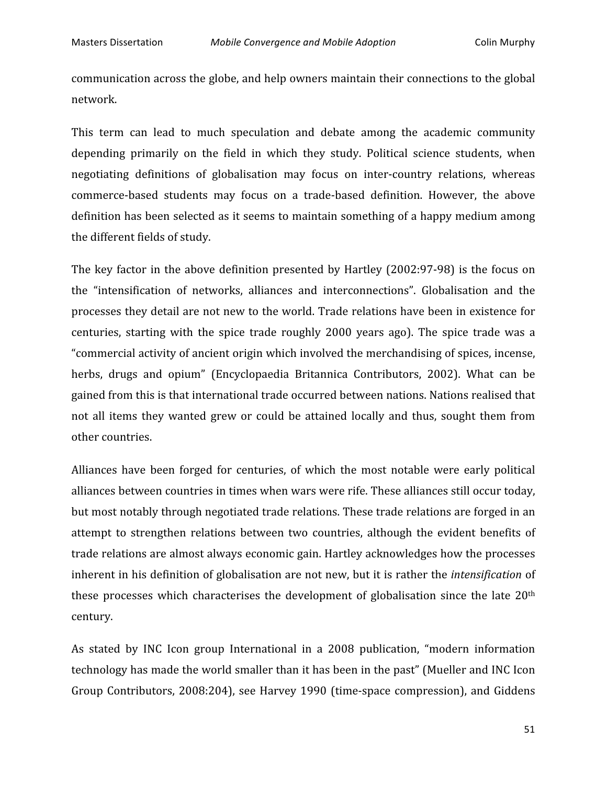communication
across
the
globe,
and
help
owners
maintain
their
connections
to
the
global network.

This term can lead to much speculation and debate among the academic community depending primarily on the field in which they study. Political science students, when negotiating definitions of globalisation may focus on inter-country relations, whereas commerce‐based
 students
 may
 focus
 on a trade‐based
 definition.
 However,
 the
 above definition has been selected as it seems to maintain something of a happy medium among the
different
fields
of
study.

The key factor in the above definition presented by Hartley (2002:97-98) is the focus on the
 "intensification
 of
 networks,
 alliances
 and
 interconnections".
 Globalisation
 and
 the processes
they
detail
are
not
new
to
the
world.
Trade
relations
have
been
in
existence
for centuries, starting with the spice trade roughly 2000 years ago). The spice trade was a "commercial
activity
of
ancient
origin
which
involved
the
merchandising
of
spices,
incense, herbs, drugs and opium" (Encyclopaedia Britannica Contributors, 2002). What can be gained
from
this
is
that
international
trade
occurred
between
nations.
Nations
realised
that not all items they wanted grew or could be attained locally and thus, sought them from other
countries.

Alliances have been forged for centuries, of which the most notable were early political alliances
between
countries
in
times
when
wars
were
rife.
These
alliances
still
occur
today, but most notably through negotiated trade relations. These trade relations are forged in an attempt
 to
 strengthen
 relations
 between
 two
 countries,
 although
 the
 evident
 benefits
 of trade
relations
are
almost
always
economic
gain.
Hartley
acknowledges
how
the
processes inherent in his definition of globalisation are not new, but it is rather the *intensification* of these processes which characterises the development of globalisation since the late 20<sup>th</sup> century.

As stated by INC Icon group International in a 2008 publication, "modern information technology has made the world smaller than it has been in the past" (Mueller and INC Icon Group Contributors, 2008:204), see Harvey 1990 (time-space compression), and Giddens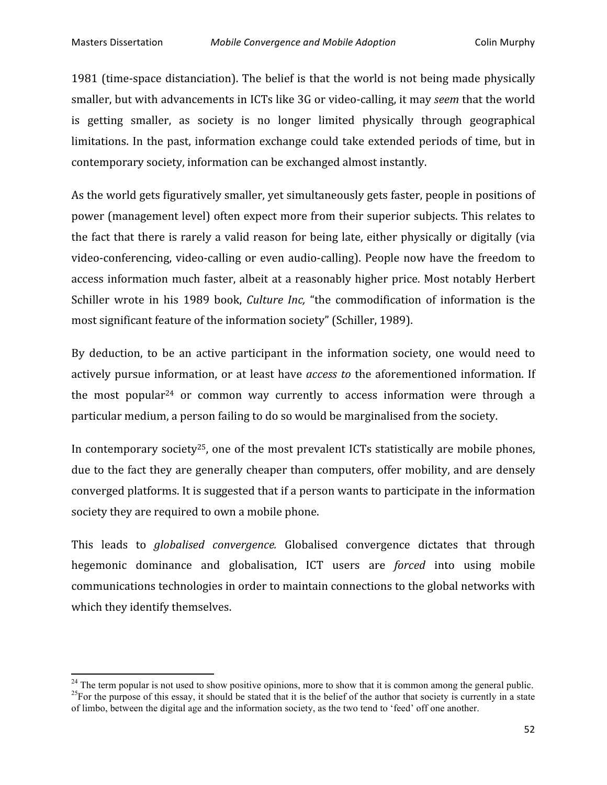1981 (time-space distanciation). The belief is that the world is not being made physically smaller, but with advancements in ICTs like 3G or video-calling, it may *seem* that the world is getting smaller, as society is no longer limited physically through geographical limitations. In the past, information exchange could take extended periods of time, but in contemporary
society,
information
can
be
exchanged
almost
instantly.

As the world gets figuratively smaller, yet simultaneously gets faster, people in positions of power
(management
level)
often
expect
more
from
their
superior
subjects.
This
relates
to the fact that there is rarely a valid reason for being late, either physically or digitally (via video-conferencing, video-calling or even audio-calling). People now have the freedom to access
information
much
 faster,
albeit
at
a
reasonably
higher
price.
Most
notably
Herbert Schiller wrote in his 1989 book, *Culture Inc*, "the commodification of information is the most
significant
feature
of
the
information
society"
(Schiller,
1989).

By deduction, to be an active participant in the information society, one would need to actively pursue information, or at least have *access to* the aforementioned information. If the most popular<sup>24</sup> or common way currently to access information were through a particular
medium,
a
person
failing
to
do
so
would
be
marginalised
from
the
society.

In contemporary society<sup>25</sup>, one of the most prevalent ICTs statistically are mobile phones, due to the fact they are generally cheaper than computers, offer mobility, and are densely converged
platforms.
It
is
suggested
that
if
a
person
wants
to
participate
in
the
information society they are required to own a mobile phone.

This leads to *globalised convergence*. Globalised convergence dictates that through hegemonic
 dominance
 and
 globalisation,
 ICT
 users
 are *forced* into
 using
 mobile communications
technologies
in
order
to
maintain
connections
to
the
global
networks
with which they identify themselves.

<sup>&</sup>lt;sup>24</sup> The term popular is not used to show positive opinions, more to show that it is common among the general public.<br><sup>25</sup> For the purpose of this essay, it should be stated that it is the belief of the author that societ of limbo, between the digital age and the information society, as the two tend to 'feed' off one another.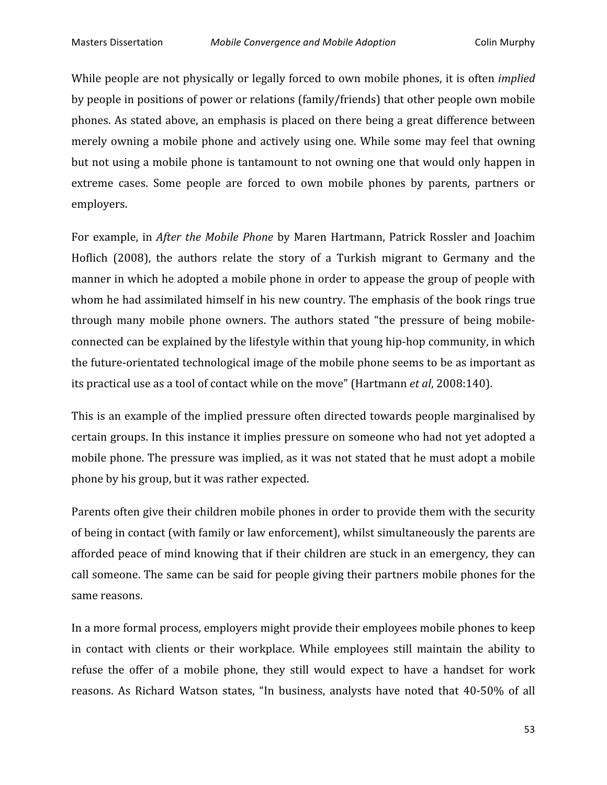While people are not physically or legally forced to own mobile phones, it is often *implied* by
people
in
positions
of
power
or
relations
(family/friends)
that
other
people
own
mobile phones.
As
stated
above,
an
emphasis
is
placed
on
there
being
a
great
difference
between merely owning a mobile phone and actively using one. While some may feel that owning but
not
using
a
mobile
phone
is
tantamount
to
not
owning
one
that
would
only
happen
in extreme cases. Some people are forced to own mobile phones by parents, partners or employers.

For example, in *After the Mobile Phone* by Maren Hartmann, Patrick Rossler and Joachim Hoflich (2008), the authors relate the story of a Turkish migrant to Germany and the manner in which he adopted a mobile phone in order to appease the group of people with whom he had assimilated himself in his new country. The emphasis of the book rings true through many mobile phone owners. The authors stated "the pressure of being mobileconnected
can
be
explained
by
the
lifestyle
within
that
young
hip‐hop
community,
in
which the future-orientated technological image of the mobile phone seems to be as important as its
practical
use
as
a
tool
of
contact
while
on
the
move"
(Hartmann *et
al*,
2008:140).

This is an example of the implied pressure often directed towards people marginalised by certain
groups.
In
this
instance
it
implies
pressure
on
someone
who
had
not
yet
adopted
a mobile phone. The pressure was implied, as it was not stated that he must adopt a mobile phone
by
his
group,
but
it
was
rather
expected.

Parents often give their children mobile phones in order to provide them with the security of
being
in
contact
(with
family
or
law
enforcement),
whilst
simultaneously
the
parents
are afforded peace of mind knowing that if their children are stuck in an emergency, they can call
someone.
The
same
can
be
said
for
people
giving
their
partners
mobile
phones
for
the same
reasons.

In
a
more
formal
process,
employers
might
provide
their
employees
mobile
phones
to
keep in contact with clients or their workplace. While employees still maintain the ability to refuse the offer of a mobile phone, they still would expect to have a handset for work reasons. As Richard Watson states, "In business, analysts have noted that 40-50% of all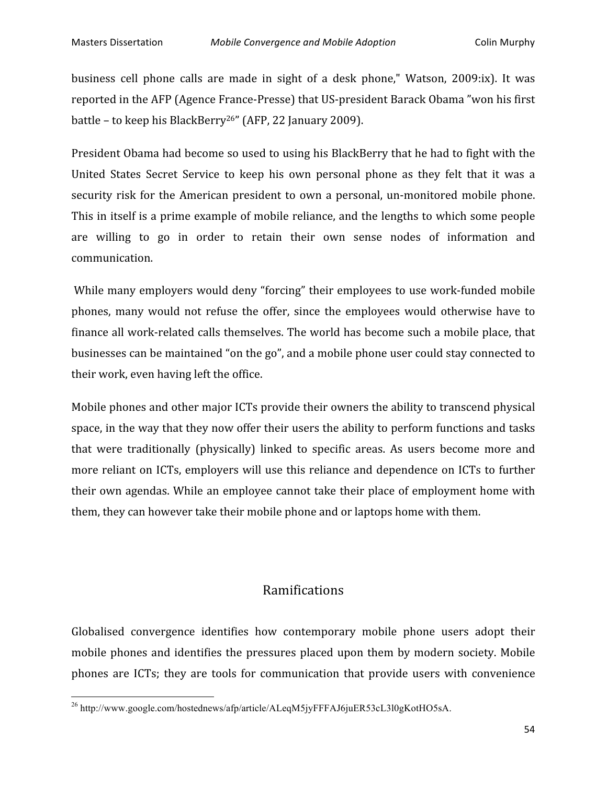business cell phone calls are made in sight of a desk phone," Watson, 2009:ix). It was reported in the AFP (Agence France-Presse) that US-president Barack Obama "won his first battle
–
to
keep
his
BlackBerry26"
(AFP,
22
January
2009).

President Obama had become so used to using his BlackBerry that he had to fight with the United States Secret Service to keep his own personal phone as they felt that it was a security risk for the American president to own a personal, un-monitored mobile phone. This
in
itself
is
a
prime
example
of
mobile
reliance,
and
the
lengths
to
which
some
people are willing to go in order to retain their own sense nodes of information and communication.

While many employers would deny "forcing" their employees to use work-funded mobile phones, many would not refuse the offer, since the employees would otherwise have to finance all work-related calls themselves. The world has become such a mobile place, that businesses
can
be
maintained
"on
the
go",
and
a
mobile
phone
user
could
stay
connected
to their
work,
even
having
left
the
office.

Mobile phones and other major ICTs provide their owners the ability to transcend physical space, in the way that they now offer their users the ability to perform functions and tasks that were traditionally (physically) linked to specific areas. As users become more and more reliant on ICTs, employers will use this reliance and dependence on ICTs to further their own agendas. While an employee cannot take their place of employment home with them,
they
can
however
take
their
mobile
phone
and
or
laptops
home
with
them.

# Ramifications

Globalised convergence identifies how contemporary mobile phone users adopt their mobile phones and identifies the pressures placed upon them by modern society. Mobile phones are ICTs; they are tools for communication that provide users with convenience

<u> 1989 - Johann Stein, fransk politik (d. 1989)</u>

<sup>&</sup>lt;sup>26</sup> http://www.google.com/hostednews/afp/article/ALeqM5jyFFFAJ6juER53cL3l0gKotHO5sA.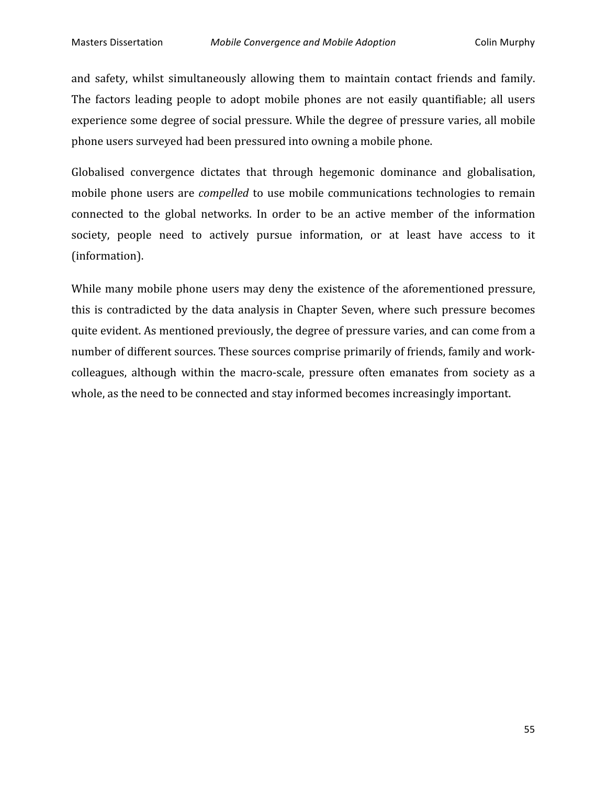and safety, whilst simultaneously allowing them to maintain contact friends and family. The factors leading people to adopt mobile phones are not easily quantifiable; all users experience
some
degree
of
social
pressure.
While
the
degree
of
pressure
varies,
all
mobile phone
users
surveyed
had
been
pressured
into
owning
a
mobile
phone.

Globalised convergence dictates that through hegemonic dominance and globalisation, mobile phone users are *compelled* to use mobile communications technologies to remain connected
 to
 the
 global
 networks.
 In
 order
 to
 be
 an
 active
 member
 of
 the
 information society, people need to actively pursue information, or at least have access to it (information).

While many mobile phone users may deny the existence of the aforementioned pressure, this
is
 contradicted
 by
 the
data
analysis
in
 Chapter
Seven,
where
 such
 pressure
 becomes quite
evident.
As
mentioned
previously,
the
degree
of
pressure
varies,
and
can
come
from
a number of different sources. These sources comprise primarily of friends, family and workcolleagues, although within the macro-scale, pressure often emanates from society as a whole, as the need to be connected and stay informed becomes increasingly important.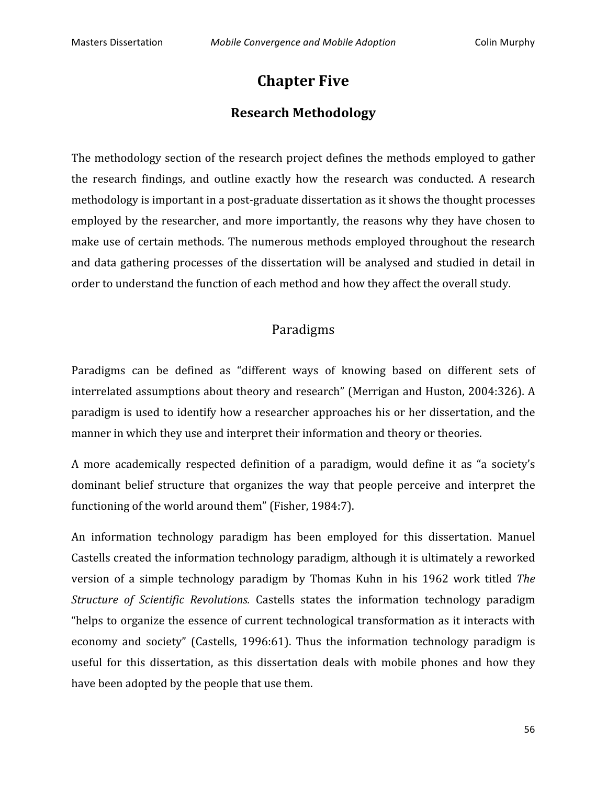# **Chapter
Five**

# **Research
Methodology**

The methodology section of the research project defines the methods employed to gather the research findings, and outline exactly how the research was conducted. A research methodology is important in a post-graduate dissertation as it shows the thought processes employed by the researcher, and more importantly, the reasons why they have chosen to make use of certain methods. The numerous methods employed throughout the research and data gathering processes of the dissertation will be analysed and studied in detail in order
to
understand
the
function
of
each
method
and
how
they
affect
the
overall
study.

# Paradigms

Paradigms can be defined as "different ways of knowing based on different sets of interrelated assumptions about theory and research" (Merrigan and Huston, 2004:326). A paradigm
is
used
to
identify
how
a
researcher
approaches
his
or
her
dissertation,
and
the manner in which they use and interpret their information and theory or theories.

A more academically respected definition of a paradigm, would define it as "a society's dominant belief structure that organizes the way that people perceive and interpret the functioning of the world around them" (Fisher, 1984:7).

An information technology paradigm has been employed for this dissertation. Manuel Castells
created
the
information
technology
paradigm,
although
it
is
ultimately
a
reworked version of a simple technology paradigm by Thomas Kuhn in his 1962 work titled The Structure of Scientific Revolutions. Castells states the information technology paradigm "helps to organize the essence of current technological transformation as it interacts with economy and society" (Castells, 1996:61). Thus the information technology paradigm is useful for this dissertation, as this dissertation deals with mobile phones and how they have
been
adopted
by
the
people
that
use
them.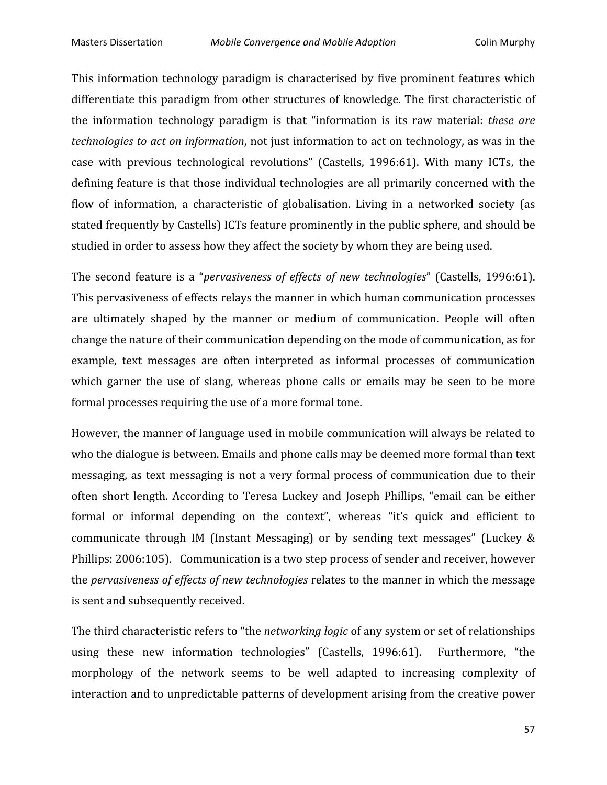This information technology paradigm is characterised by five prominent features which differentiate this paradigm from other structures of knowledge. The first characteristic of the information technology paradigm is that "information is its raw material: *these are* technologies to act on *information*, not just information to act on technology, as was in the case
 with
 previous
 technological
 revolutions"
 (Castells,
 1996:61).
 With
 many
 ICTs,
 the defining feature is that those individual technologies are all primarily concerned with the flow of information, a characteristic of globalisation. Living in a networked society (as stated frequently by Castells) ICTs feature prominently in the public sphere, and should be studied in order to assess how they affect the society by whom they are being used.

The second feature is a "*pervasiveness of effects of new technologies*" (Castells, 1996:61). This
pervasiveness
of
effects
relays
the
manner
in
which
human
communication
processes are
 ultimately
 shaped
 by
 the
 manner
 or
 medium
 of
 communication.
 People
 will
 often change
the
nature
of
their
communication
depending
on
the
mode
of
communication,
as
for example,
 text
 messages
 are
 often
 interpreted
 as
 informal
 processes
 of
 communication which garner the use of slang, whereas phone calls or emails may be seen to be more formal
processes
requiring
the
use
of
a
more
formal
tone.

However,
the
manner
of
language
used
in
mobile
communication
will
always
be
related
to who the dialogue is between. Emails and phone calls may be deemed more formal than text messaging, as text messaging is not a very formal process of communication due to their often short length. According to Teresa Luckey and Joseph Phillips, "email can be either formal or informal depending on the context", whereas "it's quick and efficient to communicate through IM (Instant Messaging) or by sending text messages" (Luckey & Phillips: 2006:105). Communication is a two step process of sender and receiver, however the *pervasiveness of effects of new technologies* relates to the manner in which the message is
sent
and
subsequently
received.

The third characteristic refers to "the *networking logic* of any system or set of relationships using these new information technologies" (Castells, 1996:61). Furthermore, "the morphology of the network seems to be well adapted to increasing complexity of interaction
and
to
unpredictable
patterns
of
development
arising
from
the
creative
power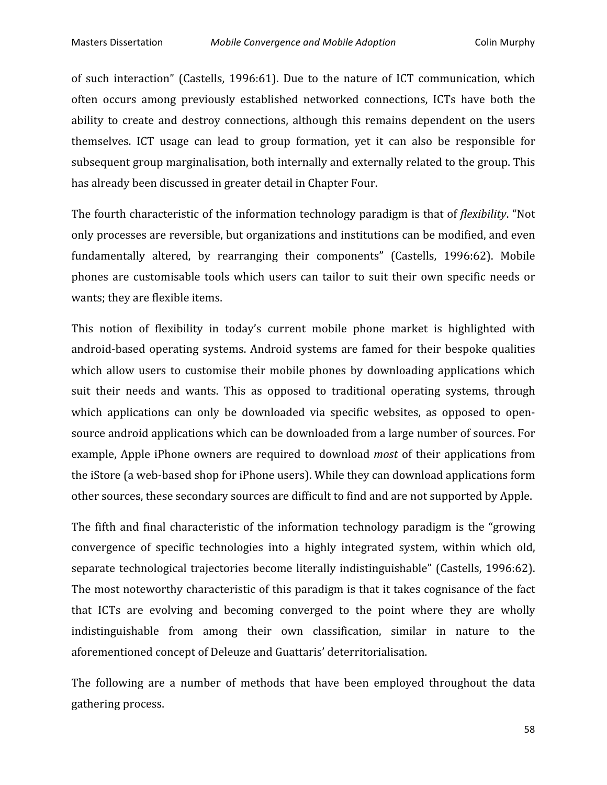of such interaction" (Castells, 1996:61). Due to the nature of ICT communication, which often
 occurs
 among
 previously
 established
 networked
 connections,
 ICTs
 have
 both
 the ability to create and destroy connections, although this remains dependent on the users themselves.
 ICT
 usage
 can
 lead
 to
 group
 formation,
 yet
 it
 can
 also
 be
 responsible
 for subsequent
group
marginalisation,
both
internally
and
externally
related
to
the
group.
This has
already
been
discussed
in
greater
detail
in
Chapter
Four.

The fourth characteristic of the information technology paradigm is that of *flexibility*. "Not only
processes
are
reversible,
but
organizations
and
institutions
can
be
modified,
and
even fundamentally altered, by rearranging their components" (Castells, 1996:62). Mobile phones are customisable tools which users can tailor to suit their own specific needs or wants; they are flexible items.

This notion of flexibility in today's current mobile phone market is highlighted with android-based operating systems. Android systems are famed for their bespoke qualities which allow users to customise their mobile phones by downloading applications which suit their needs and wants. This as opposed to traditional operating systems, through which applications can only be downloaded via specific websites, as opposed to opensource android applications which can be downloaded from a large number of sources. For example, Apple iPhone owners are required to download *most* of their applications from the iStore (a web-based shop for iPhone users). While they can download applications form other
sources,
these
secondary
sources
are
difficult
to
find
and
are
not
supported
by
Apple.

The fifth and final characteristic of the information technology paradigm is the "growing" convergence
 of
 specific
 technologies
 into
 a
 highly
 integrated
 system,
 within
 which
 old, separate
 technological
 trajectories
become
literally
indistinguishable"
 (Castells,
1996:62). The most noteworthy characteristic of this paradigm is that it takes cognisance of the fact that ICTs are evolving and becoming converged to the point where they are wholly indistinguishable from among their own classification, similar in nature to the aforementioned
concept
of
Deleuze
and
Guattaris'
deterritorialisation.

The following are a number of methods that have been employed throughout the data gathering
process.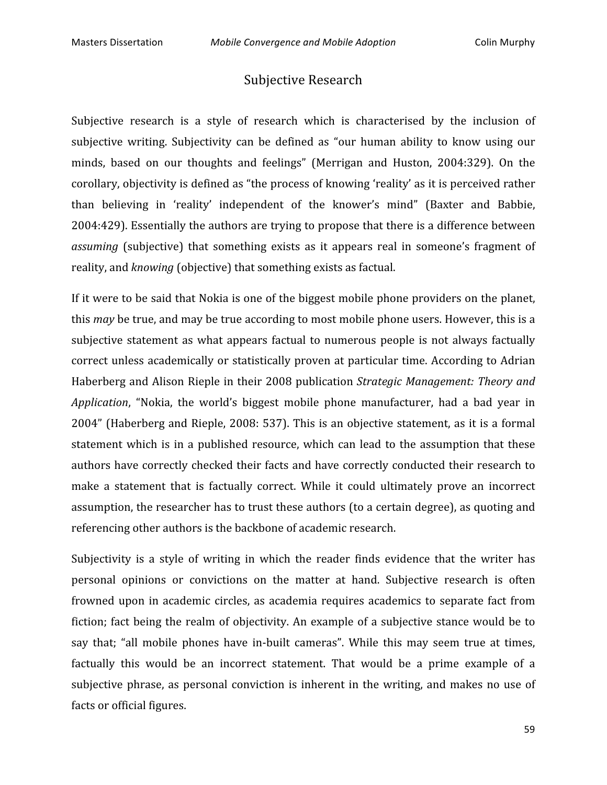# Subjective
Research

Subjective research is a style of research which is characterised by the inclusion of subjective writing. Subjectivity can be defined as "our human ability to know using our minds, based on our thoughts and feelings" (Merrigan and Huston, 2004:329). On the corollary,
objectivity
is
defined
as
"the
process
of
knowing
'reality'
as
it
is
perceived
rather than
 believing
 in
 'reality'
 independent
 of
 the
 knower's
 mind"
 (Baxter
 and
 Babbie, 2004:429).
Essentially
the
authors
are
trying
to
propose
that
there
is
a
difference
between assuming (subjective) that something exists as it appears real in someone's fragment of reality, and *knowing* (objective) that something exists as factual.

If it were to be said that Nokia is one of the biggest mobile phone providers on the planet, this *may* be true, and may be true according to most mobile phone users. However, this is a subjective statement as what appears factual to numerous people is not always factually correct unless academically or statistically proven at particular time. According to Adrian Haberberg and Alison Rieple in their 2008 publication Strategic Management: Theory and Application, "Nokia, the world's biggest mobile phone manufacturer, had a bad year in 2004"
(Haberberg
and
Rieple,
2008:
537).
This
is
an
objective
statement,
as
it
is
a
 formal statement which is in a published resource, which can lead to the assumption that these authors have correctly checked their facts and have correctly conducted their research to make a statement that is factually correct. While it could ultimately prove an incorrect assumption,
the
researcher
has
to
trust
these
authors
(to
a
certain
degree),
as
quoting
and referencing
other
authors
is
the
backbone
of
academic
research.

Subjectivity is a style of writing in which the reader finds evidence that the writer has personal
 opinions
 or
 convictions
 on
 the
 matter
 at
 hand.
 Subjective
 research
 is
 often frowned upon in academic circles, as academia requires academics to separate fact from fiction; fact being the realm of objectivity. An example of a subjective stance would be to say that; "all mobile phones have in-built cameras". While this may seem true at times, factually this would be an incorrect statement. That would be a prime example of a subjective phrase, as personal conviction is inherent in the writing, and makes no use of facts
or
official
figures.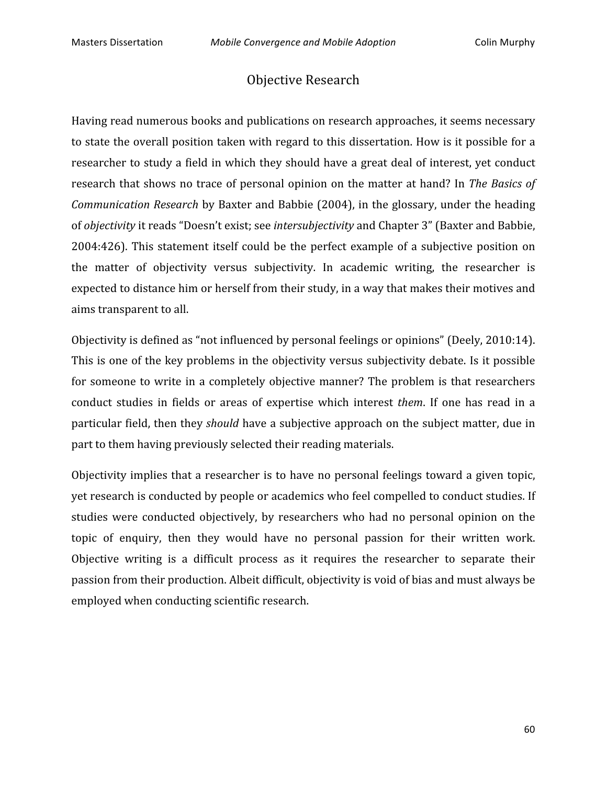# Objective
Research

Having
read
numerous
books
and
publications
on
research
approaches,
it
seems
necessary to state the overall position taken with regard to this dissertation. How is it possible for a researcher to study a field in which they should have a great deal of interest, yet conduct research that shows no trace of personal opinion on the matter at hand? In *The Basics of* Communication Research by Baxter and Babbie (2004), in the glossary, under the heading of *objectivity*it
reads
"Doesn't
exist;
see *intersubjectivity*and
Chapter
3"
(Baxter
and
Babbie, 2004:426).
This statement
itself
 could
 be
 the
 perfect
example
 of
a
 subjective
 position
 on the
 matter
 of
 objectivity
 versus
 subjectivity. In
 academic
 writing,
 the
 researcher
 is expected to distance him or herself from their study, in a way that makes their motives and aims
transparent
to
all.

Objectivity is defined as "not influenced by personal feelings or opinions" (Deely, 2010:14). This is one of the key problems in the objectivity versus subjectivity debate. Is it possible for someone to write in a completely objective manner? The problem is that researchers conduct studies in fields or areas of expertise which interest *them*. If one has read in a particular field, then they *should* have a subjective approach on the subject matter, due in part
to
them
having
previously
selected
their
reading
materials.

Objectivity implies that a researcher is to have no personal feelings toward a given topic, yet
research
is
conducted
by
people
or
academics
who
feel
compelled
to
conduct
studies.
If studies were conducted objectively, by researchers who had no personal opinion on the topic of enquiry, then they would have no personal passion for their written work. Objective writing is a difficult process as it requires the researcher to separate their passion
from
their
production.
Albeit
difficult,
objectivity
is
void
of
bias
and
must
always
be employed
when
conducting
scientific
research.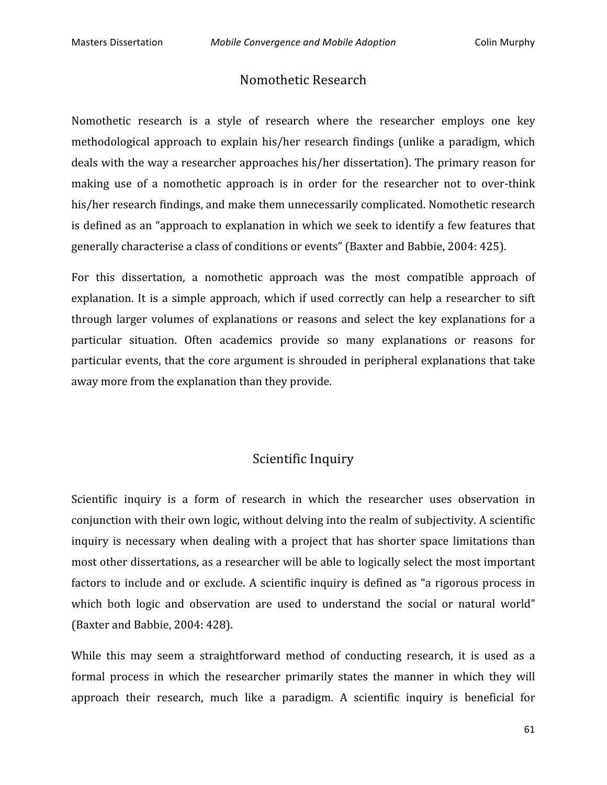### Nomothetic
Research

Nomothetic research is a style of research where the researcher employs one key methodological approach to explain his/her research findings (unlike a paradigm, which deals with the way a researcher approaches his/her dissertation). The primary reason for making use of a nomothetic approach is in order for the researcher not to over-think his/her research findings, and make them unnecessarily complicated. Nomothetic research is defined as an "approach to explanation in which we seek to identify a few features that generally
characterise
a
class
of
conditions
or
events"
(Baxter
and
Babbie,
2004:
425).

For this dissertation, a nomothetic approach was the most compatible approach of explanation. It is a simple approach, which if used correctly can help a researcher to sift through larger volumes of explanations or reasons and select the key explanations for a particular situation. Often academics provide so many explanations or reasons for particular
events,
that
the
core
argument
is
shrouded
in
peripheral
explanations
that
take away
more
from
the
explanation
than
they
provide.

## Scientific
Inquiry

Scientific inquiry is a form of research in which the researcher uses observation in conjunction
with
their
own
logic,
without
delving
into
the
realm
of
subjectivity.
A
scientific inquiry is necessary when dealing with a project that has shorter space limitations than most
other
dissertations,
as
a
researcher
will
be
able
to
logically
select
the
most
important factors to include and or exclude. A scientific inquiry is defined as "a rigorous process in which both logic and observation are used to understand the social or natural world" (Baxter
and
Babbie,
2004:
428).

While this may seem a straightforward method of conducting research, it is used as a formal process in which the researcher primarily states the manner in which they will approach their research, much like a paradigm. A scientific inquiry is beneficial for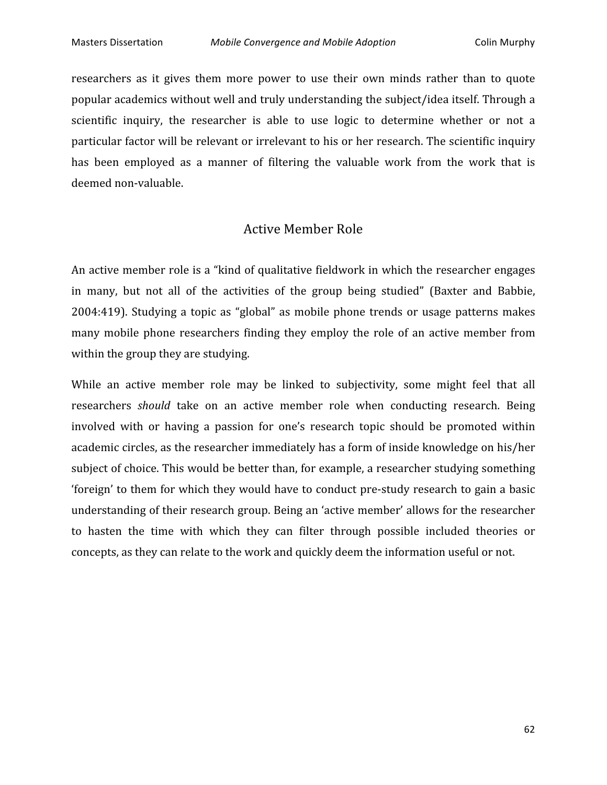researchers as it gives them more power to use their own minds rather than to quote popular
academics
without
well
and
truly
understanding
the
subject/idea
itself.
Through
a scientific inquiry, the researcher is able to use logic to determine whether or not a particular factor will be relevant or irrelevant to his or her research. The scientific inquiry has been employed as a manner of filtering the valuable work from the work that is deemed
non‐valuable.

### Active
Member
Role

An active member role is a "kind of qualitative fieldwork in which the researcher engages in many, but not all of the activities of the group being studied" (Baxter and Babbie, 2004:419).
 Studying
 a
 topic
 as
 "global"
 as
mobile
 phone
 trends
 or
 usage
 patterns
makes many mobile phone researchers finding they employ the role of an active member from within the group they are studying.

While an active member role may be linked to subjectivity, some might feel that all researchers *should* take on an active member role when conducting research. Being involved with or having a passion for one's research topic should be promoted within academic
circles,
as
the
researcher
immediately
has
a
form
of
inside
knowledge
on
his/her subject
of
choice.
This
would
be
better
than,
for
example,
a
researcher
studying
something 'foreign' to them for which they would have to conduct pre-study research to gain a basic understanding
of
their
research
group.
Being
an
'active
member'
allows
for
the
researcher to hasten the time with which they can filter through possible included theories or concepts,
as
they
can
relate
to
the
work
and
quickly
deem
the
information
useful
or
not.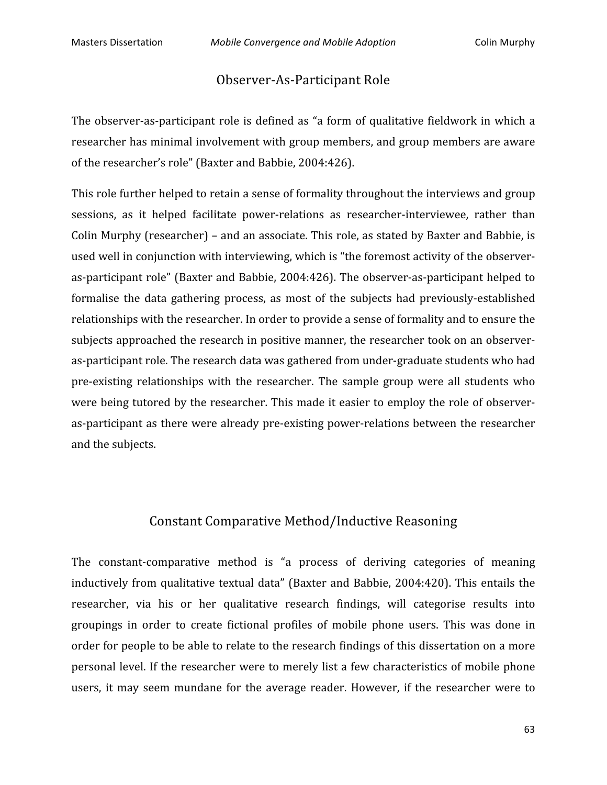## Observer‐As‐Participant
Role

The observer-as-participant role is defined as "a form of qualitative fieldwork in which a researcher has minimal involvement with group members, and group members are aware of
the
researcher's
role"
(Baxter
and
Babbie,
2004:426).

This role further helped to retain a sense of formality throughout the interviews and group sessions, as it helped facilitate power-relations as researcher-interviewee, rather than Colin
Murphy
(researcher)
–
and
an
associate.
This
role,
as
stated
by
Baxter
and
Babbie,
is used well in conjunction with interviewing, which is "the foremost activity of the observeras‐participant
role"
(Baxter
and
Babbie,
2004:426).
The
observer‐as‐participant
helped
to formalise the data gathering process, as most of the subjects had previously-established relationships with the researcher. In order to provide a sense of formality and to ensure the subjects approached the research in positive manner, the researcher took on an observeras-participant role. The research data was gathered from under-graduate students who had pre-existing relationships with the researcher. The sample group were all students who were being tutored by the researcher. This made it easier to employ the role of observeras-participant as there were already pre-existing power-relations between the researcher and
the
subjects.

# Constant
Comparative
Method/Inductive
Reasoning

The constant-comparative method is "a process of deriving categories of meaning inductively from qualitative textual data" (Baxter and Babbie, 2004:420). This entails the researcher, via his or her qualitative research findings, will categorise results into groupings in order to create fictional profiles of mobile phone users. This was done in order for people to be able to relate to the research findings of this dissertation on a more personal
level.
 If
 the
researcher
were
 to
merely
list
a
 few
characteristics
of
mobile
phone users, it may seem mundane for the average reader. However, if the researcher were to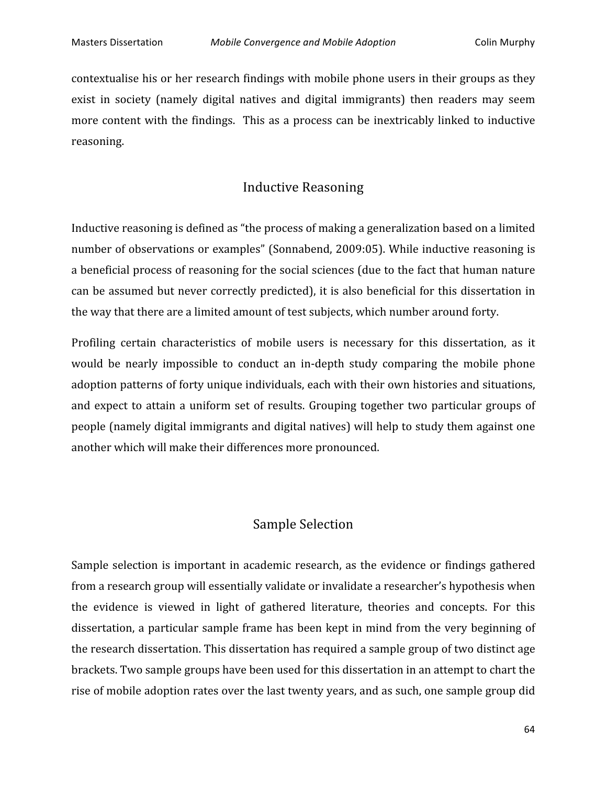contextualise
his
or
her
research
findings
with
mobile
phone
users
in
their
groups
as
they exist in society (namely digital natives and digital immigrants) then readers may seem more content with the findings. This as a process can be inextricably linked to inductive reasoning.

# Inductive
Reasoning

Inductive reasoning is defined as "the process of making a generalization based on a limited number of observations or examples" (Sonnabend, 2009:05). While inductive reasoning is a beneficial process of reasoning for the social sciences (due to the fact that human nature can
be
assumed
but
never
correctly
predicted),
it
is
also
beneficial
 for
 this
dissertation
in the
way
that
there
are
a
limited
amount
of
test
subjects,
which
number
around
forty.

Profiling certain characteristics of mobile users is necessary for this dissertation, as it would be nearly impossible to conduct an in-depth study comparing the mobile phone adoption patterns of forty unique individuals, each with their own histories and situations, and expect to attain a uniform set of results. Grouping together two particular groups of people
(namely
digital
immigrants
and
digital
natives)
will
help
to
study
them
against
one another
which
will
make
their
differences
more
pronounced.

### Sample
Selection

Sample selection is important in academic research, as the evidence or findings gathered from
a
research
group
will
essentially
validate
or
invalidate
a
researcher's
hypothesis
when the
 evidence
 is
 viewed
 in
 light
 of
 gathered
 literature,
 theories
 and
 concepts.
 For
 this dissertation,
a
particular
sample
 frame
has
been
kept
in
mind
 from
 the
very
beginning
of the
research
dissertation.
This
dissertation
has
required
a
sample
group
of
two
distinct
age brackets. Two sample groups have been used for this dissertation in an attempt to chart the rise
of
mobile
adoption
rates
over
the
last
twenty
years,
and
as
such,
one
sample
group
did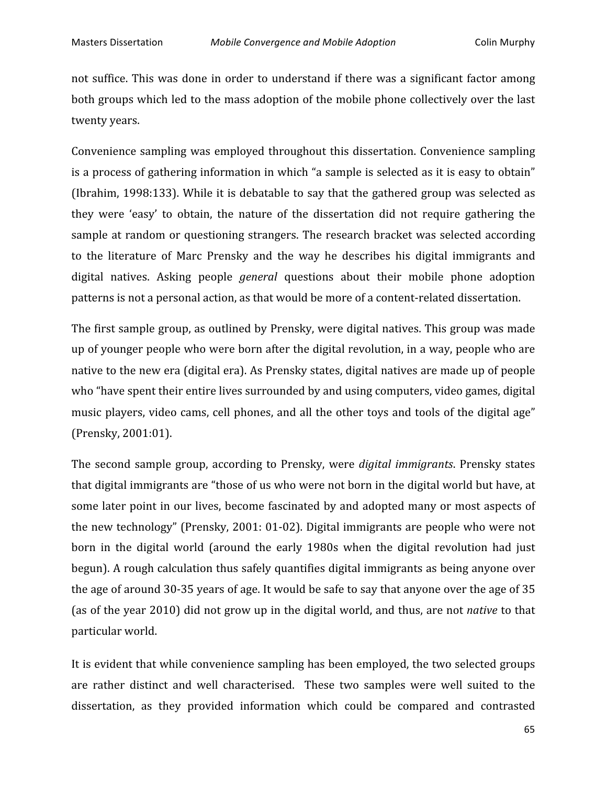not suffice. This was done in order to understand if there was a significant factor among both groups which led to the mass adoption of the mobile phone collectively over the last twenty
years.

Convenience sampling was employed throughout this dissertation. Convenience sampling is a process of gathering information in which "a sample is selected as it is easy to obtain" (Ibrahim,
1998:133).
While
it
is
debatable
 to
say
 that
 the
gathered
group
was
selected
as they were 'easy' to obtain, the nature of the dissertation did not require gathering the sample at random or questioning strangers. The research bracket was selected according to the literature of Marc Prensky and the way he describes his digital immigrants and digital natives. Asking people *general* questions about their mobile phone adoption patterns
is
not
a
personal
action,
as
that
would
be
more
of
a
content‐related
dissertation.

The first sample group, as outlined by Prensky, were digital natives. This group was made up
of
younger
people
who
were
born
after
the
digital
revolution,
in
a
way,
people
who
are native
to
the
new
era
(digital
era).
As
Prensky
states,
digital
natives
are
made
up
of
people who "have spent their entire lives surrounded by and using computers, video games, digital music players, video cams, cell phones, and all the other toys and tools of the digital age" (Prensky,
2001:01).

The
 second
 sample
 group,
 according
 to
 Prensky,
 were *digital
immigrants*.
Prensky
 states that digital immigrants are "those of us who were not born in the digital world but have, at some later point in our lives, become fascinated by and adopted many or most aspects of the
new
technology"
(Prensky,
2001:
01‐02).
Digital
immigrants
are
people
who
were
not born
 in
 the
 digital
 world
 (around
 the
 early 1980s
 when
 the
 digital
 revolution
 had
 just begun).
A
rough
calculation
thus
safely
quantifies
digital
immigrants
as
being
anyone
over the age of around 30-35 years of age. It would be safe to say that anyone over the age of 35 (as of the year 2010) did not grow up in the digital world, and thus, are not *native* to that particular
world.

It is evident that while convenience sampling has been employed, the two selected groups are rather distinct and well characterised. These two samples were well suited to the dissertation, as they provided information which could be compared and contrasted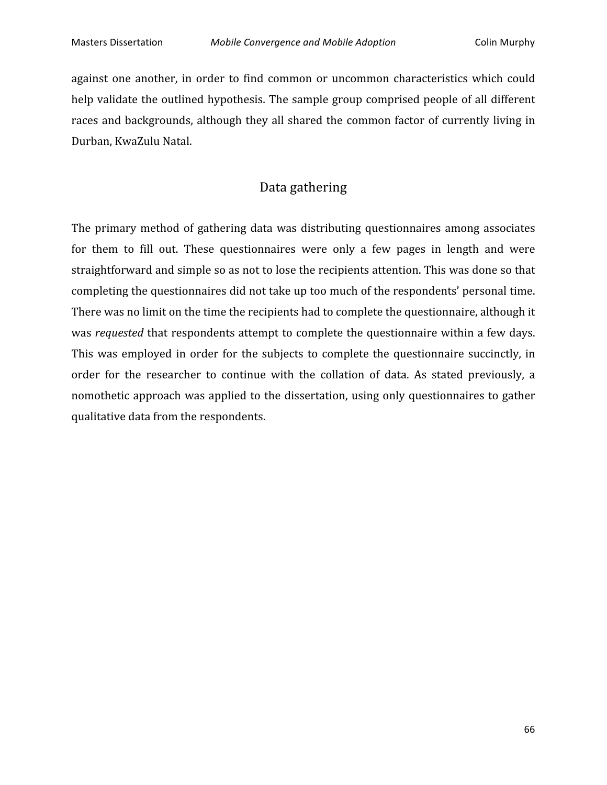against one another, in order to find common or uncommon characteristics which could help validate the outlined hypothesis. The sample group comprised people of all different races and backgrounds, although they all shared the common factor of currently living in Durban,
KwaZulu
Natal.

## Data
gathering

The primary method of gathering data was distributing questionnaires among associates for them to fill out. These questionnaires were only a few pages in length and were straightforward and simple so as not to lose the recipients attention. This was done so that completing
the
questionnaires
did
not
take
up
too
much
of
the
respondents'
personal
time. There was no limit on the time the recipients had to complete the questionnaire, although it was *requested* that respondents attempt to complete the questionnaire within a few days. This was employed in order for the subjects to complete the questionnaire succinctly, in order for the researcher to continue with the collation of data. As stated previously, a nomothetic
approach
was
applied
 to
 the
dissertation,
using
only
questionnaires
 to
gather qualitative
data
from
the
respondents.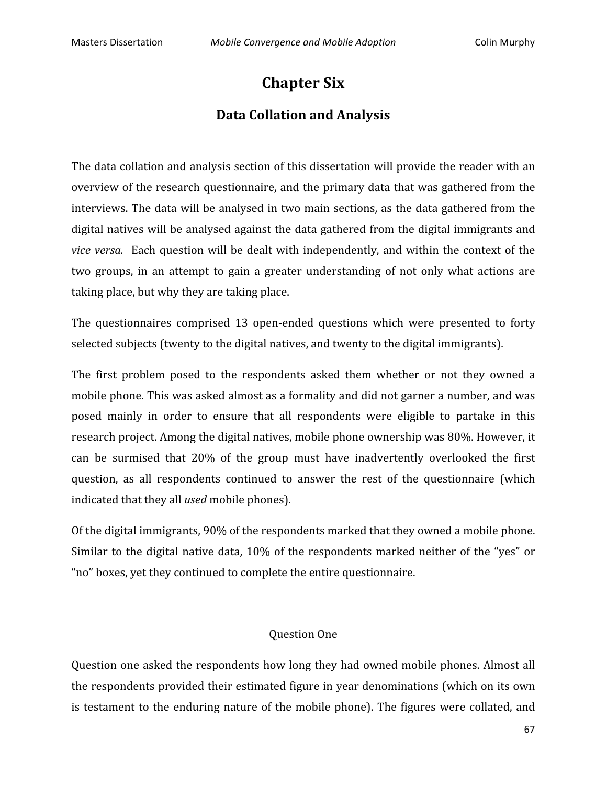# **Chapter
Six**

## **Data
Collation
and
Analysis**

The data collation and analysis section of this dissertation will provide the reader with an overview of the research questionnaire, and the primary data that was gathered from the interviews. The data will be analysed in two main sections, as the data gathered from the digital natives will be analysed against the data gathered from the digital immigrants and *vice versa.* Each question will be dealt with independently, and within the context of the two groups, in an attempt to gain a greater understanding of not only what actions are taking
place,
but
why
they
are
taking
place.

The questionnaires comprised 13 open-ended questions which were presented to forty selected subjects (twenty to the digital natives, and twenty to the digital immigrants).

The first problem posed to the respondents asked them whether or not they owned a mobile
phone.
This
was
asked
almost
as
a
formality
and
did
not
garner
a
number,
and
was posed mainly in order to ensure that all respondents were eligible to partake in this research project. Among the digital natives, mobile phone ownership was 80%. However, it can
 be surmised
 that
 20%
 of
 the
 group must
 have
 inadvertently
 overlooked
 the
 first question,
 as
 all respondents continued
 to
 answer
 the rest
 of
 the questionnaire
 (which indicated
that
they
all *used*mobile
phones).

Of the digital immigrants, 90% of the respondents marked that they owned a mobile phone. Similar to the digital native data, 10% of the respondents marked neither of the "yes" or "no"
boxes,
yet
they
continued
to
complete
the
entire
questionnaire.

#### Question
One

Question
one
asked
 the
respondents
how
long
 they
had
owned
mobile
phones.
Almost
all the
respondents
provided
their
estimated
figure
in
year
denominations
(which
on
its
own is testament to the enduring nature of the mobile phone). The figures were collated, and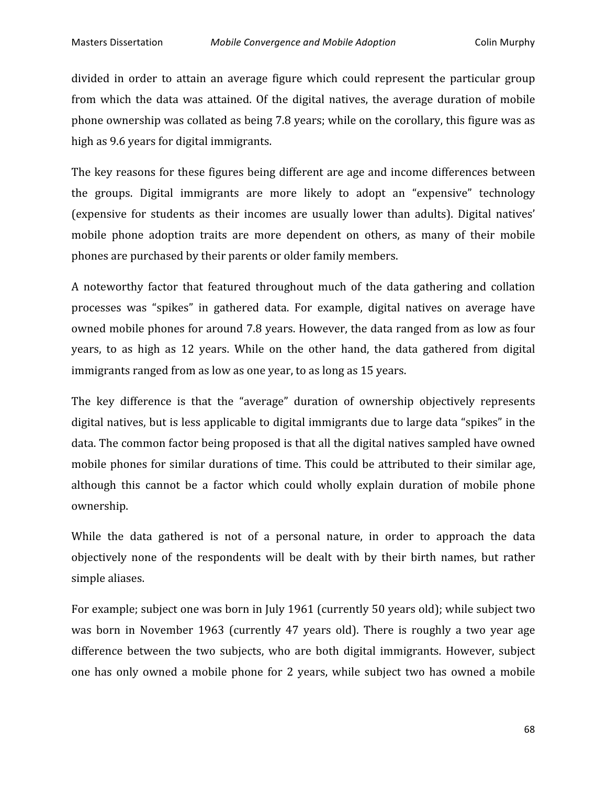divided in order to attain an average figure which could represent the particular group from which the data was attained. Of the digital natives, the average duration of mobile phone
ownership
was
collated
as
being
7.8
years;
while
on
the
corollary,
this
figure
was
as high as 9.6 years for digital immigrants.

The
key
reasons
 for
these
 figures
being
different
are
age
and
income
differences
between the
 groups.
 Digital
 immigrants
 are
 more
 likely
 to
 adopt
 an
 "expensive"
 technology (expensive
 for
 students
 as
 their
 incomes
 are
 usually
 lower
 than
 adults).
 Digital
 natives' mobile phone adoption traits are more dependent on others, as many of their mobile phones
are
purchased
by
their
parents
or
older
family
members.

A noteworthy factor that featured throughout much of the data gathering and collation processes
 was
 "spikes"
 in
 gathered
 data.
 For
 example,
 digital
 natives
 on
 average
 have owned mobile phones for around 7.8 years. However, the data ranged from as low as four years, to as high as 12 years. While on the other hand, the data gathered from digital immigrants ranged from as low as one year, to as long as 15 years.

The key difference is that the "average" duration of ownership objectively represents digital natives, but is less applicable to digital immigrants due to large data "spikes" in the data.
The
common
factor
being
proposed
is
that
all
the
digital
natives
sampled
have
owned mobile phones for similar durations of time. This could be attributed to their similar age, although this cannot be a factor which could wholly explain duration of mobile phone ownership.

While the data gathered is not of a personal nature, in order to approach the data objectively
 none
 of
 the
 respondents
 will
 be
 dealt
 with
 by
 their
 birth
 names,
 but
 rather simple
aliases.

For example; subject one was born in July 1961 (currently 50 years old); while subject two was born in November 1963 (currently 47 years old). There is roughly a two year age difference between the two subjects, who are both digital immigrants. However, subject one has only owned a mobile phone for 2 years, while subject two has owned a mobile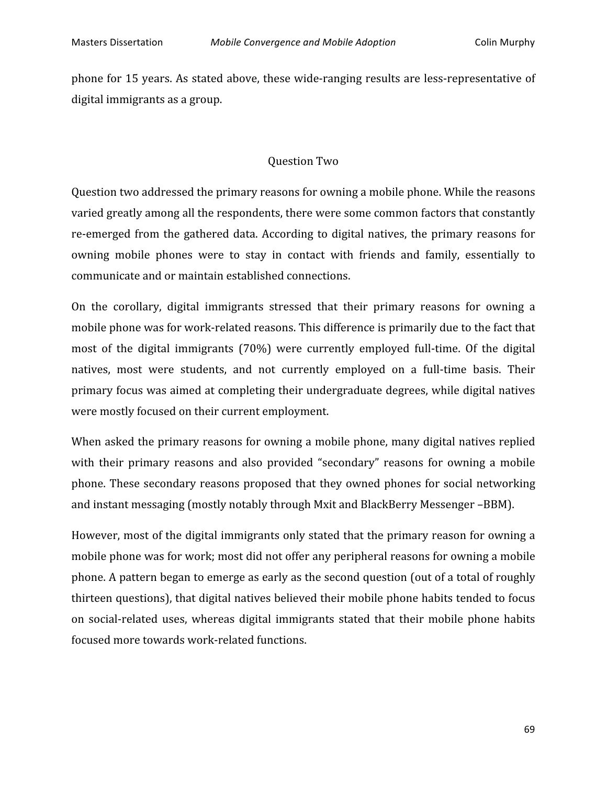phone
 for
15
years.
As
stated
above,
these
wide‐ranging
results
are
less‐representative
of digital
immigrants
as
a
group.

#### Question
Two

Question two addressed the primary reasons for owning a mobile phone. While the reasons varied
greatly
among
all
the
respondents,
there
were
some
common
factors
that
constantly re-emerged from the gathered data. According to digital natives, the primary reasons for owning mobile phones were to stay in contact with friends and family, essentially to communicate
and
or
maintain
established
connections.

On the corollary, digital immigrants stressed that their primary reasons for owning a mobile phone was for work-related reasons. This difference is primarily due to the fact that most of the digital immigrants (70%) were currently employed full-time. Of the digital natives, most were students, and not currently employed on a full-time basis. Their primary
focus
was
aimed
at
completing
their
undergraduate
degrees,
while
digital
natives were
mostly
focused
on
their
current
employment.

When asked the primary reasons for owning a mobile phone, many digital natives replied with their primary reasons and also provided "secondary" reasons for owning a mobile phone.
These
secondary
reasons
proposed
 that
 they
owned
phones
 for
social
networking and
instant
messaging
(mostly
notably
through
Mxit
and
BlackBerry
Messenger
–BBM).

However, most of the digital immigrants only stated that the primary reason for owning a mobile phone was for work; most did not offer any peripheral reasons for owning a mobile phone. A pattern began to emerge as early as the second question (out of a total of roughly thirteen questions), that digital natives believed their mobile phone habits tended to focus on social-related uses, whereas digital immigrants stated that their mobile phone habits focused
more
towards
work‐related
functions.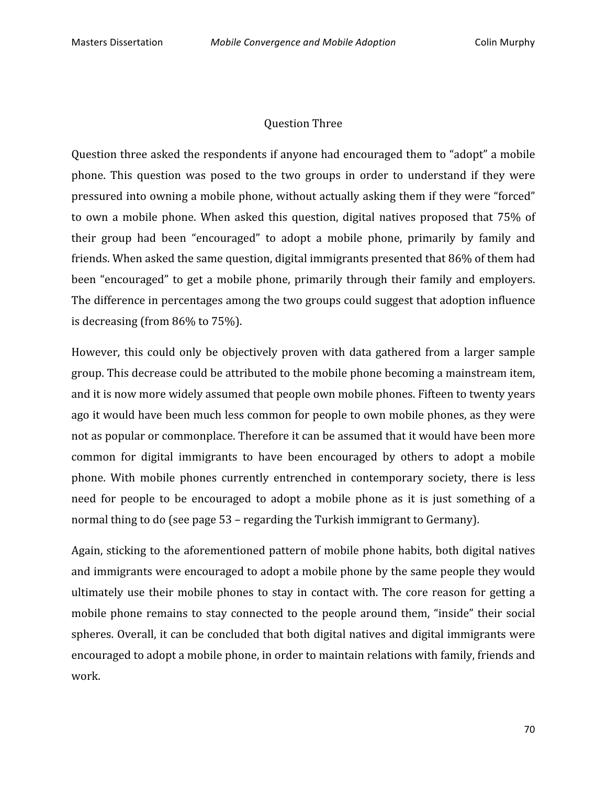#### Question
Three

Question three asked the respondents if anyone had encouraged them to "adopt" a mobile phone. This question was posed to the two groups in order to understand if they were pressured into owning a mobile phone, without actually asking them if they were "forced" to own a mobile phone. When asked this question, digital natives proposed that 75% of their group had been "encouraged" to adopt a mobile phone, primarily by family and friends. When asked the same question, digital immigrants presented that 86% of them had been "encouraged" to get a mobile phone, primarily through their family and employers. The difference in percentages among the two groups could suggest that adoption influence is
decreasing
(from
86%
to
75%).

However, this could only be objectively proven with data gathered from a larger sample group.
This
decrease
could
be
attributed
to
the
mobile
phone
becoming
a
mainstream
item, and
it
is
now
more
widely
assumed
that
people
own
mobile
phones.
Fifteen
to
twenty
years ago
it
would
have
been
much
less
common
for
people
to
own
mobile
phones,
as
they
were not
as
popular
or
commonplace.
Therefore
it
can
be
assumed
that
it
would
have
been
more common for digital immigrants to have been encouraged by others to adopt a mobile phone. With mobile phones currently entrenched in contemporary society, there is less need for people to be encouraged to adopt a mobile phone as it is just something of a normal
thing
to
do
(see
page
53 –
regarding
the
Turkish
immigrant
to
Germany).

Again, sticking to the aforementioned pattern of mobile phone habits, both digital natives and
immigrants
were
encouraged
to
adopt
a
mobile
phone
by
the
same
people
they
would ultimately use their mobile phones to stay in contact with. The core reason for getting a mobile phone remains to stay connected to the people around them, "inside" their social spheres.
Overall,
it
can
be
concluded
that
both
digital
natives
and
digital
immigrants
were encouraged
to
adopt
a
mobile
phone,
in
order
to
maintain
relations
with
family,
friends
and work.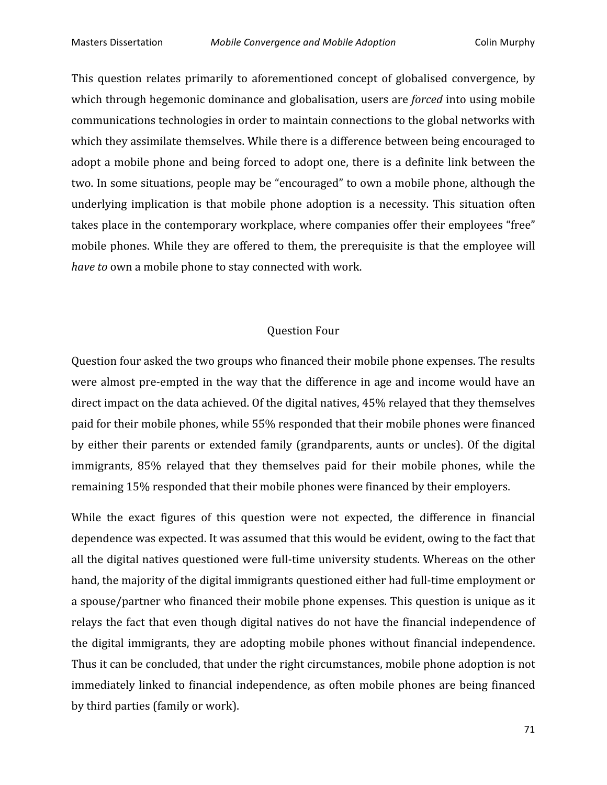This question relates primarily to aforementioned concept of globalised convergence, by which through hegemonic dominance and globalisation, users are *forced* into using mobile communications
technologies
in
order
to
maintain
connections
to
the
global
networks
with which they assimilate themselves. While there is a difference between being encouraged to adopt a mobile phone and being forced to adopt one, there is a definite link between the two.
In
some
situations,
people
may
be
"encouraged"
to
own
a
mobile
phone,
although
the underlying implication is that mobile phone adoption is a necessity. This situation often takes place in the contemporary workplace, where companies offer their employees "free" mobile phones. While they are offered to them, the prerequisite is that the employee will have to own a mobile phone to stay connected with work.

#### Question
Four

Question four asked the two groups who financed their mobile phone expenses. The results were almost pre-empted in the way that the difference in age and income would have an direct impact on the data achieved. Of the digital natives, 45% relayed that they themselves paid
for
their
mobile
phones,
while
55%
responded
that
their
mobile
phones
were
financed by either their parents or extended family (grandparents, aunts or uncles). Of the digital immigrants, 85% relayed that they themselves paid for their mobile phones, while the remaining
15%
responded
that
their
mobile
phones
were
financed
by
their
employers.

While the exact figures of this question were not expected, the difference in financial dependence
was
expected.
It
was
assumed
that
this
would
be
evident,
owing
to
the
fact
that all the digital natives questioned were full-time university students. Whereas on the other hand, the majority of the digital immigrants questioned either had full-time employment or a spouse/partner who financed their mobile phone expenses. This question is unique as it relays the fact that even though digital natives do not have the financial independence of the
 digital
immigrants,
 they
are
adopting
mobile
 phones
without
 financial
independence. Thus
it
can
be
concluded,
that
under
the
right
circumstances,
mobile
phone
adoption
is
not immediately linked to financial independence, as often mobile phones are being financed by
third
parties
(family
or
work).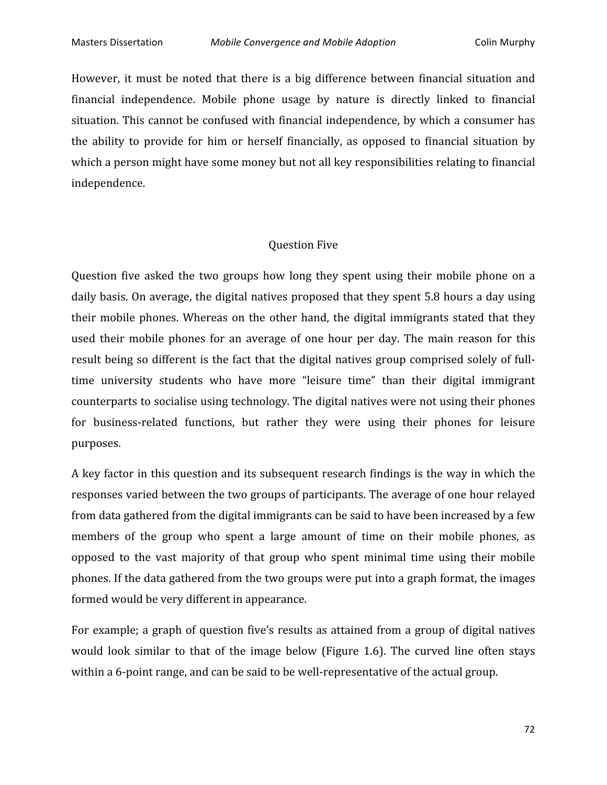However, it must be noted that there is a big difference between financial situation and financial independence. Mobile phone usage by nature is directly linked to financial situation. This cannot be confused with financial independence, by which a consumer has the ability to provide for him or herself financially, as opposed to financial situation by which a person might have some money but not all key responsibilities relating to financial independence.

#### Question
Five

Question five asked the two groups how long they spent using their mobile phone on a daily basis. On average, the digital natives proposed that they spent 5.8 hours a day using their mobile phones. Whereas on the other hand, the digital immigrants stated that they used their mobile phones for an average of one hour per day. The main reason for this result being so different is the fact that the digital natives group comprised solely of fulltime university students who have more "leisure time" than their digital immigrant counterparts
to
socialise
using
technology.
The
digital
natives
were
not
using
their
phones for business-related functions, but rather they were using their phones for leisure purposes.

A key factor in this question and its subsequent research findings is the way in which the responses
varied
between
the
two
groups
of
participants.
The
average
of
one
hour
relayed from data gathered from the digital immigrants can be said to have been increased by a few members of the group who spent a large amount of time on their mobile phones, as opposed
 to
 the
 vast
 majority
 of
 that
 group
 who
 spent
 minimal
 time
 using
 their
 mobile phones.
If
the
data
gathered
from
the
two
groups
were
put
into
a
graph
format,
the
images formed
would
be
very
different
in
appearance.

For example; a graph of question five's results as attained from a group of digital natives would look similar to that of the image below (Figure 1.6). The curved line often stays within a 6-point range, and can be said to be well-representative of the actual group.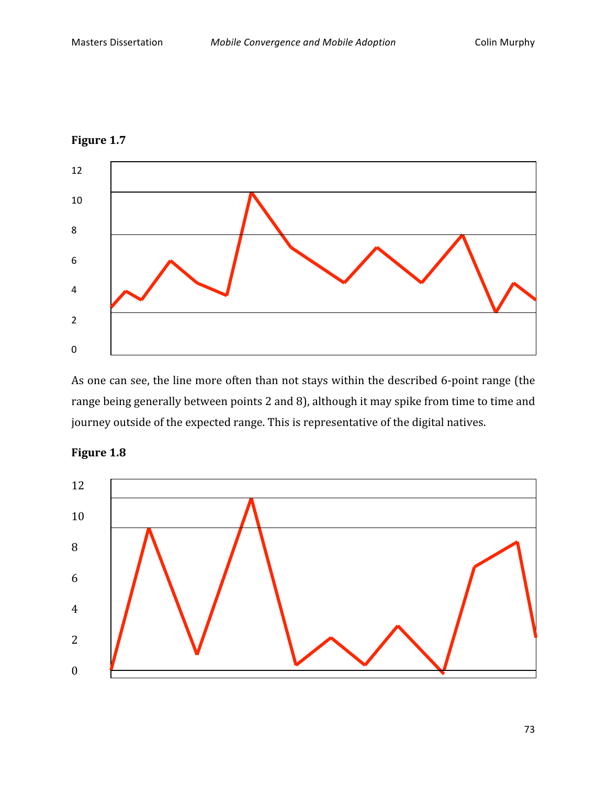



As one can see, the line more often than not stays within the described 6-point range (the range being generally between points 2 and 8), although it may spike from time to time and journey outside of the expected range. This is representative of the digital natives.



### **Figure
1.8**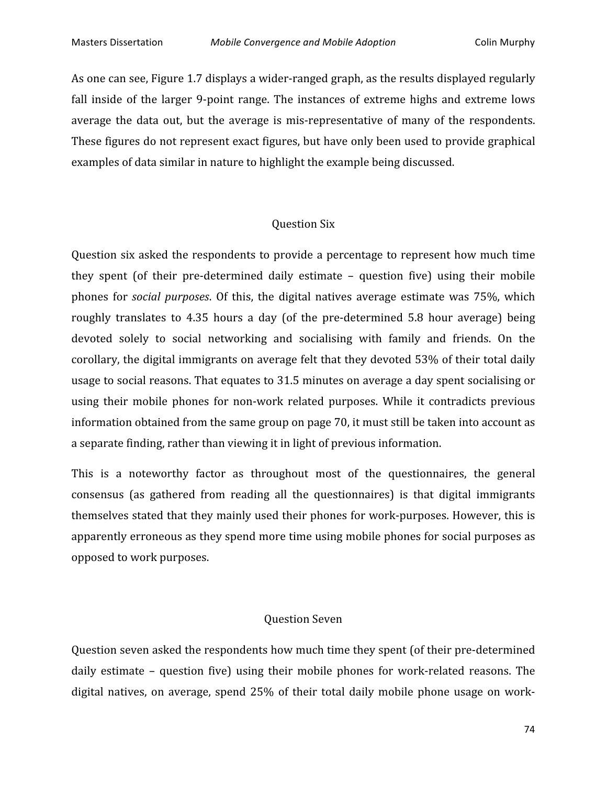As one can see, Figure 1.7 displays a wider-ranged graph, as the results displayed regularly fall inside of the larger 9-point range. The instances of extreme highs and extreme lows average the data out, but the average is mis-representative of many of the respondents. These figures do not represent exact figures, but have only been used to provide graphical examples
of
data
similar
in
nature
to
highlight
the
example
being
discussed.

#### Question
Six

Question six asked the respondents to provide a percentage to represent how much time they spent (of their pre-determined daily estimate - question five) using their mobile phones for *social purposes*. Of this, the digital natives average estimate was 75%, which roughly translates to 4.35 hours a day (of the pre-determined 5.8 hour average) being devoted solely to social networking and socialising with family and friends. On the corollary, the digital immigrants on average felt that they devoted 53% of their total daily usage to social reasons. That equates to 31.5 minutes on average a day spent socialising or using their mobile phones for non-work related purposes. While it contradicts previous information
obtained
from
the
same
group
on
page
70,
it
must
still
be
taken
into
account
as a separate finding, rather than viewing it in light of previous information.

This is a noteworthy factor as throughout most of the questionnaires, the general consensus
 (as
 gathered
 from
 reading
 all
 the
 questionnaires)
 is
 that
 digital
 immigrants themselves stated that they mainly used their phones for work-purposes. However, this is apparently
erroneous
as
they
spend
more
time
using
mobile
phones
for
social
purposes
as opposed
to
work
purposes.

#### Question
Seven

Question seven asked the respondents how much time they spent (of their pre-determined daily estimate – question five) using their mobile phones for work-related reasons. The digital natives, on average, spend 25% of their total daily mobile phone usage on work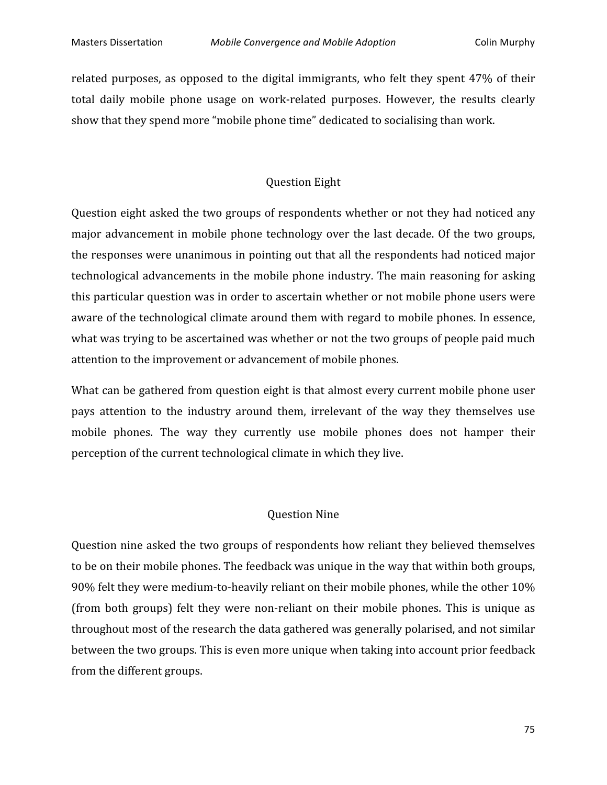related purposes, as opposed to the digital immigrants, who felt they spent 47% of their total daily mobile phone usage on work-related purposes. However, the results clearly show that they spend more "mobile phone time" dedicated to socialising than work.

#### Question
Eight

Question eight asked the two groups of respondents whether or not they had noticed any major advancement in mobile phone technology over the last decade. Of the two groups, the
responses
were
unanimous
in
pointing
out
that
all
the
respondents
had
noticed
major technological
advancements
in
 the
mobile
phone
industry.
The
main
reasoning
 for
asking this
particular
question
was
in
order
to
ascertain
whether
or
not
mobile
phone
users
were aware
of
the
technological
climate
around
them
with
regard
to
mobile
phones.
In
essence, what was trying to be ascertained was whether or not the two groups of people paid much attention to the improvement or advancement of mobile phones.

What can be gathered from question eight is that almost every current mobile phone user pays attention to the industry around them, irrelevant of the way they themselves use mobile phones. The way they currently use mobile phones does not hamper their perception
of
the
current
technological
climate
in
which
they
live.

#### Question
Nine

Question
nine
asked
the
two
groups
of
respondents
how
reliant
they
believed
themselves to be on their mobile phones. The feedback was unique in the way that within both groups, 90% felt they were medium-to-heavily reliant on their mobile phones, while the other 10% (from both groups) felt they were non-reliant on their mobile phones. This is unique as throughout
most
of
the
research
the
data
gathered
was
generally
polarised,
and
not
similar between
the
two
groups.
This
is
even
more
unique
when
taking
into
account
prior
feedback from
the
different
groups.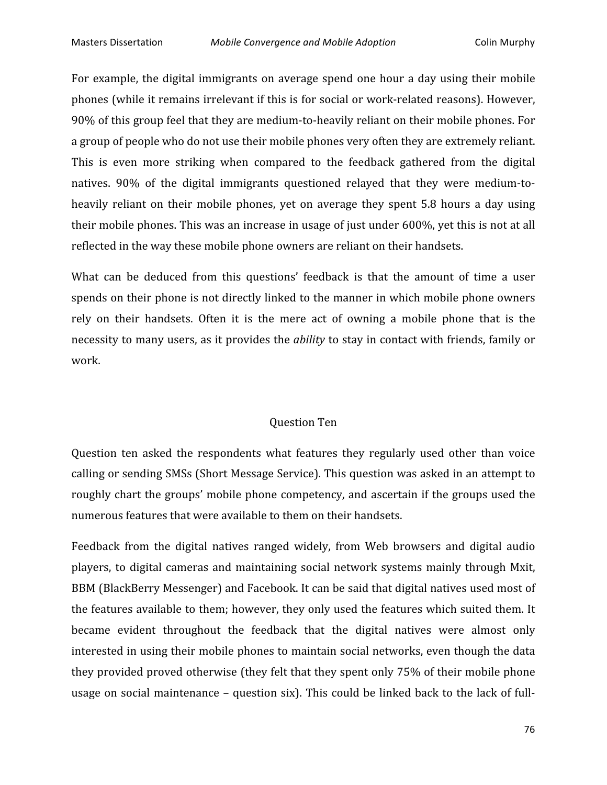For example, the digital immigrants on average spend one hour a day using their mobile phones
(while
it
remains
irrelevant
if
this
is
for
social
or
work‐related
reasons).
However, 90%
of
this
group
feel
that
they
are
medium‐to‐heavily
reliant
on
their
mobile
phones.
For a group of people who do not use their mobile phones very often they are extremely reliant. This is even more striking when compared to the feedback gathered from the digital natives. 90% of the digital immigrants questioned relayed that they were medium-toheavily reliant on their mobile phones, yet on average they spent 5.8 hours a day using their mobile phones. This was an increase in usage of just under 600%, yet this is not at all reflected
in
the
way
these
mobile
phone
owners
are
reliant
on
their
handsets.

What can be deduced from this questions' feedback is that the amount of time a user spends on their phone is not directly linked to the manner in which mobile phone owners rely on their handsets. Often it is the mere act of owning a mobile phone that is the necessity to many users, as it provides the *ability* to stay in contact with friends, family or work.

#### Question
Ten

Question ten asked the respondents what features they regularly used other than voice calling
or
sending
SMSs
(Short
Message
Service).
This
question
was
asked
in
an
attempt
to roughly chart the groups' mobile phone competency, and ascertain if the groups used the numerous
features
that
were
available
to
them
on
their
handsets.

Feedback from the digital natives ranged widely, from Web browsers and digital audio players,
 to
 digital
 cameras
and
maintaining
 social
 network
 systems
mainly
 through
Mxit, BBM (BlackBerry Messenger) and Facebook. It can be said that digital natives used most of the features available to them; however, they only used the features which suited them. It became
 evident
 throughout
 the
 feedback
 that
 the
 digital
 natives were
 almost
 only interested
in
using
their
mobile
phones
to
maintain
social
networks,
even
though
the
data they provided proved otherwise (they felt that they spent only 75% of their mobile phone usage on social maintenance – question six). This could be linked back to the lack of full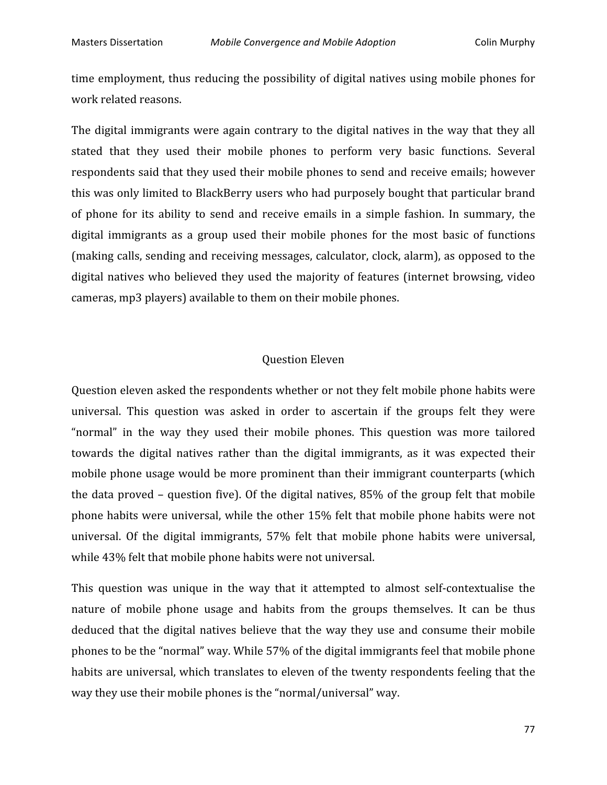time employment, thus reducing the possibility of digital natives using mobile phones for work
related
reasons.

The digital immigrants were again contrary to the digital natives in the way that they all stated that they used their mobile phones to perform very basic functions. Several respondents
said
that
they
used
their
mobile
phones
to
send
and
receive
emails;
however this
was
only
limited
to
BlackBerry
users
who
had
purposely
bought
that
particular
brand of phone for its ability to send and receive emails in a simple fashion. In summary, the digital immigrants as a group used their mobile phones for the most basic of functions (making calls, sending and receiving messages, calculator, clock, alarm), as opposed to the digital natives who believed they used the majority of features (internet browsing, video cameras,
mp3
players)
available
to
them
on
their
mobile
phones.

#### Question
Eleven

Question
eleven
asked
the
respondents
whether
or
not
they
felt
mobile
phone
habits
were universal. This question was asked in order to ascertain if the groups felt they were "normal" in the way they used their mobile phones. This question was more tailored towards the digital natives rather than the digital immigrants, as it was expected their mobile
phone
usage
would
be
more
prominent
than
their
immigrant
counterparts
(which the data proved – question five). Of the digital natives, 85% of the group felt that mobile phone
habits
were
universal,
while
 the
other
15%
 felt
 that
mobile
phone
habits
were
not universal. Of the digital immigrants, 57% felt that mobile phone habits were universal, while 43% felt that mobile phone habits were not universal.

This question was unique in the way that it attempted to almost self-contextualise the nature of mobile phone usage and habits from the groups themselves. It can be thus deduced
 that
 the
digital
 natives
 believe
 that
 the
way
 they
 use
and
 consume
 their
mobile phones
to
be
the
"normal"
way.
While
57%
of
the
digital
immigrants
feel
that
mobile
phone habits are universal, which translates to eleven of the twenty respondents feeling that the way they use their mobile phones is the "normal/universal" way.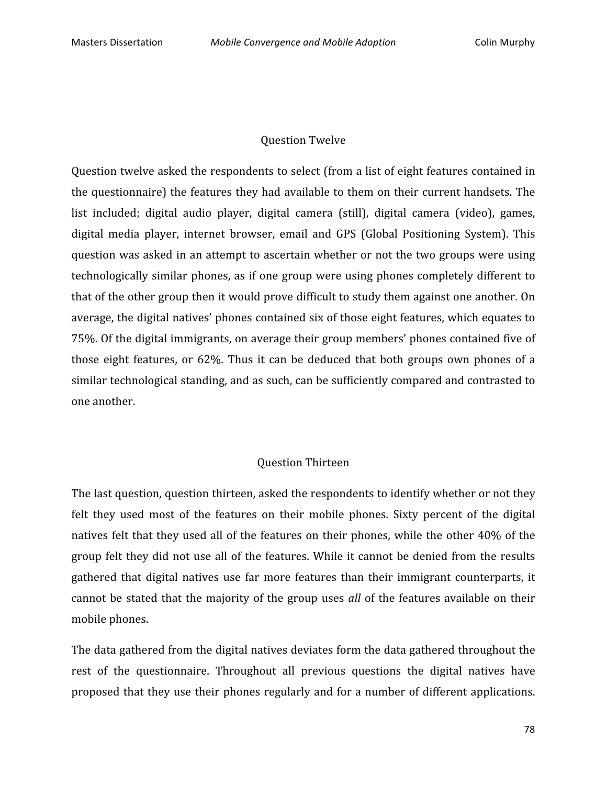#### Question
Twelve

Question twelve asked the respondents to select (from a list of eight features contained in the
questionnaire)
 the
 features
 they
had
available
 to
 them
on
 their
current
handsets.
The list included; digital audio player, digital camera (still), digital camera (video), games, digital media player, internet browser, email and GPS (Global Positioning System). This question
was
asked
in
an
attempt
 to
ascertain
whether
or
not
 the
 two
groups
were
using technologically similar phones, as if one group were using phones completely different to that
of
the
other
group
then
it
would
prove
difficult
to
study
them
against
one
another.
On average,
the
digital
natives'
phones
contained
six
of
those
eight
features,
which
equates to 75%.
Of
the
digital
immigrants,
on
average
their
group
members'
phones
contained
five
of those eight features, or 62%. Thus it can be deduced that both groups own phones of a similar
technological
standing,
and
as
such,
can
be
sufficiently
compared
and
contrasted
to one
another.

#### Question
Thirteen

The last question, question thirteen, asked the respondents to identify whether or not they felt they used most of the features on their mobile phones. Sixty percent of the digital natives felt that they used all of the features on their phones, while the other 40% of the group felt they did not use all of the features. While it cannot be denied from the results gathered that digital natives use far more features than their immigrant counterparts, it cannot be stated that the majority of the group uses all of the features available on their mobile
phones.

The
data
gathered
from
the
digital
natives
deviates
form
the
data
gathered
throughout
the rest of the questionnaire. Throughout all previous questions the digital natives have proposed that they use their phones regularly and for a number of different applications.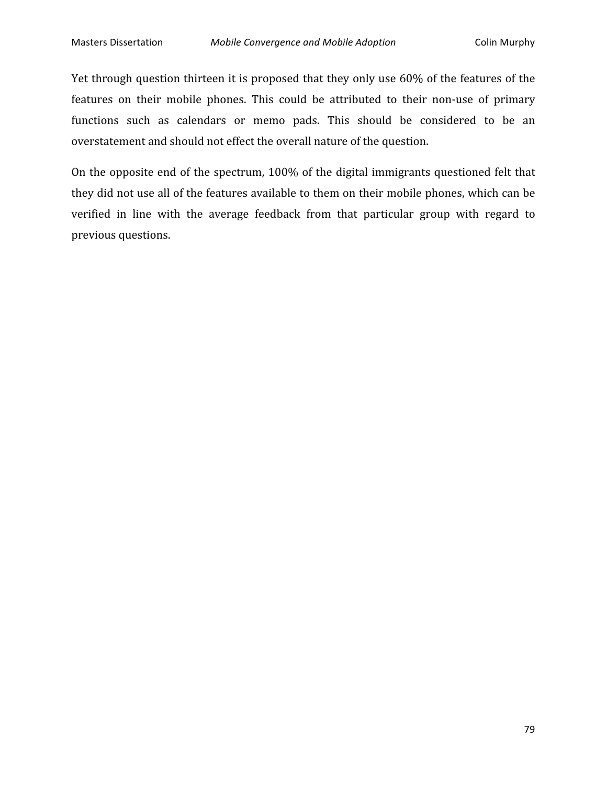Yet through question thirteen it is proposed that they only use 60% of the features of the features on their mobile phones. This could be attributed to their non-use of primary functions such as calendars or memo pads. This should be considered to be an overstatement
and
should
not
effect
the
overall
nature
of
the
question.

On the opposite end of the spectrum, 100% of the digital immigrants questioned felt that they did not use all of the features available to them on their mobile phones, which can be verified in line with the average feedback from that particular group with regard to previous
questions.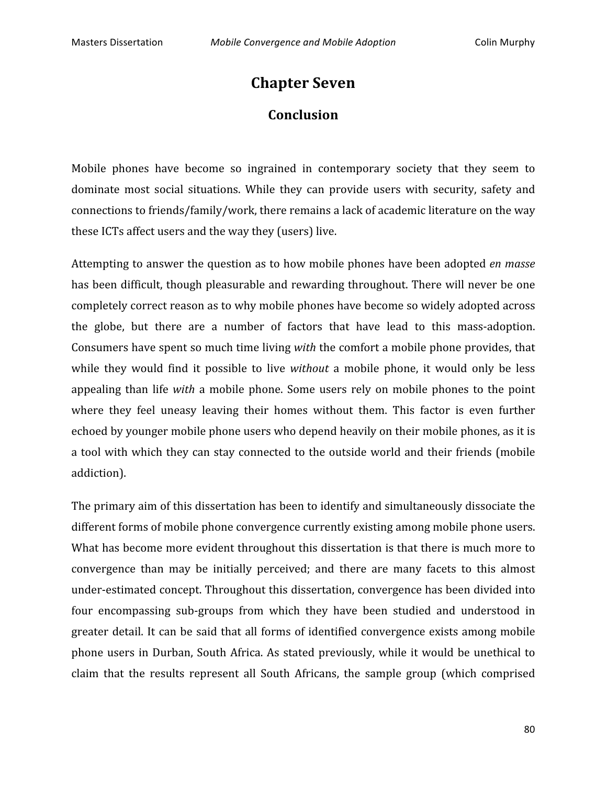# **Chapter
Seven**

## **Conclusion**

Mobile phones have become so ingrained in contemporary society that they seem to dominate most social situations. While they can provide users with security, safety and connections
to
friends/family/work,
there
remains
a
lack
of
academic
literature
on
the
way these
ICTs
affect
users
and
the
way
they
(users)
live.

Attempting
to
answer
the
question
as
to
how
mobile
phones
have
been
adopted *en
masse*  has been difficult, though pleasurable and rewarding throughout. There will never be one completely
correct
reason
as
to
why
mobile
phones
have
become
so
widely
adopted
across the globe, but there are a number of factors that have lead to this mass-adoption. Consumers have spent so much time living *with* the comfort a mobile phone provides, that while they would find it possible to live *without* a mobile phone, it would only be less appealing than life *with* a mobile phone. Some users rely on mobile phones to the point where they feel uneasy leaving their homes without them. This factor is even further echoed
by
younger
mobile
phone
users
who
depend
heavily
on
their
mobile
phones,
as
it
is a tool with which they can stay connected to the outside world and their friends (mobile addiction).

The
primary
aim
of
this
dissertation
has
been
to
identify
and
simultaneously
dissociate
the different forms of mobile phone convergence currently existing among mobile phone users. What has become more evident throughout this dissertation is that there is much more to convergence
 than
 may
 be
 initially
 perceived;
 and
 there
 are
 many
 facets
 to
 this
 almost under-estimated concept. Throughout this dissertation, convergence has been divided into four encompassing sub-groups from which they have been studied and understood in greater detail. It can be said that all forms of identified convergence exists among mobile phone users in Durban, South Africa. As stated previously, while it would be unethical to claim
 that
 the
 results
 represent
 all
 South
 Africans,
 the
 sample
 group
 (which
 comprised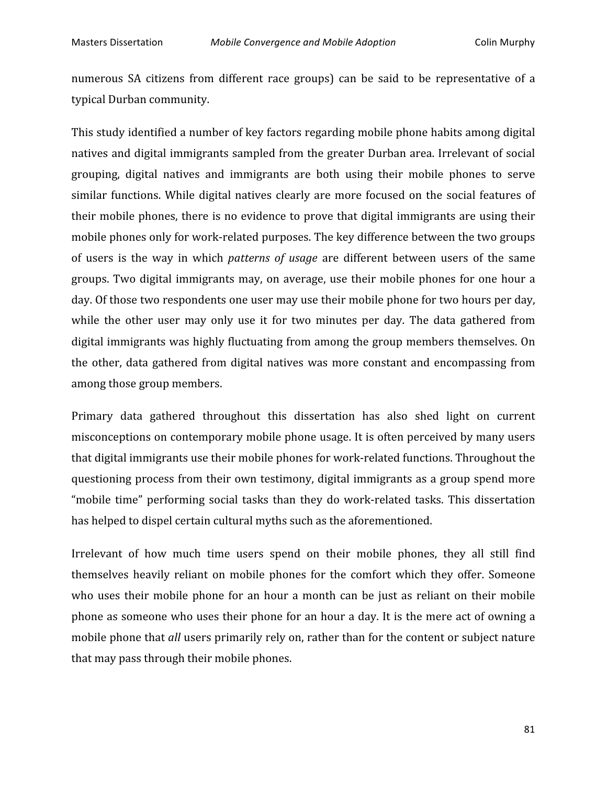numerous SA citizens from different race groups) can be said to be representative of a typical
Durban
community.

This
study
identified
a
number
of
key
factors
regarding
mobile
phone
habits
among
digital natives
and
digital
immigrants
sampled
 from
the
greater
Durban
area.
Irrelevant
of
social grouping, digital natives and immigrants are both using their mobile phones to serve similar functions. While digital natives clearly are more focused on the social features of their mobile phones, there is no evidence to prove that digital immigrants are using their mobile
phones
only
for
work‐related
purposes.
The
key
difference
between
the
two
groups of users is the way in which *patterns of usage* are different between users of the same groups. Two digital immigrants may, on average, use their mobile phones for one hour a day. Of those two respondents one user may use their mobile phone for two hours per day, while the other user may only use it for two minutes per day. The data gathered from digital immigrants was highly fluctuating from among the group members themselves. On the
 other,
 data
 gathered
 from
 digital
 natives
was
more
 constant
 and
 encompassing
 from among
those
group
members.

Primary data gathered throughout this dissertation has also shed light on current misconceptions
on
contemporary
mobile
phone
usage.
It
is
often
perceived
by
many
users that digital immigrants use their mobile phones for work-related functions. Throughout the questioning
process
 from
 their
own
 testimony,
digital
immigrants
as
a
group
spend
more "mobile time" performing social tasks than they do work-related tasks. This dissertation has
helped
to
dispel
certain
cultural
myths
such
as
the
aforementioned.

Irrelevant of how much time users spend on their mobile phones, they all still find themselves
 heavily
 reliant
 on
 mobile
 phones
 for
 the
 comfort
 which
 they
 offer.
 Someone who uses their mobile phone for an hour a month can be just as reliant on their mobile phone as someone who uses their phone for an hour a day. It is the mere act of owning a mobile phone that *all* users primarily rely on, rather than for the content or subject nature that
may
pass
through
their
mobile
phones.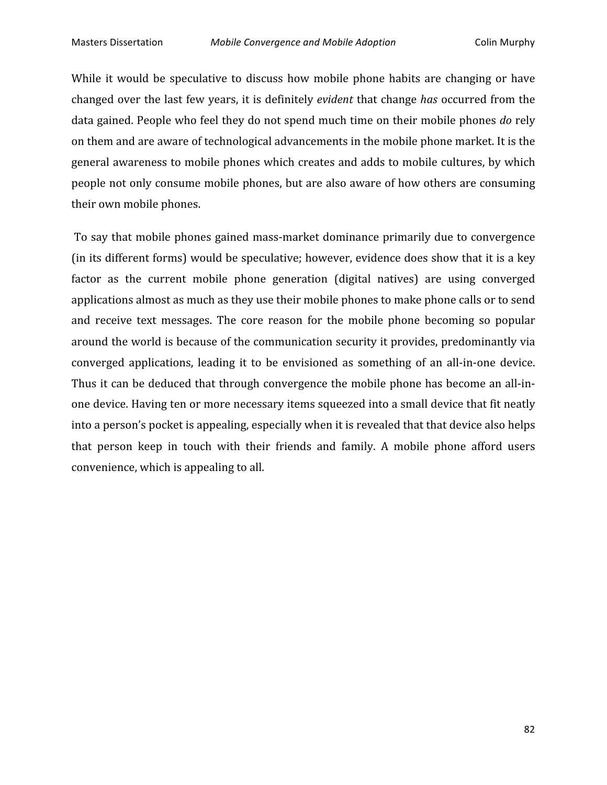While it would be speculative to discuss how mobile phone habits are changing or have changed
over
 the
last
 few
years,
it
is
definitely *evident* that
change *has*occurred
 from
 the data
gained.
People
who
feel
they
do
not
spend
much
time
on
their
mobile
phones *do*rely on them and are aware of technological advancements in the mobile phone market. It is the general
awareness
to
mobile
phones
which
creates
and
adds
to
mobile
cultures,
by
which people
not
only
consume
mobile
phones,
but
are
also
aware
of
how
others
are
consuming their
own
mobile
phones.

To say that mobile phones gained mass-market dominance primarily due to convergence (in
its
different
forms)
would
be
speculative;
however,
evidence
does
show
that
it
is
a
key factor as the current mobile phone generation (digital natives) are using converged applications almost as much as they use their mobile phones to make phone calls or to send and receive text messages. The core reason for the mobile phone becoming so popular around
the
world
is
because
of
the
communication
security
it
provides,
predominantly
via converged
 applications,
 leading
 it
 to
 be
 envisioned
 as
 something
 of
 an
 all‐in‐one
 device. Thus it can be deduced that through convergence the mobile phone has become an all-inone
device.
Having
ten
or
more
necessary
items
squeezed
into
a
small
device
that
fit
neatly into
a
person's
pocket
is
appealing,
especially
when
it
is
revealed
that
that
device
also
helps that
 person
 keep
 in
 touch
 with
 their
 friends
 and
 family.
 A
 mobile
 phone
 afford
 users convenience,
which
is
appealing
to
all.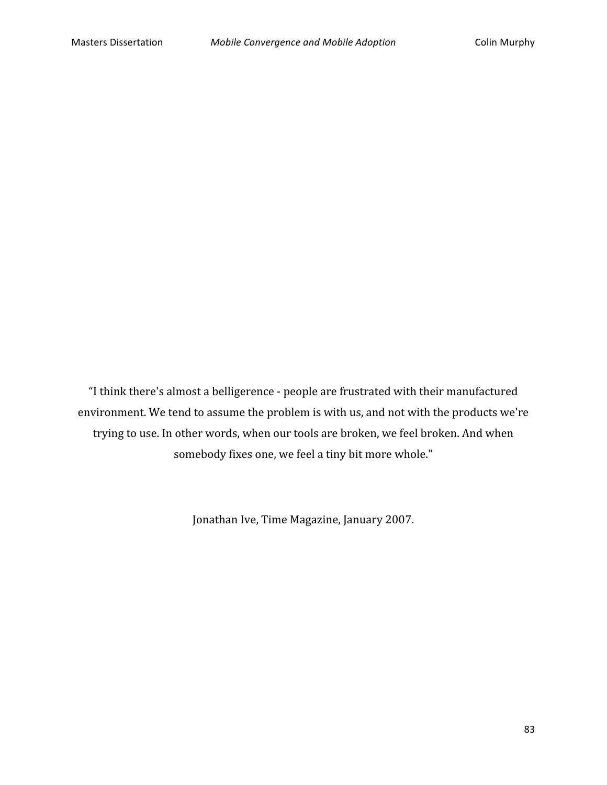"I
think
there's
almost
a
belligerence
‐
people
are
frustrated
with
their
manufactured environment.
We
tend
to
assume
the
problem
is
with
us,
and
not
with
the
products
we're trying
to
use.
In
other
words,
when
our
tools
are
broken,
we
feel
broken.
And
when somebody
fixes
one,
we
feel
a
tiny
bit
more
whole."

Jonathan
Ive,
Time
Magazine,
January
2007.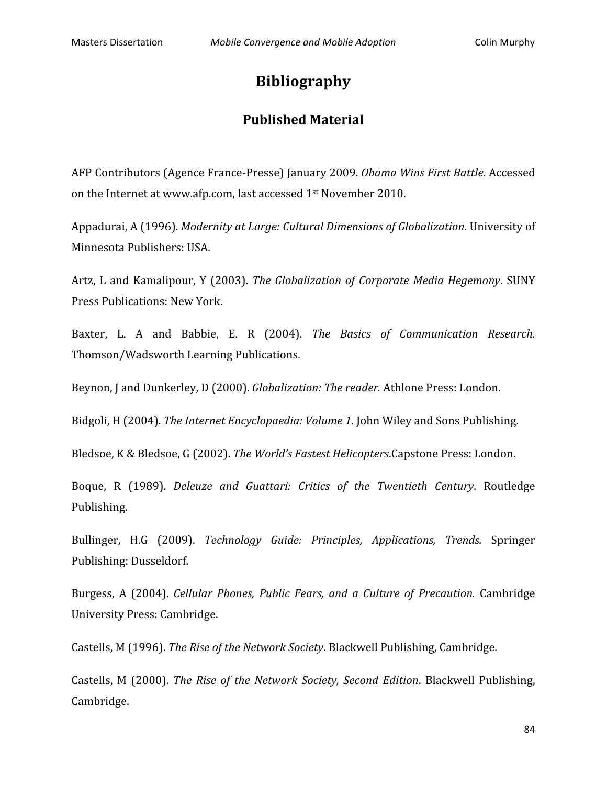# **Bibliography**

## **Published
Material**

AFP
Contributors
(Agence
France‐Presse)
January
2009. *Obama
Wins
First
Battle*.
Accessed on
the
Internet
at
www.afp.com,
last
accessed
1st
November
2010.

Appadurai,
A
(1996). *Modernity
at
Large:
Cultural
Dimensions
of
Globalization*.
University
of Minnesota
Publishers:
USA.

Artz,
 L
and
Kamalipour,
 Y
 (2003). *The
 Globalization
 of
 Corporate
Media
Hegemony*.
SUNY Press
Publications:
New
York.

Baxter, L. A and Babbie, E. R (2004). The Basics of Communication Research. Thomson/Wadsworth
Learning
Publications.

Beynon, J and Dunkerley, D (2000). *Globalization: The reader.* Athlone Press: London.

Bidgoli, H (2004). *The Internet Encyclopaedia: Volume 1.* John Wiley and Sons Publishing.

Bledsoe,
K
&
Bledsoe,
G
(2002). *The
World's
Fastest
Helicopters*.Capstone
Press:
London.

Boque, R (1989). *Deleuze and Guattari: Critics of the Twentieth Century*. Routledge Publishing.

Bullinger,
 H.G
 (2009). *Technology
 Guide:
 Principles,
 Applications,
 Trends.*  Springer Publishing:
Dusseldorf.

Burgess, A (2004). *Cellular Phones, Public Fears, and a Culture of Precaution.* Cambridge University
Press:
Cambridge.

Castells,
M
(1996). *The
Rise
of
the
Network
Society*.
Blackwell
Publishing,
Cambridge.

Castells, M (2000). *The Rise of the Network Society, Second Edition*. Blackwell Publishing, Cambridge.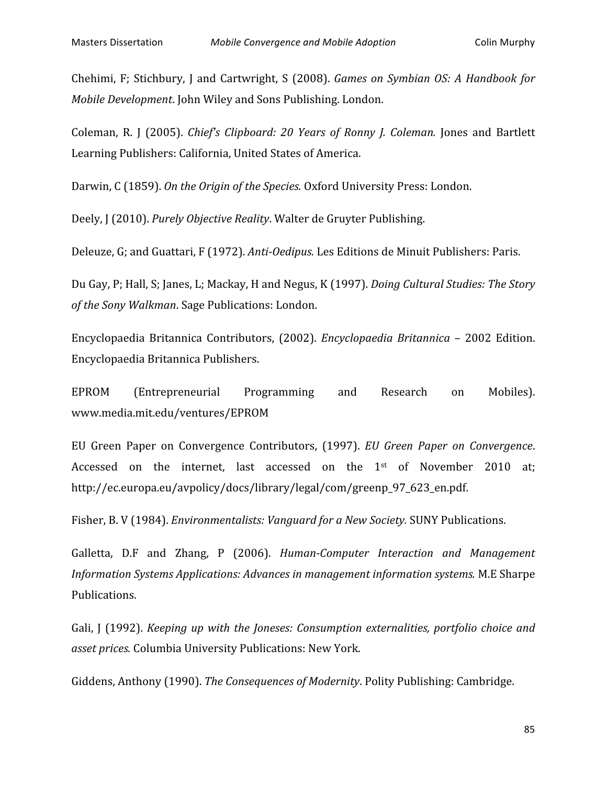Chehimi, F; Stichbury, J and Cartwright, S (2008). *Games on Symbian OS: A Handbook for Mobile Development*. John Wiley and Sons Publishing. London.

Coleman, R. J (2005). *Chief's Clipboard: 20 Years of Ronny J. Coleman.* Jones and Bartlett Learning
Publishers:
California,
United
States
of
America.

Darwin, C (1859). On the Origin of the Species. Oxford University Press: London.

Deely,
J
(2010). *Purely
Objective
Reality*.
Walter
de
Gruyter
Publishing.

Deleuze, G; and Guattari, F (1972). Anti-Oedipus. Les Editions de Minuit Publishers: Paris.

Du
Gay,
P;
Hall,
S;
Janes,
L;
Mackay,
H
and
Negus,
K
(1997). *Doing
Cultural
Studies:
The
Story of
the
Sony
Walkman*.
Sage
Publications:
London.

Encyclopaedia
 Britannica
 Contributors,
 (2002). *Encyclopaedia
 Britannica* –
 2002
 Edition. Encyclopaedia
Britannica
Publishers.

EPROM
 (Entrepreneurial
 Programming
 and
 Research
 on
 Mobiles). www.media.mit.edu/ventures/EPROM

EU Green Paper on Convergence Contributors, (1997). *EU Green Paper on Convergence*. Accessed on the internet, last accessed on the 1<sup>st</sup> of November 2010 at; http://ec.europa.eu/avpolicy/docs/library/legal/com/greenp\_97\_623\_en.pdf.

Fisher, B. V (1984). *Environmentalists: Vanguard for a New Society*. SUNY Publications.

Galletta, D.F and Zhang, P (2006). *Human-Computer Interaction and Management* Information Systems Applications: Advances in management information systems. M.E Sharpe Publications.

Gali, J (1992). *Keeping up with the Joneses: Consumption externalities, portfolio choice and* asset prices. Columbia University Publications: New York.

Giddens,
Anthony
(1990). *The
Consequences
of
Modernity*.
Polity
Publishing:
Cambridge.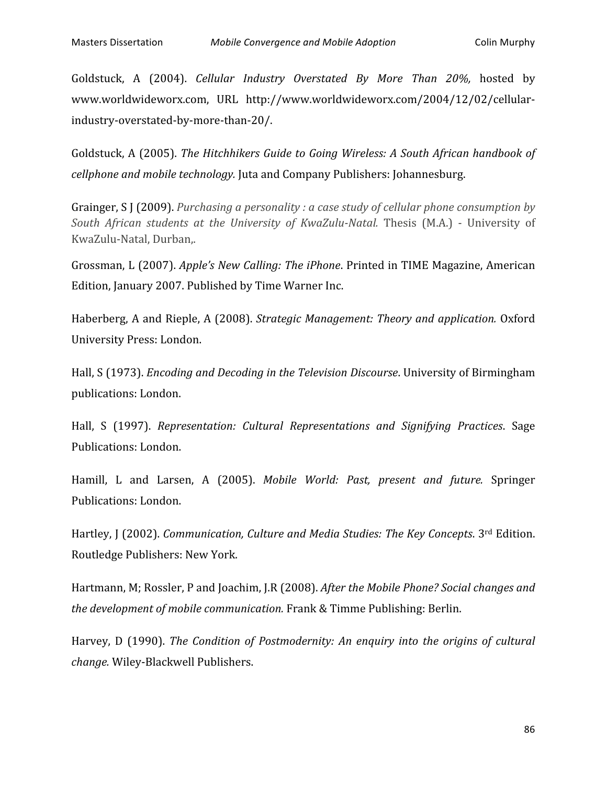Goldstuck, A (2004). *Cellular Industry Overstated By More Than 20%*, hosted by www.worldwideworx.com, URL
 http://www.worldwideworx.com/2004/12/02/cellular‐ industry‐overstated‐by‐more‐than‐20/.

Goldstuck, A (2005). The Hitchhikers Guide to Going Wireless: A South African handbook of *cellphone
and
mobile
technology.* Juta
and
Company
Publishers:
Johannesburg.

Grainger, S J (2009). *Purchasing a personality : a case study of cellular phone consumption by* South African students at the University of KwaZulu-Natal. Thesis (M.A.) - University of KwaZulu‐Natal,
Durban,.

Grossman, L (2007). Apple's New Calling: The iPhone. Printed in TIME Magazine, American Edition,
January
2007.
Published
by
Time
Warner
Inc.

Haberberg,
A
and
Rieple,
A
(2008). *Strategic
Management:
Theory
and
application.* Oxford University
Press:
London.

Hall, S (1973). *Encoding and Decoding in the Television Discourse*. University of Birmingham publications:
London.

Hall, S (1997). Representation: Cultural Representations and Signifying Practices. Sage Publications:
London.

Hamill, L and Larsen, A (2005). Mobile World: Past, present and future. Springer Publications:
London.

Hartley, J (2002). *Communication, Culture and Media Studies: The Key Concepts*. 3<sup>rd</sup> Edition. Routledge
Publishers:
New
York.

Hartmann, M; Rossler, P and Joachim, J.R (2008). After the Mobile Phone? Social changes and *the
development
of
mobile
communication.* Frank
&
Timme
Publishing:
Berlin.

Harvey, D (1990). The Condition of Postmodernity: An enquiry into the origins of cultural *change.*Wiley‐Blackwell
Publishers.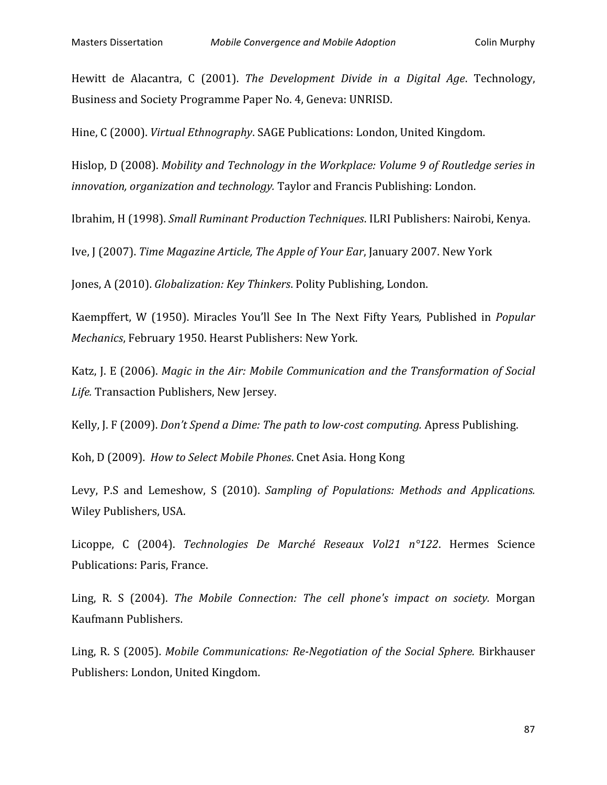Hewitt de Alacantra, C (2001). The Development Divide in a Digital Age. Technology, Business
and
Society
Programme
Paper
No.
4,
Geneva:
UNRISD.

Hine,
C
(2000). *Virtual
Ethnography*.
SAGE
Publications:
London,
United
Kingdom.

Hislop, D (2008). Mobility and Technology in the Workplace: Volume 9 of Routledge series in innovation, organization and technology. Taylor and Francis Publishing: London.

Ibrahim,
H
(1998). *Small
Ruminant
Production
Techniques*.
ILRI
Publishers:
Nairobi,
Kenya.

Ive, J (2007). *Time Magazine Article, The Apple of Your Ear*, January 2007. New York

Jones,
A
(2010). *Globalization:
Key
Thinkers*.
Polity
Publishing,
London.

Kaempffert,
 W
 (1950). Miracles
 You'll
 See
 In
 The
 Next
 Fifty
 Years*,*  Published
 in *Popular*  Mechanics, February 1950. Hearst Publishers: New York.

Katz, J. E (2006). Magic in the Air: Mobile Communication and the Transformation of Social Life. Transaction Publishers, New Jersey.

Kelly,
J.
F
(2009). *Don't
Spend
a
Dime:
The
path
to
lowcost
computing.* Apress
Publishing.

Koh,
D
(2009). *How
to
Select
Mobile
Phones*.
Cnet
Asia.
Hong
Kong

Levy, P.S and Lemeshow, S (2010). Sampling of Populations: Methods and Applications. Wiley
Publishers,
USA.

Licoppe, C (2004). *Technologies De Marché Reseaux Vol21 n°122*. Hermes Science Publications:
Paris,
France.

Ling, R. S (2004). The Mobile Connection: The cell phone's impact on society. Morgan Kaufmann
Publishers.

Ling, R. S (2005). *Mobile Communications: Re-Negotiation of the Social Sphere.* Birkhauser Publishers:
London,
United
Kingdom.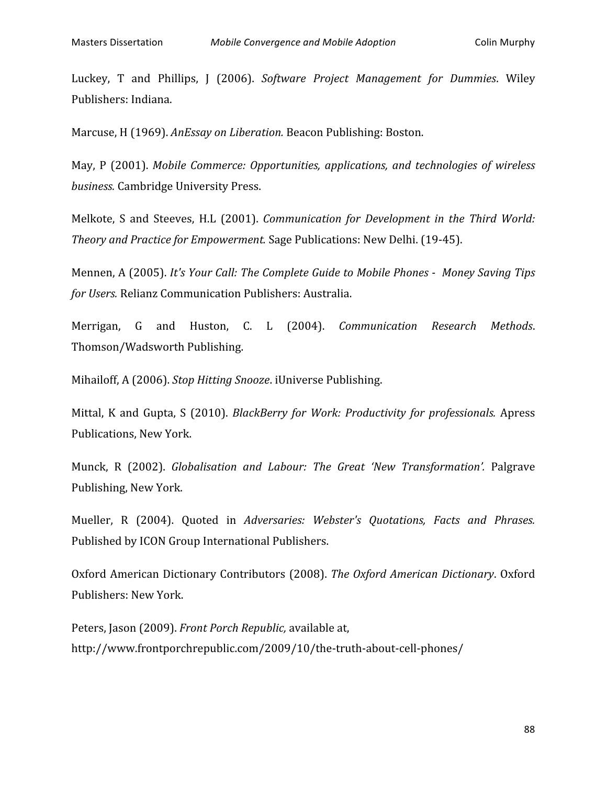Luckey, T and Phillips, J (2006). Software Project Management for Dummies. Wiley Publishers:
Indiana.

Marcuse,
H
(1969). *AnEssay
on
Liberation.* Beacon
Publishing:
Boston.

May, P (2001). Mobile Commerce: Opportunities, applications, and technologies of wireless *business.* Cambridge
University
Press.

Melkote, S and Steeves, H.L (2001). *Communication for Development in the Third World: Theory
and
Practice
for
Empowerment.* Sage
Publications:
New
Delhi.
(19‐45).

Mennen, A (2005). It's Your Call: The Complete Guide to Mobile Phones - Money Saving Tips *for
Users.* Relianz
Communication
Publishers:
Australia.

Merrigan,
 G
 and
 Huston,
 C.
 L
 (2004). *Communication
 Research
 Methods*. Thomson/Wadsworth
Publishing.

Mihailoff,
A
(2006). *Stop
Hitting
Snooze*.
iUniverse
Publishing.

Mittal, K and Gupta, S (2010). *BlackBerry for Work: Productivity for professionals.* Apress Publications,
New
York.

Munck, R (2002). Globalisation and Labour: The Great 'New Transformation'. Palgrave Publishing,
New
York.

Mueller, R (2004). Ouoted in Adversaries: Webster's Ouotations, Facts and Phrases. Published
by
ICON
Group
International
Publishers.

Oxford
American
Dictionary
Contributors
 (2008). *The
Oxford
American
Dictionary*.
Oxford Publishers:
New
York.

Peters,
Jason
(2009). *Front
Porch
Republic,* available
at, http://www.frontporchrepublic.com/2009/10/the‐truth‐about‐cell‐phones/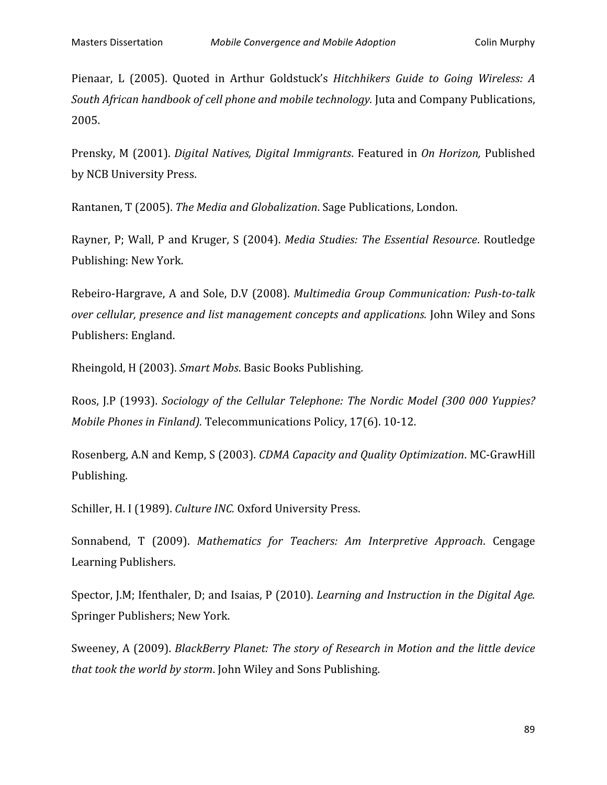Pienaar, L (2005). Quoted in Arthur Goldstuck's *Hitchhikers Guide to Going Wireless: A* South African handbook of cell phone and mobile technology. Juta and Company Publications, 2005.

Prensky,
M
 (2001). *Digital
Natives,
Digital
 Immigrants*.
Featured
in *On
Horizon,* Published by
NCB
University
Press.

Rantanen,
T
(2005). *The
Media
and
Globalization*.
Sage
Publications,
London.

Rayner,
P;
Wall,
P
and
Kruger,
S
 (2004). *Media
Studies:
The
Essential
Resource*.
Routledge Publishing:
New
York.

Rebeiro-Hargrave, A and Sole, D.V (2008). Multimedia Group Communication: Push-to-talk *over
cellular,
presence
and
list
management
concepts
and
applications.* John
Wiley
and
Sons Publishers:
England.

Rheingold,
H
(2003). *Smart
Mobs*.
Basic
Books
Publishing.

Roos, J.P (1993). *Sociology of the Cellular Telephone: The Nordic Model (300 000 Yuppies?* Mobile Phones in Finland). Telecommunications Policy, 17(6). 10-12.

Rosenberg,
A.N
and
Kemp,
S
(2003). *CDMA
Capacity
and
Quality
Optimization*.
MC‐GrawHill Publishing.

Schiller, H. I (1989). *Culture INC.* Oxford University Press.

Sonnabend,
 T
 (2009). *Mathematics
 for
 Teachers:
 Am
 Interpretive
 Approach*.
 Cengage Learning
Publishers.

Spector, J.M; Ifenthaler, D; and Isaias, P (2010). *Learning and Instruction in the Digital Age.* Springer
Publishers;
New
York.

Sweeney,
A
(2009). *BlackBerry
Planet:
The
story
of
Research
in
Motion
and
the
little
device that
took
the
world
by
storm*.
John
Wiley
and
Sons
Publishing.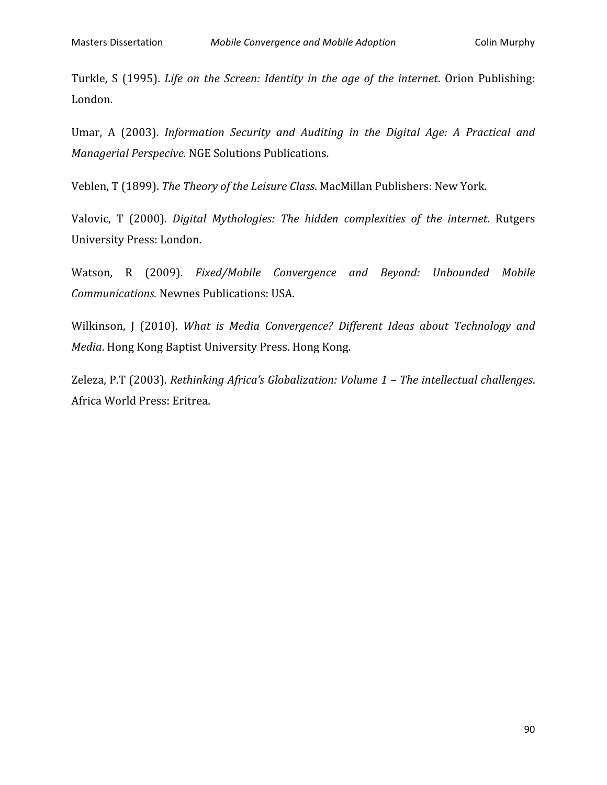Turkle, S (1995). *Life on the Screen: Identity in the age of the internet*. Orion Publishing: London.

Umar, A (2003). Information Security and Auditing in the Digital Age: A Practical and *Managerial
Perspecive.* NGE
Solutions
Publications.

Veblen,
T
(1899). *The
Theory
of
the
Leisure
Class*.
MacMillan
Publishers:
New
York.

Valovic, T (2000). *Digital Mythologies: The hidden complexities of the internet*. Rutgers University
Press:
London.

Watson,
 R
 (2009). *Fixed/Mobile
 Convergence
 and
 Beyond:
 Unbounded
 Mobile Communications.* Newnes
Publications:
USA.

Wilkinson, J (2010). What is Media Convergence? Different Ideas about Technology and Media. Hong Kong Baptist University Press. Hong Kong.

Zeleza,
P.T
(2003). *Rethinking
Africa's
Globalization:
Volume
1
–
The
intellectual
challenges*. Africa
World
Press:
Eritrea.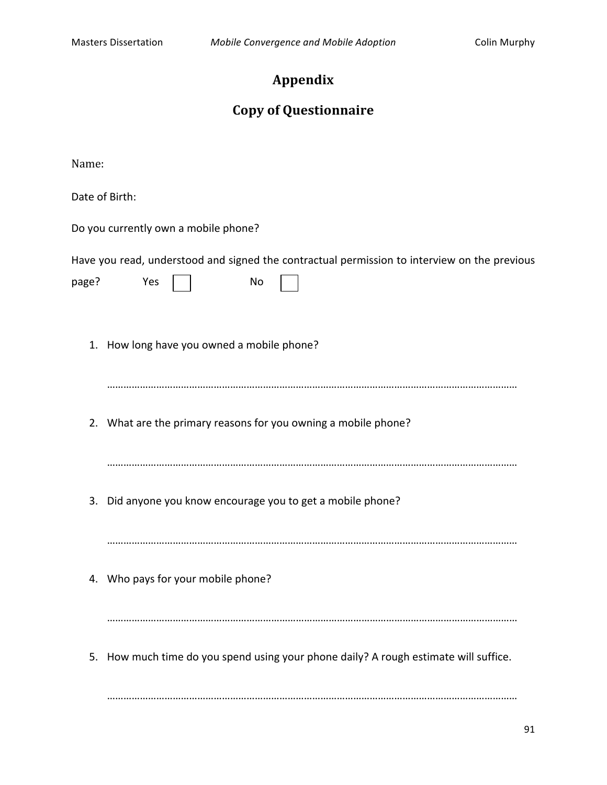# **Appendix**

# **Copy
of
Questionnaire**

Name:

Date
of
Birth:

| Date of Birth: |                                            |                                                                |                                                                                              |
|----------------|--------------------------------------------|----------------------------------------------------------------|----------------------------------------------------------------------------------------------|
|                | Do you currently own a mobile phone?       |                                                                |                                                                                              |
| page?          | Yes                                        | No.                                                            | Have you read, understood and signed the contractual permission to interview on the previous |
|                | 1. How long have you owned a mobile phone? |                                                                |                                                                                              |
|                |                                            | 2. What are the primary reasons for you owning a mobile phone? |                                                                                              |
| 3.             |                                            | Did anyone you know encourage you to get a mobile phone?       |                                                                                              |
|                | 4. Who pays for your mobile phone?         |                                                                |                                                                                              |
| 5.             |                                            |                                                                | How much time do you spend using your phone daily? A rough estimate will suffice.            |

……………………………………………………………………………………………………………………………………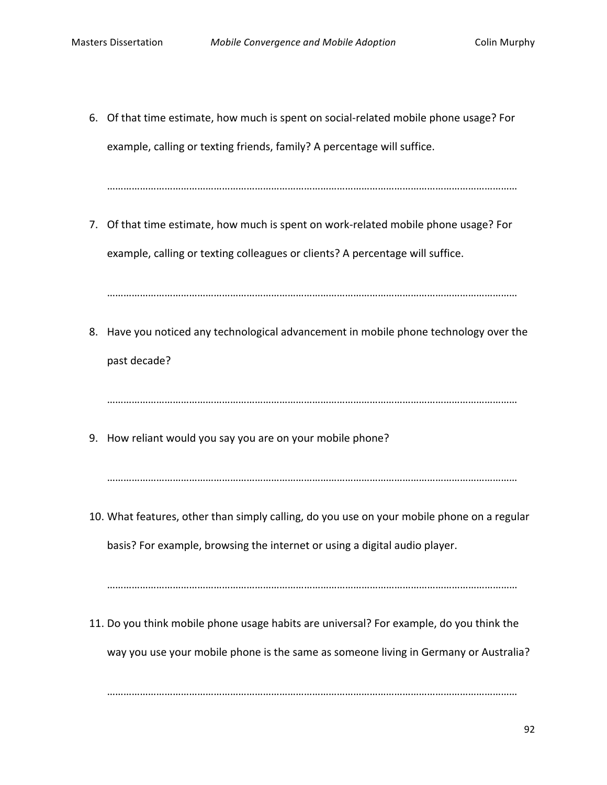6. Of
that
time
estimate,
how
much
is
spent
on
social‐related
mobile
phone
usage?
For example, calling or texting friends, family? A percentage will suffice.

……………………………………………………………………………………………………………………………………

7. Of that time estimate, how much is spent on work-related mobile phone usage? For example, calling or texting colleagues or clients? A percentage will suffice.

……………………………………………………………………………………………………………………………………

8. Have you noticed any technological advancement in mobile phone technology over the past
decade?

……………………………………………………………………………………………………………………………………

9. How
reliant
would
you
say
you
are
on
your
mobile
phone?

……………………………………………………………………………………………………………………………………

10. What features, other than simply calling, do you use on your mobile phone on a regular basis? For example, browsing the internet or using a digital audio player.

……………………………………………………………………………………………………………………………………

11. Do you think mobile phone usage habits are universal? For example, do you think the way you use your mobile phone is the same as someone living in Germany or Australia?

……………………………………………………………………………………………………………………………………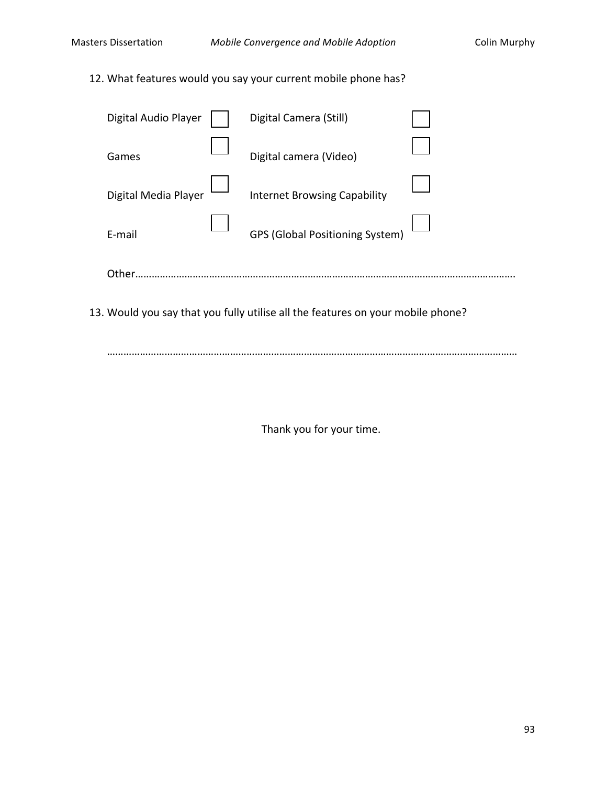12. What
features
would
you
say
your
current
mobile
phone
has?

| Digital Audio Player | Digital Camera (Still)                 |  |
|----------------------|----------------------------------------|--|
| Games                | Digital camera (Video)                 |  |
| Digital Media Player | <b>Internet Browsing Capability</b>    |  |
| F-mail               | <b>GPS (Global Positioning System)</b> |  |
| Other                |                                        |  |

13. Would you say that you fully utilise all the features on your mobile phone?

……………………………………………………………………………………………………………………………………

Thank
you
for
your
time.